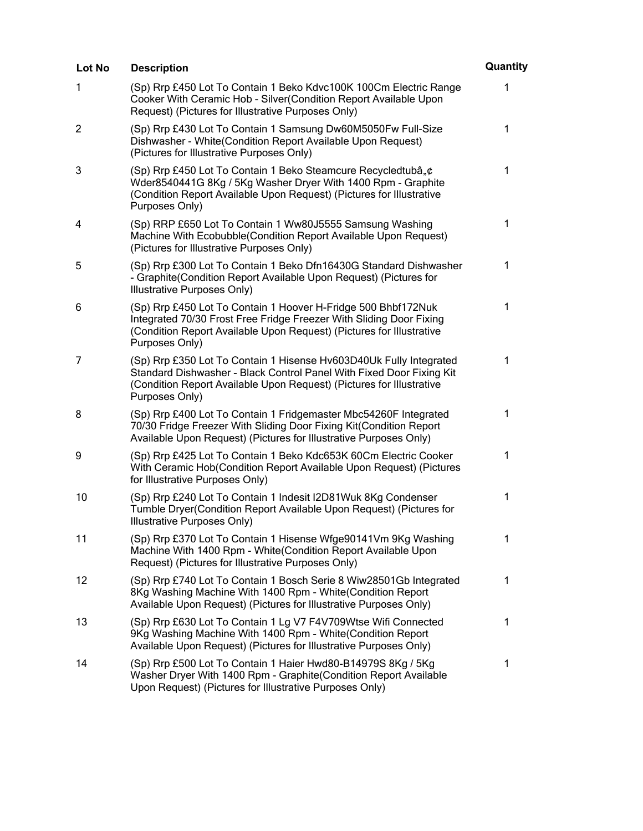| Lot No         | <b>Description</b>                                                                                                                                                                                                                   | Quantity     |
|----------------|--------------------------------------------------------------------------------------------------------------------------------------------------------------------------------------------------------------------------------------|--------------|
| 1              | (Sp) Rrp £450 Lot To Contain 1 Beko Kdvc100K 100Cm Electric Range<br>Cooker With Ceramic Hob - Silver(Condition Report Available Upon<br>Request) (Pictures for Illustrative Purposes Only)                                          | $\mathbf{1}$ |
| $\overline{2}$ | (Sp) Rrp £430 Lot To Contain 1 Samsung Dw60M5050Fw Full-Size<br>Dishwasher - White(Condition Report Available Upon Request)<br>(Pictures for Illustrative Purposes Only)                                                             | 1            |
| 3              | (Sp) Rrp £450 Lot To Contain 1 Beko Steamcure Recycledtubâ"¢<br>Wder8540441G 8Kg / 5Kg Washer Dryer With 1400 Rpm - Graphite<br>(Condition Report Available Upon Request) (Pictures for Illustrative<br>Purposes Only)               | $\mathbf 1$  |
| 4              | (Sp) RRP £650 Lot To Contain 1 Ww80J5555 Samsung Washing<br>Machine With Ecobubble(Condition Report Available Upon Request)<br>(Pictures for Illustrative Purposes Only)                                                             | $\mathbf 1$  |
| 5              | (Sp) Rrp £300 Lot To Contain 1 Beko Dfn16430G Standard Dishwasher<br>- Graphite(Condition Report Available Upon Request) (Pictures for<br>Illustrative Purposes Only)                                                                | 1            |
| 6              | (Sp) Rrp £450 Lot To Contain 1 Hoover H-Fridge 500 Bhbf172Nuk<br>Integrated 70/30 Frost Free Fridge Freezer With Sliding Door Fixing<br>(Condition Report Available Upon Request) (Pictures for Illustrative<br>Purposes Only)       | $\mathbf 1$  |
| 7              | (Sp) Rrp £350 Lot To Contain 1 Hisense Hv603D40Uk Fully Integrated<br>Standard Dishwasher - Black Control Panel With Fixed Door Fixing Kit<br>(Condition Report Available Upon Request) (Pictures for Illustrative<br>Purposes Only) | $\mathbf{1}$ |
| 8              | (Sp) Rrp £400 Lot To Contain 1 Fridgemaster Mbc54260F Integrated<br>70/30 Fridge Freezer With Sliding Door Fixing Kit(Condition Report<br>Available Upon Request) (Pictures for Illustrative Purposes Only)                          | 1            |
| 9              | (Sp) Rrp £425 Lot To Contain 1 Beko Kdc653K 60Cm Electric Cooker<br>With Ceramic Hob(Condition Report Available Upon Request) (Pictures<br>for Illustrative Purposes Only)                                                           | 1            |
| 10             | (Sp) Rrp £240 Lot To Contain 1 Indesit I2D81Wuk 8Kg Condenser<br>Tumble Dryer(Condition Report Available Upon Request) (Pictures for<br>Illustrative Purposes Only)                                                                  | $\mathbf 1$  |
| 11             | (Sp) Rrp £370 Lot To Contain 1 Hisense Wfge90141Vm 9Kg Washing<br>Machine With 1400 Rpm - White (Condition Report Available Upon<br>Request) (Pictures for Illustrative Purposes Only)                                               | 1            |
| 12             | (Sp) Rrp £740 Lot To Contain 1 Bosch Serie 8 Wiw28501Gb Integrated<br>8Kg Washing Machine With 1400 Rpm - White(Condition Report<br>Available Upon Request) (Pictures for Illustrative Purposes Only)                                | 1            |
| 13             | (Sp) Rrp £630 Lot To Contain 1 Lg V7 F4V709Wtse Wifi Connected<br>9Kg Washing Machine With 1400 Rpm - White(Condition Report<br>Available Upon Request) (Pictures for Illustrative Purposes Only)                                    | 1            |
| 14             | (Sp) Rrp £500 Lot To Contain 1 Haier Hwd80-B14979S 8Kg / 5Kg<br>Washer Dryer With 1400 Rpm - Graphite (Condition Report Available<br>Upon Request) (Pictures for Illustrative Purposes Only)                                         | 1            |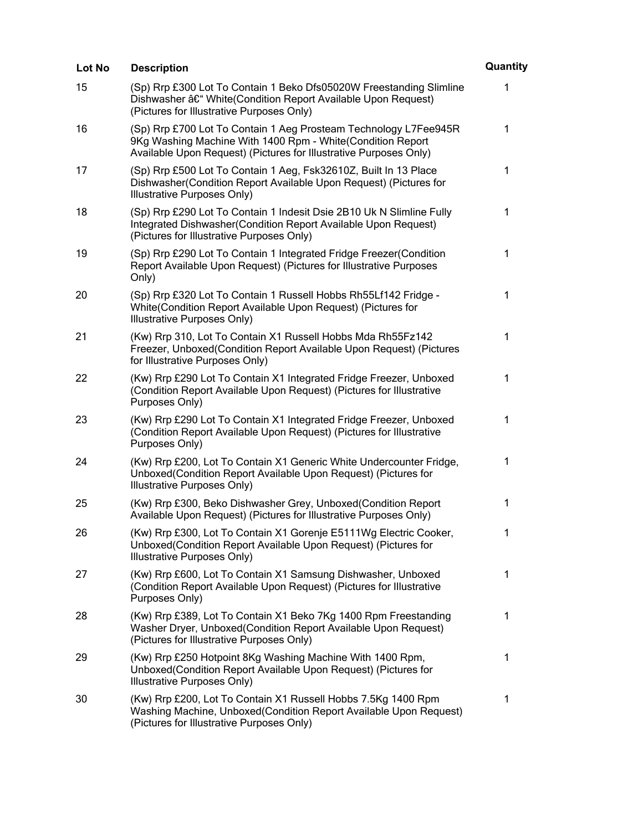| Lot No | <b>Description</b>                                                                                                                                                                                  | Quantity    |
|--------|-----------------------------------------------------------------------------------------------------------------------------------------------------------------------------------------------------|-------------|
| 15     | (Sp) Rrp £300 Lot To Contain 1 Beko Dfs05020W Freestanding Slimline<br>Dishwasher – White(Condition Report Available Upon Request)<br>(Pictures for Illustrative Purposes Only)                     | 1           |
| 16     | (Sp) Rrp £700 Lot To Contain 1 Aeg Prosteam Technology L7Fee945R<br>9Kg Washing Machine With 1400 Rpm - White(Condition Report<br>Available Upon Request) (Pictures for Illustrative Purposes Only) | $\mathbf 1$ |
| 17     | (Sp) Rrp £500 Lot To Contain 1 Aeg, Fsk32610Z, Built In 13 Place<br>Dishwasher (Condition Report Available Upon Request) (Pictures for<br>Illustrative Purposes Only)                               | 1           |
| 18     | (Sp) Rrp £290 Lot To Contain 1 Indesit Dsie 2B10 Uk N Slimline Fully<br>Integrated Dishwasher (Condition Report Available Upon Request)<br>(Pictures for Illustrative Purposes Only)                | 1           |
| 19     | (Sp) Rrp £290 Lot To Contain 1 Integrated Fridge Freezer(Condition<br>Report Available Upon Request) (Pictures for Illustrative Purposes<br>Only)                                                   | $\mathbf 1$ |
| 20     | (Sp) Rrp £320 Lot To Contain 1 Russell Hobbs Rh55Lf142 Fridge -<br>White(Condition Report Available Upon Request) (Pictures for<br>Illustrative Purposes Only)                                      | 1           |
| 21     | (Kw) Rrp 310, Lot To Contain X1 Russell Hobbs Mda Rh55Fz142<br>Freezer, Unboxed(Condition Report Available Upon Request) (Pictures<br>for Illustrative Purposes Only)                               | 1           |
| 22     | (Kw) Rrp £290 Lot To Contain X1 Integrated Fridge Freezer, Unboxed<br>(Condition Report Available Upon Request) (Pictures for Illustrative<br>Purposes Only)                                        | 1           |
| 23     | (Kw) Rrp £290 Lot To Contain X1 Integrated Fridge Freezer, Unboxed<br>(Condition Report Available Upon Request) (Pictures for Illustrative<br>Purposes Only)                                        | 1           |
| 24     | (Kw) Rrp £200, Lot To Contain X1 Generic White Undercounter Fridge,<br>Unboxed(Condition Report Available Upon Request) (Pictures for<br>Illustrative Purposes Only)                                | 1           |
| 25     | (Kw) Rrp £300, Beko Dishwasher Grey, Unboxed(Condition Report<br>Available Upon Request) (Pictures for Illustrative Purposes Only)                                                                  | 1           |
| 26     | (Kw) Rrp £300, Lot To Contain X1 Gorenje E5111Wg Electric Cooker,<br>Unboxed(Condition Report Available Upon Request) (Pictures for<br>Illustrative Purposes Only)                                  | 1           |
| 27     | (Kw) Rrp £600, Lot To Contain X1 Samsung Dishwasher, Unboxed<br>(Condition Report Available Upon Request) (Pictures for Illustrative<br>Purposes Only)                                              | 1           |
| 28     | (Kw) Rrp £389, Lot To Contain X1 Beko 7Kg 1400 Rpm Freestanding<br>Washer Dryer, Unboxed (Condition Report Available Upon Request)<br>(Pictures for Illustrative Purposes Only)                     | 1           |
| 29     | (Kw) Rrp £250 Hotpoint 8Kg Washing Machine With 1400 Rpm,<br>Unboxed(Condition Report Available Upon Request) (Pictures for<br>Illustrative Purposes Only)                                          | 1           |
| 30     | (Kw) Rrp £200, Lot To Contain X1 Russell Hobbs 7.5Kg 1400 Rpm<br>Washing Machine, Unboxed (Condition Report Available Upon Request)<br>(Pictures for Illustrative Purposes Only)                    | 1           |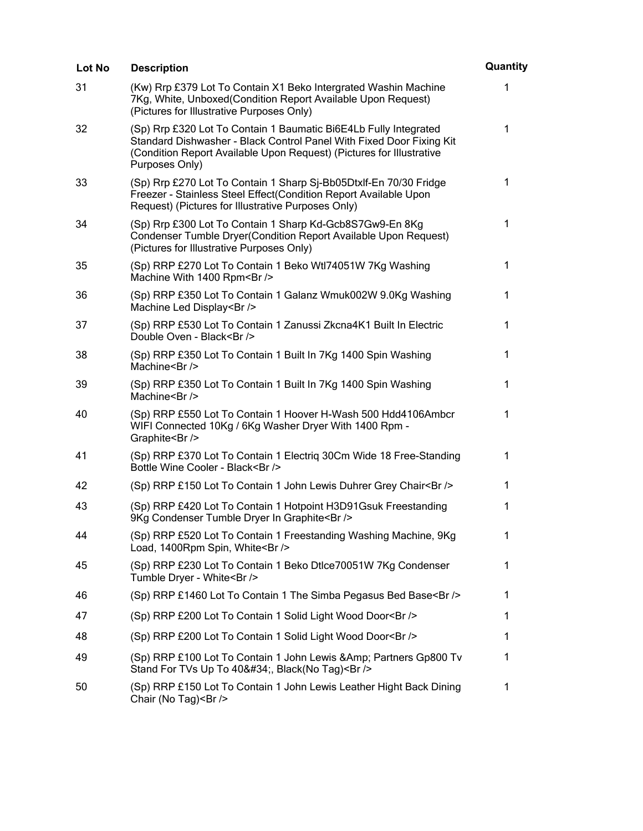| Lot No | <b>Description</b>                                                                                                                                                                                                                 | Quantity     |
|--------|------------------------------------------------------------------------------------------------------------------------------------------------------------------------------------------------------------------------------------|--------------|
| 31     | (Kw) Rrp £379 Lot To Contain X1 Beko Intergrated Washin Machine<br>7Kg, White, Unboxed (Condition Report Available Upon Request)<br>(Pictures for Illustrative Purposes Only)                                                      | 1            |
| 32     | (Sp) Rrp £320 Lot To Contain 1 Baumatic Bi6E4Lb Fully Integrated<br>Standard Dishwasher - Black Control Panel With Fixed Door Fixing Kit<br>(Condition Report Available Upon Request) (Pictures for Illustrative<br>Purposes Only) | 1            |
| 33     | (Sp) Rrp £270 Lot To Contain 1 Sharp Sj-Bb05Dtxlf-En 70/30 Fridge<br>Freezer - Stainless Steel Effect(Condition Report Available Upon<br>Request) (Pictures for Illustrative Purposes Only)                                        | $\mathbf{1}$ |
| 34     | (Sp) Rrp £300 Lot To Contain 1 Sharp Kd-Gcb8S7Gw9-En 8Kg<br>Condenser Tumble Dryer(Condition Report Available Upon Request)<br>(Pictures for Illustrative Purposes Only)                                                           | 1            |
| 35     | (Sp) RRP £270 Lot To Contain 1 Beko Wtl74051W 7Kg Washing<br>Machine With 1400 Rpm<br>                                                                                                                                             | $\mathbf 1$  |
| 36     | (Sp) RRP £350 Lot To Contain 1 Galanz Wmuk002W 9.0Kg Washing<br>Machine Led Display<br>                                                                                                                                            | 1            |
| 37     | (Sp) RRP £530 Lot To Contain 1 Zanussi Zkcna4K1 Built In Electric<br>Double Oven - Black<br>                                                                                                                                       | 1            |
| 38     | (Sp) RRP £350 Lot To Contain 1 Built In 7Kg 1400 Spin Washing<br>Machine<br>                                                                                                                                                       | $\mathbf 1$  |
| 39     | (Sp) RRP £350 Lot To Contain 1 Built In 7Kg 1400 Spin Washing<br>Machine<br>/>                                                                                                                                                     | 1            |
| 40     | (Sp) RRP £550 Lot To Contain 1 Hoover H-Wash 500 Hdd4106Ambcr<br>WIFI Connected 10Kg / 6Kg Washer Dryer With 1400 Rpm -<br>Graphite<br>                                                                                            | 1            |
| 41     | (Sp) RRP £370 Lot To Contain 1 Electriq 30Cm Wide 18 Free-Standing<br>Bottle Wine Cooler - Black<br>                                                                                                                               | 1            |
| 42     | (Sp) RRP £150 Lot To Contain 1 John Lewis Duhrer Grey Chair<br>                                                                                                                                                                    | 1            |
| 43     | (Sp) RRP £420 Lot To Contain 1 Hotpoint H3D91Gsuk Freestanding<br>9Kg Condenser Tumble Dryer In Graphite<br>                                                                                                                       | 1            |
| 44     | (Sp) RRP £520 Lot To Contain 1 Freestanding Washing Machine, 9Kg<br>Load, 1400Rpm Spin, White<br>                                                                                                                                  | 1            |
| 45     | (Sp) RRP £230 Lot To Contain 1 Beko Dtlce70051W 7Kg Condenser<br>Tumble Dryer - White<br>                                                                                                                                          | 1            |
| 46     | (Sp) RRP £1460 Lot To Contain 1 The Simba Pegasus Bed Base<br>>/>                                                                                                                                                                  | 1            |
| 47     | (Sp) RRP £200 Lot To Contain 1 Solid Light Wood Door<br>>/>                                                                                                                                                                        | 1            |
| 48     | (Sp) RRP £200 Lot To Contain 1 Solid Light Wood Door<br>>                                                                                                                                                                          | 1            |
| 49     | (Sp) RRP £100 Lot To Contain 1 John Lewis & Amp; Partners Gp800 Tv<br>Stand For TVs Up To 40", Black(No Tag)<br>                                                                                                                   | 1            |
| 50     | (Sp) RRP £150 Lot To Contain 1 John Lewis Leather Hight Back Dining<br>Chair (No Tag)<br>                                                                                                                                          | 1            |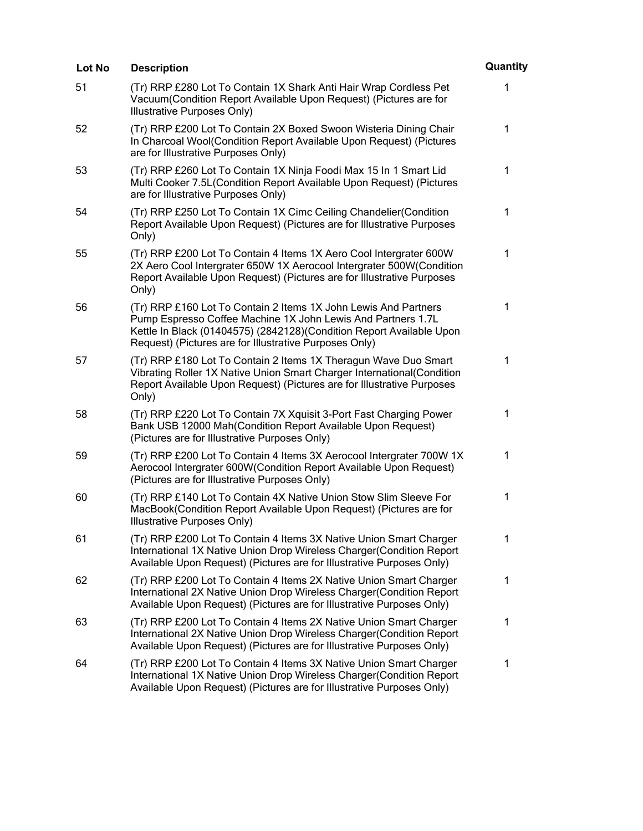| Lot No | <b>Description</b>                                                                                                                                                                                                                                                 | Quantity    |
|--------|--------------------------------------------------------------------------------------------------------------------------------------------------------------------------------------------------------------------------------------------------------------------|-------------|
| 51     | (Tr) RRP £280 Lot To Contain 1X Shark Anti Hair Wrap Cordless Pet<br>Vacuum(Condition Report Available Upon Request) (Pictures are for<br>Illustrative Purposes Only)                                                                                              | 1           |
| 52     | (Tr) RRP £200 Lot To Contain 2X Boxed Swoon Wisteria Dining Chair<br>In Charcoal Wool(Condition Report Available Upon Request) (Pictures<br>are for Illustrative Purposes Only)                                                                                    | 1           |
| 53     | (Tr) RRP £260 Lot To Contain 1X Ninja Foodi Max 15 In 1 Smart Lid<br>Multi Cooker 7.5L (Condition Report Available Upon Request) (Pictures<br>are for Illustrative Purposes Only)                                                                                  | $\mathbf 1$ |
| 54     | (Tr) RRP £250 Lot To Contain 1X Cimc Ceiling Chandelier (Condition<br>Report Available Upon Request) (Pictures are for Illustrative Purposes<br>Only)                                                                                                              | 1           |
| 55     | (Tr) RRP £200 Lot To Contain 4 Items 1X Aero Cool Intergrater 600W<br>2X Aero Cool Intergrater 650W 1X Aerocool Intergrater 500W(Condition<br>Report Available Upon Request) (Pictures are for Illustrative Purposes<br>Only)                                      | 1           |
| 56     | (Tr) RRP £160 Lot To Contain 2 Items 1X John Lewis And Partners<br>Pump Espresso Coffee Machine 1X John Lewis And Partners 1.7L<br>Kettle In Black (01404575) (2842128) (Condition Report Available Upon<br>Request) (Pictures are for Illustrative Purposes Only) | $\mathbf 1$ |
| 57     | (Tr) RRP £180 Lot To Contain 2 Items 1X Theragun Wave Duo Smart<br>Vibrating Roller 1X Native Union Smart Charger International(Condition<br>Report Available Upon Request) (Pictures are for Illustrative Purposes<br>Only)                                       | $\mathbf 1$ |
| 58     | (Tr) RRP £220 Lot To Contain 7X Xquisit 3-Port Fast Charging Power<br>Bank USB 12000 Mah(Condition Report Available Upon Request)<br>(Pictures are for Illustrative Purposes Only)                                                                                 | 1           |
| 59     | (Tr) RRP £200 Lot To Contain 4 Items 3X Aerocool Intergrater 700W 1X<br>Aerocool Intergrater 600W(Condition Report Available Upon Request)<br>(Pictures are for Illustrative Purposes Only)                                                                        | $\mathbf 1$ |
| 60     | (Tr) RRP £140 Lot To Contain 4X Native Union Stow Slim Sleeve For<br>MacBook(Condition Report Available Upon Request) (Pictures are for<br>Illustrative Purposes Only)                                                                                             | 1           |
| 61     | (Tr) RRP £200 Lot To Contain 4 Items 3X Native Union Smart Charger<br>International 1X Native Union Drop Wireless Charger(Condition Report<br>Available Upon Request) (Pictures are for Illustrative Purposes Only)                                                | 1           |
| 62     | (Tr) RRP £200 Lot To Contain 4 Items 2X Native Union Smart Charger<br>International 2X Native Union Drop Wireless Charger(Condition Report<br>Available Upon Request) (Pictures are for Illustrative Purposes Only)                                                | 1           |
| 63     | (Tr) RRP £200 Lot To Contain 4 Items 2X Native Union Smart Charger<br>International 2X Native Union Drop Wireless Charger(Condition Report<br>Available Upon Request) (Pictures are for Illustrative Purposes Only)                                                | 1           |
| 64     | (Tr) RRP £200 Lot To Contain 4 Items 3X Native Union Smart Charger<br>International 1X Native Union Drop Wireless Charger(Condition Report<br>Available Upon Request) (Pictures are for Illustrative Purposes Only)                                                | 1           |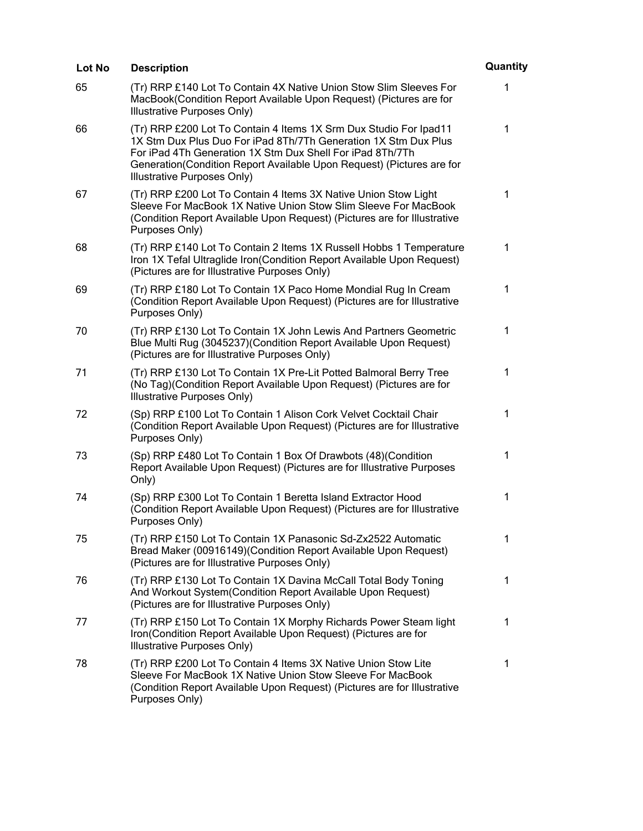| Lot No | <b>Description</b>                                                                                                                                                                                                                                                                                        | Quantity     |
|--------|-----------------------------------------------------------------------------------------------------------------------------------------------------------------------------------------------------------------------------------------------------------------------------------------------------------|--------------|
| 65     | (Tr) RRP £140 Lot To Contain 4X Native Union Stow Slim Sleeves For<br>MacBook(Condition Report Available Upon Request) (Pictures are for<br>Illustrative Purposes Only)                                                                                                                                   | 1            |
| 66     | (Tr) RRP £200 Lot To Contain 4 Items 1X Srm Dux Studio For Ipad11<br>1X Stm Dux Plus Duo For iPad 8Th/7Th Generation 1X Stm Dux Plus<br>For iPad 4Th Generation 1X Stm Dux Shell For iPad 8Th/7Th<br>Generation(Condition Report Available Upon Request) (Pictures are for<br>Illustrative Purposes Only) | 1            |
| 67     | (Tr) RRP £200 Lot To Contain 4 Items 3X Native Union Stow Light<br>Sleeve For MacBook 1X Native Union Stow Slim Sleeve For MacBook<br>(Condition Report Available Upon Request) (Pictures are for Illustrative<br>Purposes Only)                                                                          | $\mathbf{1}$ |
| 68     | (Tr) RRP £140 Lot To Contain 2 Items 1X Russell Hobbs 1 Temperature<br>Iron 1X Tefal Ultraglide Iron(Condition Report Available Upon Request)<br>(Pictures are for Illustrative Purposes Only)                                                                                                            | $\mathbf 1$  |
| 69     | (Tr) RRP £180 Lot To Contain 1X Paco Home Mondial Rug In Cream<br>(Condition Report Available Upon Request) (Pictures are for Illustrative<br>Purposes Only)                                                                                                                                              | $\mathbf 1$  |
| 70     | (Tr) RRP £130 Lot To Contain 1X John Lewis And Partners Geometric<br>Blue Multi Rug (3045237)(Condition Report Available Upon Request)<br>(Pictures are for Illustrative Purposes Only)                                                                                                                   | 1            |
| 71     | (Tr) RRP £130 Lot To Contain 1X Pre-Lit Potted Balmoral Berry Tree<br>(No Tag) (Condition Report Available Upon Request) (Pictures are for<br>Illustrative Purposes Only)                                                                                                                                 | 1            |
| 72     | (Sp) RRP £100 Lot To Contain 1 Alison Cork Velvet Cocktail Chair<br>(Condition Report Available Upon Request) (Pictures are for Illustrative<br>Purposes Only)                                                                                                                                            | 1            |
| 73     | (Sp) RRP £480 Lot To Contain 1 Box Of Drawbots (48)(Condition<br>Report Available Upon Request) (Pictures are for Illustrative Purposes<br>Only)                                                                                                                                                          | $\mathbf 1$  |
| 74     | (Sp) RRP £300 Lot To Contain 1 Beretta Island Extractor Hood<br>(Condition Report Available Upon Request) (Pictures are for Illustrative<br>Purposes Only)                                                                                                                                                | 1            |
| 75     | (Tr) RRP £150 Lot To Contain 1X Panasonic Sd-Zx2522 Automatic<br>Bread Maker (00916149) (Condition Report Available Upon Request)<br>(Pictures are for Illustrative Purposes Only)                                                                                                                        | 1            |
| 76     | (Tr) RRP £130 Lot To Contain 1X Davina McCall Total Body Toning<br>And Workout System(Condition Report Available Upon Request)<br>(Pictures are for Illustrative Purposes Only)                                                                                                                           | 1            |
| 77     | (Tr) RRP £150 Lot To Contain 1X Morphy Richards Power Steam light<br>Iron(Condition Report Available Upon Request) (Pictures are for<br>Illustrative Purposes Only)                                                                                                                                       | 1            |
| 78     | (Tr) RRP £200 Lot To Contain 4 Items 3X Native Union Stow Lite<br>Sleeve For MacBook 1X Native Union Stow Sleeve For MacBook<br>(Condition Report Available Upon Request) (Pictures are for Illustrative<br>Purposes Only)                                                                                | 1            |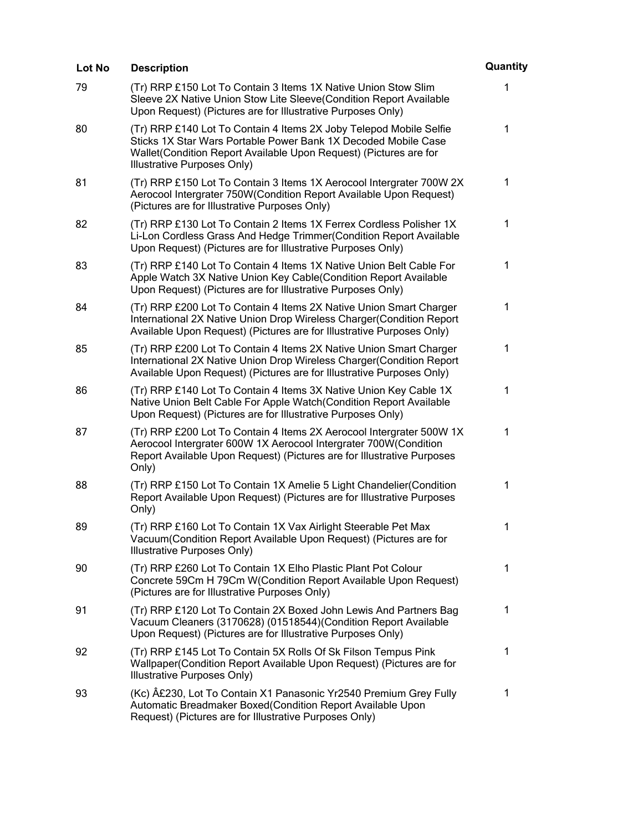| Lot No | <b>Description</b>                                                                                                                                                                                                                        | Quantity     |
|--------|-------------------------------------------------------------------------------------------------------------------------------------------------------------------------------------------------------------------------------------------|--------------|
| 79     | (Tr) RRP £150 Lot To Contain 3 Items 1X Native Union Stow Slim<br>Sleeve 2X Native Union Stow Lite Sleeve(Condition Report Available<br>Upon Request) (Pictures are for Illustrative Purposes Only)                                       | 1            |
| 80     | (Tr) RRP £140 Lot To Contain 4 Items 2X Joby Telepod Mobile Selfie<br>Sticks 1X Star Wars Portable Power Bank 1X Decoded Mobile Case<br>Wallet (Condition Report Available Upon Request) (Pictures are for<br>Illustrative Purposes Only) | 1            |
| 81     | (Tr) RRP £150 Lot To Contain 3 Items 1X Aerocool Intergrater 700W 2X<br>Aerocool Intergrater 750W(Condition Report Available Upon Request)<br>(Pictures are for Illustrative Purposes Only)                                               | $\mathbf{1}$ |
| 82     | (Tr) RRP £130 Lot To Contain 2 Items 1X Ferrex Cordless Polisher 1X<br>Li-Lon Cordless Grass And Hedge Trimmer (Condition Report Available<br>Upon Request) (Pictures are for Illustrative Purposes Only)                                 | 1            |
| 83     | (Tr) RRP £140 Lot To Contain 4 Items 1X Native Union Belt Cable For<br>Apple Watch 3X Native Union Key Cable(Condition Report Available<br>Upon Request) (Pictures are for Illustrative Purposes Only)                                    | 1            |
| 84     | (Tr) RRP £200 Lot To Contain 4 Items 2X Native Union Smart Charger<br>International 2X Native Union Drop Wireless Charger(Condition Report<br>Available Upon Request) (Pictures are for Illustrative Purposes Only)                       | 1            |
| 85     | (Tr) RRP £200 Lot To Contain 4 Items 2X Native Union Smart Charger<br>International 2X Native Union Drop Wireless Charger(Condition Report<br>Available Upon Request) (Pictures are for Illustrative Purposes Only)                       | 1            |
| 86     | (Tr) RRP £140 Lot To Contain 4 Items 3X Native Union Key Cable 1X<br>Native Union Belt Cable For Apple Watch(Condition Report Available<br>Upon Request) (Pictures are for Illustrative Purposes Only)                                    | 1            |
| 87     | (Tr) RRP £200 Lot To Contain 4 Items 2X Aerocool Intergrater 500W 1X<br>Aerocool Intergrater 600W 1X Aerocool Intergrater 700W(Condition<br>Report Available Upon Request) (Pictures are for Illustrative Purposes<br>Only)               | 1            |
| 88     | (Tr) RRP £150 Lot To Contain 1X Amelie 5 Light Chandelier (Condition<br>Report Available Upon Request) (Pictures are for Illustrative Purposes<br>Only)                                                                                   | 1            |
| 89     | (Tr) RRP £160 Lot To Contain 1X Vax Airlight Steerable Pet Max<br>Vacuum (Condition Report Available Upon Request) (Pictures are for<br>Illustrative Purposes Only)                                                                       | 1            |
| 90     | (Tr) RRP £260 Lot To Contain 1X Elho Plastic Plant Pot Colour<br>Concrete 59Cm H 79Cm W(Condition Report Available Upon Request)<br>(Pictures are for Illustrative Purposes Only)                                                         | 1            |
| 91     | (Tr) RRP £120 Lot To Contain 2X Boxed John Lewis And Partners Bag<br>Vacuum Cleaners (3170628) (01518544) (Condition Report Available<br>Upon Request) (Pictures are for Illustrative Purposes Only)                                      | 1            |
| 92     | (Tr) RRP £145 Lot To Contain 5X Rolls Of Sk Filson Tempus Pink<br>Wallpaper(Condition Report Available Upon Request) (Pictures are for<br>Illustrative Purposes Only)                                                                     | 1            |
| 93     | (Kc) A£230, Lot To Contain X1 Panasonic Yr2540 Premium Grey Fully<br>Automatic Breadmaker Boxed(Condition Report Available Upon<br>Request) (Pictures are for Illustrative Purposes Only)                                                 | 1            |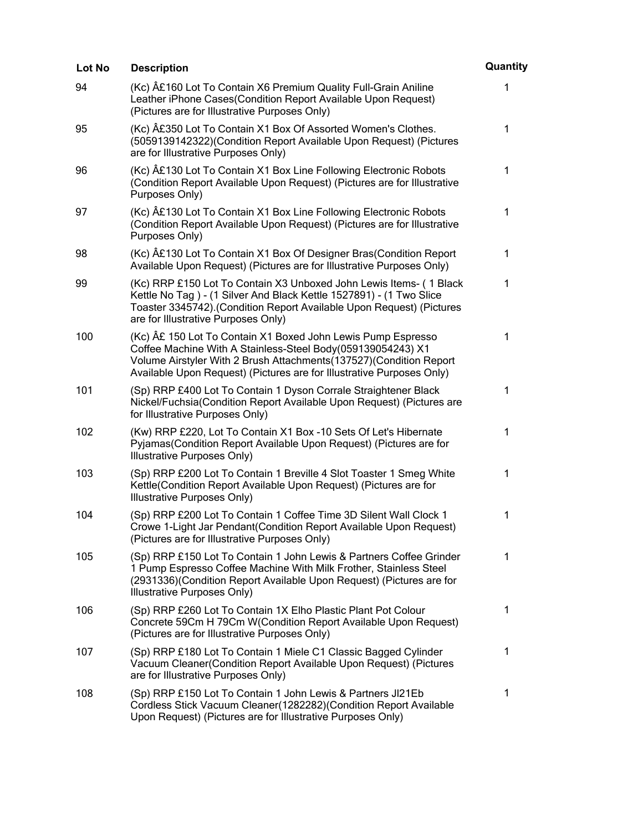| Lot No | <b>Description</b>                                                                                                                                                                                                                                                        | Quantity     |
|--------|---------------------------------------------------------------------------------------------------------------------------------------------------------------------------------------------------------------------------------------------------------------------------|--------------|
| 94     | (Kc) £160 Lot To Contain X6 Premium Quality Full-Grain Aniline<br>Leather iPhone Cases(Condition Report Available Upon Request)<br>(Pictures are for Illustrative Purposes Only)                                                                                          | 1            |
| 95     | (Kc) £350 Lot To Contain X1 Box Of Assorted Women's Clothes.<br>(5059139142322)(Condition Report Available Upon Request) (Pictures<br>are for Illustrative Purposes Only)                                                                                                 | 1            |
| 96     | (Kc) A£130 Lot To Contain X1 Box Line Following Electronic Robots<br>(Condition Report Available Upon Request) (Pictures are for Illustrative<br>Purposes Only)                                                                                                           | 1            |
| 97     | (Kc) £130 Lot To Contain X1 Box Line Following Electronic Robots<br>(Condition Report Available Upon Request) (Pictures are for Illustrative<br>Purposes Only)                                                                                                            | 1            |
| 98     | (Kc) £130 Lot To Contain X1 Box Of Designer Bras(Condition Report<br>Available Upon Request) (Pictures are for Illustrative Purposes Only)                                                                                                                                | 1            |
| 99     | (Kc) RRP £150 Lot To Contain X3 Unboxed John Lewis Items- (1 Black<br>Kettle No Tag) - (1 Silver And Black Kettle 1527891) - (1 Two Slice<br>Toaster 3345742). (Condition Report Available Upon Request) (Pictures<br>are for Illustrative Purposes Only)                 | $\mathbf{1}$ |
| 100    | (Kc) £ 150 Lot To Contain X1 Boxed John Lewis Pump Espresso<br>Coffee Machine With A Stainless-Steel Body(059139054243) X1<br>Volume Airstyler With 2 Brush Attachments(137527)(Condition Report<br>Available Upon Request) (Pictures are for Illustrative Purposes Only) | 1            |
| 101    | (Sp) RRP £400 Lot To Contain 1 Dyson Corrale Straightener Black<br>Nickel/Fuchsia(Condition Report Available Upon Request) (Pictures are<br>for Illustrative Purposes Only)                                                                                               | 1            |
| 102    | (Kw) RRP £220, Lot To Contain X1 Box -10 Sets Of Let's Hibernate<br>Pyjamas(Condition Report Available Upon Request) (Pictures are for<br>Illustrative Purposes Only)                                                                                                     | 1            |
| 103    | (Sp) RRP £200 Lot To Contain 1 Breville 4 Slot Toaster 1 Smeg White<br>Kettle(Condition Report Available Upon Request) (Pictures are for<br>Illustrative Purposes Only)                                                                                                   | 1            |
| 104    | (Sp) RRP £200 Lot To Contain 1 Coffee Time 3D Silent Wall Clock 1<br>Crowe 1-Light Jar Pendant(Condition Report Available Upon Request)<br>(Pictures are for Illustrative Purposes Only)                                                                                  | 1            |
| 105    | (Sp) RRP £150 Lot To Contain 1 John Lewis & Partners Coffee Grinder<br>1 Pump Espresso Coffee Machine With Milk Frother, Stainless Steel<br>(2931336) (Condition Report Available Upon Request) (Pictures are for<br>Illustrative Purposes Only)                          | 1            |
| 106    | (Sp) RRP £260 Lot To Contain 1X Elho Plastic Plant Pot Colour<br>Concrete 59Cm H 79Cm W(Condition Report Available Upon Request)<br>(Pictures are for Illustrative Purposes Only)                                                                                         | 1            |
| 107    | (Sp) RRP £180 Lot To Contain 1 Miele C1 Classic Bagged Cylinder<br>Vacuum Cleaner(Condition Report Available Upon Request) (Pictures<br>are for Illustrative Purposes Only)                                                                                               | 1            |
| 108    | (Sp) RRP £150 Lot To Contain 1 John Lewis & Partners JI21Eb<br>Cordless Stick Vacuum Cleaner(1282282)(Condition Report Available<br>Upon Request) (Pictures are for Illustrative Purposes Only)                                                                           | 1            |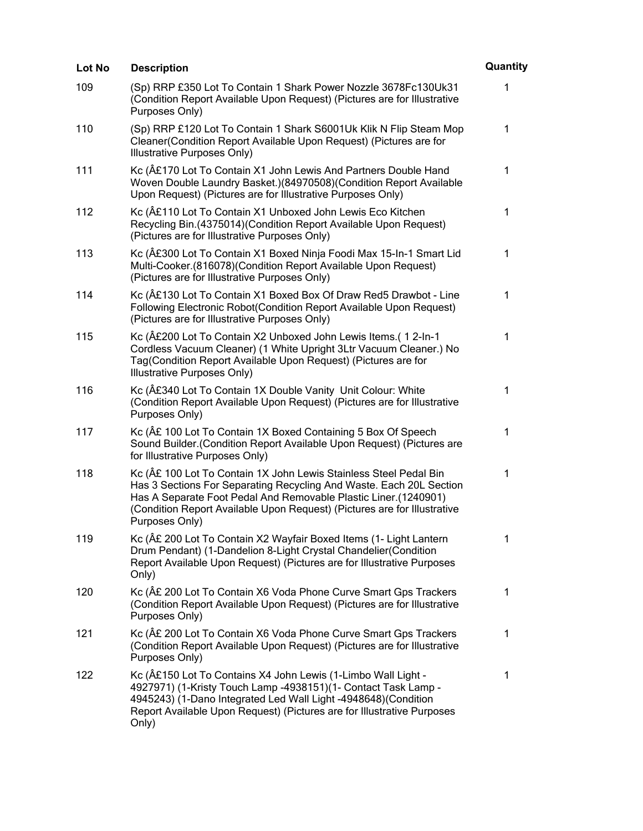| Lot No | <b>Description</b>                                                                                                                                                                                                                                                                                       | Quantity     |
|--------|----------------------------------------------------------------------------------------------------------------------------------------------------------------------------------------------------------------------------------------------------------------------------------------------------------|--------------|
| 109    | (Sp) RRP £350 Lot To Contain 1 Shark Power Nozzle 3678Fc130Uk31<br>(Condition Report Available Upon Request) (Pictures are for Illustrative<br>Purposes Only)                                                                                                                                            | 1            |
| 110    | (Sp) RRP £120 Lot To Contain 1 Shark S6001Uk Klik N Flip Steam Mop<br>Cleaner(Condition Report Available Upon Request) (Pictures are for<br>Illustrative Purposes Only)                                                                                                                                  | 1            |
| 111    | Kc (£170 Lot To Contain X1 John Lewis And Partners Double Hand<br>Woven Double Laundry Basket.)(84970508)(Condition Report Available<br>Upon Request) (Pictures are for Illustrative Purposes Only)                                                                                                      | 1            |
| 112    | Kc (£110 Lot To Contain X1 Unboxed John Lewis Eco Kitchen<br>Recycling Bin.(4375014)(Condition Report Available Upon Request)<br>(Pictures are for Illustrative Purposes Only)                                                                                                                           | 1            |
| 113    | Kc (£300 Lot To Contain X1 Boxed Ninja Foodi Max 15-In-1 Smart Lid<br>Multi-Cooker.(816078)(Condition Report Available Upon Request)<br>(Pictures are for Illustrative Purposes Only)                                                                                                                    | 1            |
| 114    | Kc (£130 Lot To Contain X1 Boxed Box Of Draw Red5 Drawbot - Line<br>Following Electronic Robot(Condition Report Available Upon Request)<br>(Pictures are for Illustrative Purposes Only)                                                                                                                 | $\mathbf{1}$ |
| 115    | Kc (£200 Lot To Contain X2 Unboxed John Lewis Items.(12-In-1<br>Cordless Vacuum Cleaner) (1 White Upright 3Ltr Vacuum Cleaner.) No<br>Tag(Condition Report Available Upon Request) (Pictures are for<br>Illustrative Purposes Only)                                                                      | 1            |
| 116    | Kc (£340 Lot To Contain 1X Double Vanity Unit Colour: White<br>(Condition Report Available Upon Request) (Pictures are for Illustrative<br>Purposes Only)                                                                                                                                                | 1            |
| 117    | Kc (A£ 100 Lot To Contain 1X Boxed Containing 5 Box Of Speech<br>Sound Builder. (Condition Report Available Upon Request) (Pictures are<br>for Illustrative Purposes Only)                                                                                                                               | 1            |
| 118    | Kc (£ 100 Lot To Contain 1X John Lewis Stainless Steel Pedal Bin<br>Has 3 Sections For Separating Recycling And Waste. Each 20L Section<br>Has A Separate Foot Pedal And Removable Plastic Liner.(1240901)<br>(Condition Report Available Upon Request) (Pictures are for Illustrative<br>Purposes Only) | 1            |
| 119    | Kc (£ 200 Lot To Contain X2 Wayfair Boxed Items (1- Light Lantern<br>Drum Pendant) (1-Dandelion 8-Light Crystal Chandelier(Condition<br>Report Available Upon Request) (Pictures are for Illustrative Purposes<br>Only)                                                                                  | 1            |
| 120    | Kc (£ 200 Lot To Contain X6 Voda Phone Curve Smart Gps Trackers<br>(Condition Report Available Upon Request) (Pictures are for Illustrative<br>Purposes Only)                                                                                                                                            | 1            |
| 121    | Kc (£ 200 Lot To Contain X6 Voda Phone Curve Smart Gps Trackers<br>(Condition Report Available Upon Request) (Pictures are for Illustrative<br>Purposes Only)                                                                                                                                            | 1            |
| 122    | Kc (£150 Lot To Contains X4 John Lewis (1-Limbo Wall Light -<br>4927971) (1-Kristy Touch Lamp -4938151)(1- Contact Task Lamp -<br>4945243) (1-Dano Integrated Led Wall Light -4948648) (Condition<br>Report Available Upon Request) (Pictures are for Illustrative Purposes<br>Only)                     | 1            |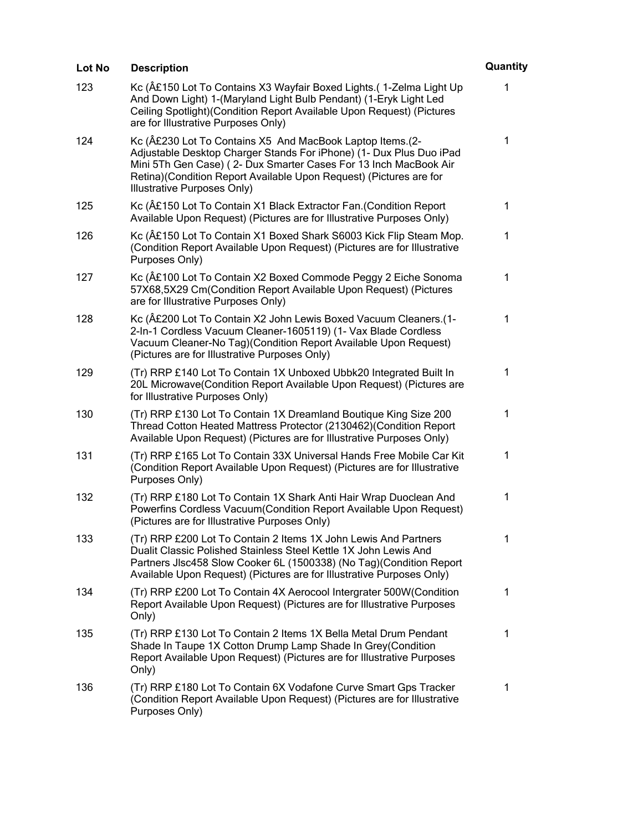| Lot No | <b>Description</b>                                                                                                                                                                                                                                                                                         | Quantity    |
|--------|------------------------------------------------------------------------------------------------------------------------------------------------------------------------------------------------------------------------------------------------------------------------------------------------------------|-------------|
| 123    | Kc (£150 Lot To Contains X3 Wayfair Boxed Lights. (1-Zelma Light Up<br>And Down Light) 1-(Maryland Light Bulb Pendant) (1-Eryk Light Led<br>Ceiling Spotlight) (Condition Report Available Upon Request) (Pictures<br>are for Illustrative Purposes Only)                                                  | 1           |
| 124    | Kc (£230 Lot To Contains X5 And MacBook Laptop Items. (2-<br>Adjustable Desktop Charger Stands For iPhone) (1- Dux Plus Duo iPad<br>Mini 5Th Gen Case) (2- Dux Smarter Cases For 13 Inch MacBook Air<br>Retina) (Condition Report Available Upon Request) (Pictures are for<br>Illustrative Purposes Only) | 1           |
| 125    | Kc (£150 Lot To Contain X1 Black Extractor Fan. (Condition Report<br>Available Upon Request) (Pictures are for Illustrative Purposes Only)                                                                                                                                                                 | $\mathbf 1$ |
| 126    | Kc (£150 Lot To Contain X1 Boxed Shark S6003 Kick Flip Steam Mop.<br>(Condition Report Available Upon Request) (Pictures are for Illustrative<br>Purposes Only)                                                                                                                                            | 1           |
| 127    | Kc (£100 Lot To Contain X2 Boxed Commode Peggy 2 Eiche Sonoma<br>57X68,5X29 Cm(Condition Report Available Upon Request) (Pictures<br>are for Illustrative Purposes Only)                                                                                                                                   | 1           |
| 128    | Kc (Ä£200 Lot To Contain X2 John Lewis Boxed Vacuum Cleaners.(1-<br>2-In-1 Cordless Vacuum Cleaner-1605119) (1- Vax Blade Cordless<br>Vacuum Cleaner-No Tag) (Condition Report Available Upon Request)<br>(Pictures are for Illustrative Purposes Only)                                                    | 1           |
| 129    | (Tr) RRP £140 Lot To Contain 1X Unboxed Ubbk20 Integrated Built In<br>20L Microwave(Condition Report Available Upon Request) (Pictures are<br>for Illustrative Purposes Only)                                                                                                                              | 1           |
| 130    | (Tr) RRP £130 Lot To Contain 1X Dreamland Boutique King Size 200<br>Thread Cotton Heated Mattress Protector (2130462) (Condition Report<br>Available Upon Request) (Pictures are for Illustrative Purposes Only)                                                                                           | 1           |
| 131    | (Tr) RRP £165 Lot To Contain 33X Universal Hands Free Mobile Car Kit<br>(Condition Report Available Upon Request) (Pictures are for Illustrative<br>Purposes Only)                                                                                                                                         | 1           |
| 132    | (Tr) RRP £180 Lot To Contain 1X Shark Anti Hair Wrap Duoclean And<br>Powerfins Cordless Vacuum (Condition Report Available Upon Request)<br>(Pictures are for Illustrative Purposes Only)                                                                                                                  | 1           |
| 133    | (Tr) RRP £200 Lot To Contain 2 Items 1X John Lewis And Partners<br>Dualit Classic Polished Stainless Steel Kettle 1X John Lewis And<br>Partners JIsc458 Slow Cooker 6L (1500338) (No Tag) (Condition Report<br>Available Upon Request) (Pictures are for Illustrative Purposes Only)                       | 1           |
| 134    | (Tr) RRP £200 Lot To Contain 4X Aerocool Intergrater 500W(Condition<br>Report Available Upon Request) (Pictures are for Illustrative Purposes<br>Only)                                                                                                                                                     | 1           |
| 135    | (Tr) RRP £130 Lot To Contain 2 Items 1X Bella Metal Drum Pendant<br>Shade In Taupe 1X Cotton Drump Lamp Shade In Grey(Condition<br>Report Available Upon Request) (Pictures are for Illustrative Purposes<br>Only)                                                                                         | 1           |
| 136    | (Tr) RRP £180 Lot To Contain 6X Vodafone Curve Smart Gps Tracker<br>(Condition Report Available Upon Request) (Pictures are for Illustrative<br>Purposes Only)                                                                                                                                             | 1           |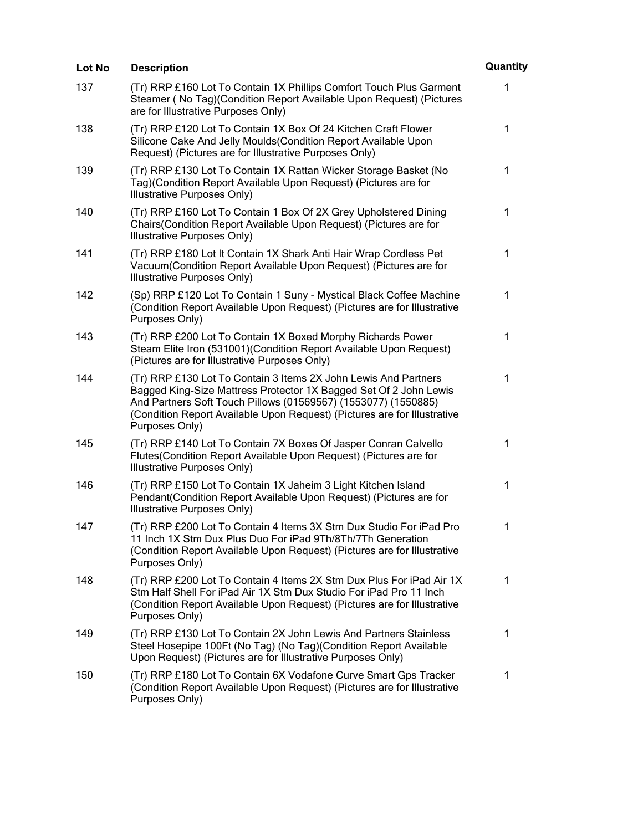| Lot No | <b>Description</b>                                                                                                                                                                                                                                                                                   | Quantity     |
|--------|------------------------------------------------------------------------------------------------------------------------------------------------------------------------------------------------------------------------------------------------------------------------------------------------------|--------------|
| 137    | (Tr) RRP £160 Lot To Contain 1X Phillips Comfort Touch Plus Garment<br>Steamer (No Tag) (Condition Report Available Upon Request) (Pictures<br>are for Illustrative Purposes Only)                                                                                                                   | $\mathbf{1}$ |
| 138    | (Tr) RRP £120 Lot To Contain 1X Box Of 24 Kitchen Craft Flower<br>Silicone Cake And Jelly Moulds (Condition Report Available Upon<br>Request) (Pictures are for Illustrative Purposes Only)                                                                                                          | 1            |
| 139    | (Tr) RRP £130 Lot To Contain 1X Rattan Wicker Storage Basket (No<br>Tag)(Condition Report Available Upon Request) (Pictures are for<br>Illustrative Purposes Only)                                                                                                                                   | 1            |
| 140    | (Tr) RRP £160 Lot To Contain 1 Box Of 2X Grey Upholstered Dining<br>Chairs(Condition Report Available Upon Request) (Pictures are for<br>Illustrative Purposes Only)                                                                                                                                 | 1            |
| 141    | (Tr) RRP £180 Lot It Contain 1X Shark Anti Hair Wrap Cordless Pet<br>Vacuum (Condition Report Available Upon Request) (Pictures are for<br>Illustrative Purposes Only)                                                                                                                               | 1            |
| 142    | (Sp) RRP £120 Lot To Contain 1 Suny - Mystical Black Coffee Machine<br>(Condition Report Available Upon Request) (Pictures are for Illustrative<br>Purposes Only)                                                                                                                                    | $\mathbf 1$  |
| 143    | (Tr) RRP £200 Lot To Contain 1X Boxed Morphy Richards Power<br>Steam Elite Iron (531001) (Condition Report Available Upon Request)<br>(Pictures are for Illustrative Purposes Only)                                                                                                                  | 1            |
| 144    | (Tr) RRP £130 Lot To Contain 3 Items 2X John Lewis And Partners<br>Bagged King-Size Mattress Protector 1X Bagged Set Of 2 John Lewis<br>And Partners Soft Touch Pillows (01569567) (1553077) (1550885)<br>(Condition Report Available Upon Request) (Pictures are for Illustrative<br>Purposes Only) | 1            |
| 145    | (Tr) RRP £140 Lot To Contain 7X Boxes Of Jasper Conran Calvello<br>Flutes(Condition Report Available Upon Request) (Pictures are for<br>Illustrative Purposes Only)                                                                                                                                  | 1            |
| 146    | (Tr) RRP £150 Lot To Contain 1X Jaheim 3 Light Kitchen Island<br>Pendant (Condition Report Available Upon Request) (Pictures are for<br>Illustrative Purposes Only)                                                                                                                                  | 1            |
| 147    | (Tr) RRP £200 Lot To Contain 4 Items 3X Stm Dux Studio For iPad Pro<br>11 Inch 1X Stm Dux Plus Duo For iPad 9Th/8Th/7Th Generation<br>(Condition Report Available Upon Request) (Pictures are for Illustrative<br>Purposes Only)                                                                     | 1            |
| 148    | (Tr) RRP £200 Lot To Contain 4 Items 2X Stm Dux Plus For iPad Air 1X<br>Stm Half Shell For iPad Air 1X Stm Dux Studio For iPad Pro 11 Inch<br>(Condition Report Available Upon Request) (Pictures are for Illustrative<br>Purposes Only)                                                             | $\mathbf 1$  |
| 149    | (Tr) RRP £130 Lot To Contain 2X John Lewis And Partners Stainless<br>Steel Hosepipe 100Ft (No Tag) (No Tag) (Condition Report Available<br>Upon Request) (Pictures are for Illustrative Purposes Only)                                                                                               | $\mathbf 1$  |
| 150    | (Tr) RRP £180 Lot To Contain 6X Vodafone Curve Smart Gps Tracker<br>(Condition Report Available Upon Request) (Pictures are for Illustrative<br>Purposes Only)                                                                                                                                       | 1            |
|        |                                                                                                                                                                                                                                                                                                      |              |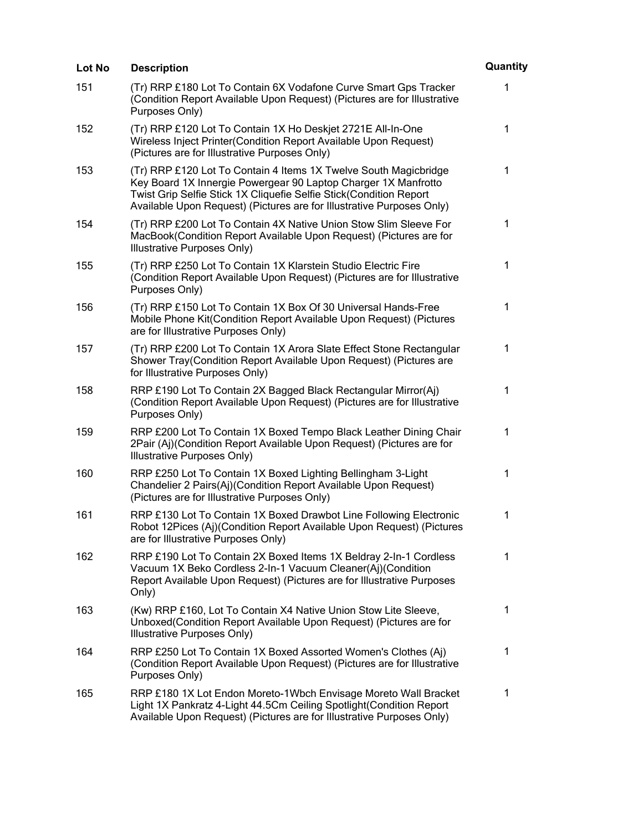| Lot No | <b>Description</b>                                                                                                                                                                                                                                                                | Quantity     |
|--------|-----------------------------------------------------------------------------------------------------------------------------------------------------------------------------------------------------------------------------------------------------------------------------------|--------------|
| 151    | (Tr) RRP £180 Lot To Contain 6X Vodafone Curve Smart Gps Tracker<br>(Condition Report Available Upon Request) (Pictures are for Illustrative<br>Purposes Only)                                                                                                                    | 1            |
| 152    | (Tr) RRP £120 Lot To Contain 1X Ho Deskjet 2721E All-In-One<br>Wireless Inject Printer(Condition Report Available Upon Request)<br>(Pictures are for Illustrative Purposes Only)                                                                                                  | 1            |
| 153    | (Tr) RRP £120 Lot To Contain 4 Items 1X Twelve South Magicbridge<br>Key Board 1X Innergie Powergear 90 Laptop Charger 1X Manfrotto<br>Twist Grip Selfie Stick 1X Cliquefie Selfie Stick(Condition Report<br>Available Upon Request) (Pictures are for Illustrative Purposes Only) | 1            |
| 154    | (Tr) RRP £200 Lot To Contain 4X Native Union Stow Slim Sleeve For<br>MacBook(Condition Report Available Upon Request) (Pictures are for<br>Illustrative Purposes Only)                                                                                                            | $\mathbf 1$  |
| 155    | (Tr) RRP £250 Lot To Contain 1X Klarstein Studio Electric Fire<br>(Condition Report Available Upon Request) (Pictures are for Illustrative<br>Purposes Only)                                                                                                                      | 1            |
| 156    | (Tr) RRP £150 Lot To Contain 1X Box Of 30 Universal Hands-Free<br>Mobile Phone Kit(Condition Report Available Upon Request) (Pictures<br>are for Illustrative Purposes Only)                                                                                                      | $\mathbf{1}$ |
| 157    | (Tr) RRP £200 Lot To Contain 1X Arora Slate Effect Stone Rectangular<br>Shower Tray(Condition Report Available Upon Request) (Pictures are<br>for Illustrative Purposes Only)                                                                                                     | 1            |
| 158    | RRP £190 Lot To Contain 2X Bagged Black Rectangular Mirror(Aj)<br>(Condition Report Available Upon Request) (Pictures are for Illustrative<br>Purposes Only)                                                                                                                      | 1            |
| 159    | RRP £200 Lot To Contain 1X Boxed Tempo Black Leather Dining Chair<br>2Pair (Aj)(Condition Report Available Upon Request) (Pictures are for<br>Illustrative Purposes Only)                                                                                                         | 1            |
| 160    | RRP £250 Lot To Contain 1X Boxed Lighting Bellingham 3-Light<br>Chandelier 2 Pairs(Aj)(Condition Report Available Upon Request)<br>(Pictures are for Illustrative Purposes Only)                                                                                                  | 1            |
| 161    | RRP £130 Lot To Contain 1X Boxed Drawbot Line Following Electronic<br>Robot 12Pices (Aj)(Condition Report Available Upon Request) (Pictures<br>are for Illustrative Purposes Only)                                                                                                | 1            |
| 162    | RRP £190 Lot To Contain 2X Boxed Items 1X Beldray 2-In-1 Cordless<br>Vacuum 1X Beko Cordless 2-In-1 Vacuum Cleaner(Aj)(Condition<br>Report Available Upon Request) (Pictures are for Illustrative Purposes<br>Only)                                                               | 1            |
| 163    | (Kw) RRP £160, Lot To Contain X4 Native Union Stow Lite Sleeve,<br>Unboxed(Condition Report Available Upon Request) (Pictures are for<br>Illustrative Purposes Only)                                                                                                              | 1            |
| 164    | RRP £250 Lot To Contain 1X Boxed Assorted Women's Clothes (Aj)<br>(Condition Report Available Upon Request) (Pictures are for Illustrative<br>Purposes Only)                                                                                                                      | 1            |
| 165    | RRP £180 1X Lot Endon Moreto-1Wbch Envisage Moreto Wall Bracket<br>Light 1X Pankratz 4-Light 44.5Cm Ceiling Spotlight (Condition Report<br>Available Upon Request) (Pictures are for Illustrative Purposes Only)                                                                  | 1            |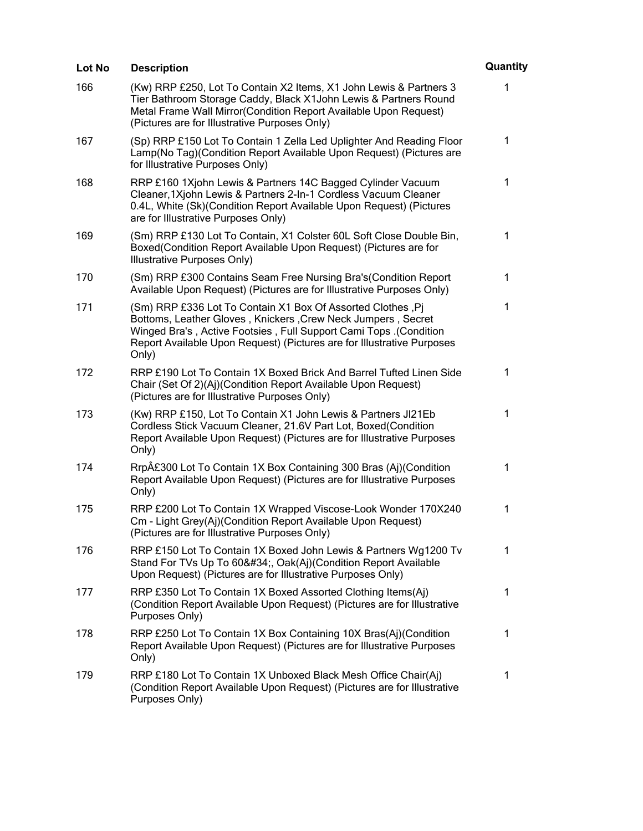| Lot No | <b>Description</b>                                                                                                                                                                                                                                                                         | Quantity    |
|--------|--------------------------------------------------------------------------------------------------------------------------------------------------------------------------------------------------------------------------------------------------------------------------------------------|-------------|
| 166    | (Kw) RRP £250, Lot To Contain X2 Items, X1 John Lewis & Partners 3<br>Tier Bathroom Storage Caddy, Black X1John Lewis & Partners Round<br>Metal Frame Wall Mirror(Condition Report Available Upon Request)<br>(Pictures are for Illustrative Purposes Only)                                | 1           |
| 167    | (Sp) RRP £150 Lot To Contain 1 Zella Led Uplighter And Reading Floor<br>Lamp(No Tag)(Condition Report Available Upon Request) (Pictures are<br>for Illustrative Purposes Only)                                                                                                             | 1           |
| 168    | RRP £160 1Xjohn Lewis & Partners 14C Bagged Cylinder Vacuum<br>Cleaner, 1Xjohn Lewis & Partners 2-In-1 Cordless Vacuum Cleaner<br>0.4L, White (Sk)(Condition Report Available Upon Request) (Pictures<br>are for Illustrative Purposes Only)                                               | 1           |
| 169    | (Sm) RRP £130 Lot To Contain, X1 Colster 60L Soft Close Double Bin,<br>Boxed(Condition Report Available Upon Request) (Pictures are for<br>Illustrative Purposes Only)                                                                                                                     | 1           |
| 170    | (Sm) RRP £300 Contains Seam Free Nursing Bra's (Condition Report<br>Available Upon Request) (Pictures are for Illustrative Purposes Only)                                                                                                                                                  | 1           |
| 171    | (Sm) RRP £336 Lot To Contain X1 Box Of Assorted Clothes, Pi<br>Bottoms, Leather Gloves, Knickers, Crew Neck Jumpers, Secret<br><b>Winged Bra's, Active Footsies, Full Support Cami Tops. (Condition</b><br>Report Available Upon Request) (Pictures are for Illustrative Purposes<br>Only) | $\mathbf 1$ |
| 172    | RRP £190 Lot To Contain 1X Boxed Brick And Barrel Tufted Linen Side<br>Chair (Set Of 2)(Aj)(Condition Report Available Upon Request)<br>(Pictures are for Illustrative Purposes Only)                                                                                                      | 1           |
| 173    | (Kw) RRP £150, Lot To Contain X1 John Lewis & Partners JI21Eb<br>Cordless Stick Vacuum Cleaner, 21.6V Part Lot, Boxed(Condition<br>Report Available Upon Request) (Pictures are for Illustrative Purposes<br>Only)                                                                         | 1           |
| 174    | Rrp£300 Lot To Contain 1X Box Containing 300 Bras (Aj)(Condition<br>Report Available Upon Request) (Pictures are for Illustrative Purposes<br>Only)                                                                                                                                        | 1           |
| 175    | RRP £200 Lot To Contain 1X Wrapped Viscose-Look Wonder 170X240<br>Cm - Light Grey(Aj)(Condition Report Available Upon Request)<br>(Pictures are for Illustrative Purposes Only)                                                                                                            | 1           |
| 176    | RRP £150 Lot To Contain 1X Boxed John Lewis & Partners Wg1200 Tv<br>Stand For TVs Up To 60", Oak(Aj)(Condition Report Available<br>Upon Request) (Pictures are for Illustrative Purposes Only)                                                                                             | 1           |
| 177    | RRP £350 Lot To Contain 1X Boxed Assorted Clothing Items(Aj)<br>(Condition Report Available Upon Request) (Pictures are for Illustrative<br>Purposes Only)                                                                                                                                 | 1           |
| 178    | RRP £250 Lot To Contain 1X Box Containing 10X Bras(Aj)(Condition<br>Report Available Upon Request) (Pictures are for Illustrative Purposes<br>Only)                                                                                                                                        | 1           |
| 179    | RRP £180 Lot To Contain 1X Unboxed Black Mesh Office Chair(Aj)<br>(Condition Report Available Upon Request) (Pictures are for Illustrative<br>Purposes Only)                                                                                                                               | 1           |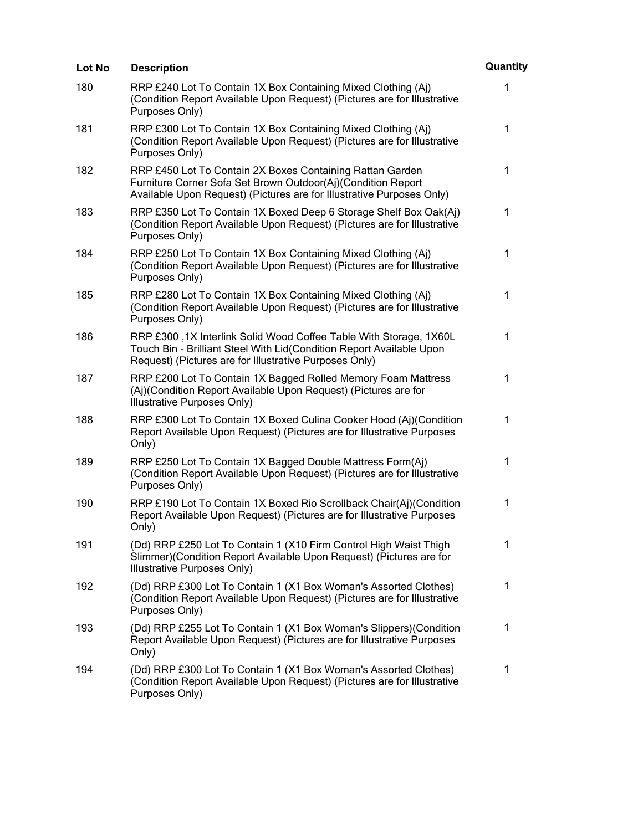| Lot No | <b>Description</b>                                                                                                                                                                                  | Quantity    |
|--------|-----------------------------------------------------------------------------------------------------------------------------------------------------------------------------------------------------|-------------|
| 180    | RRP £240 Lot To Contain 1X Box Containing Mixed Clothing (Aj)<br>(Condition Report Available Upon Request) (Pictures are for Illustrative<br>Purposes Only)                                         | 1           |
| 181    | RRP £300 Lot To Contain 1X Box Containing Mixed Clothing (Aj)<br>(Condition Report Available Upon Request) (Pictures are for Illustrative<br>Purposes Only)                                         | 1           |
| 182    | RRP £450 Lot To Contain 2X Boxes Containing Rattan Garden<br>Furniture Corner Sofa Set Brown Outdoor(Aj)(Condition Report<br>Available Upon Request) (Pictures are for Illustrative Purposes Only)  | $\mathbf 1$ |
| 183    | RRP £350 Lot To Contain 1X Boxed Deep 6 Storage Shelf Box Oak(Aj)<br>(Condition Report Available Upon Request) (Pictures are for Illustrative<br>Purposes Only)                                     | 1           |
| 184    | RRP £250 Lot To Contain 1X Box Containing Mixed Clothing (Aj)<br>(Condition Report Available Upon Request) (Pictures are for Illustrative<br>Purposes Only)                                         | 1           |
| 185    | RRP £280 Lot To Contain 1X Box Containing Mixed Clothing (Aj)<br>(Condition Report Available Upon Request) (Pictures are for Illustrative<br>Purposes Only)                                         | $\mathbf 1$ |
| 186    | RRP £300,1X Interlink Solid Wood Coffee Table With Storage, 1X60L<br>Touch Bin - Brilliant Steel With Lid(Condition Report Available Upon<br>Request) (Pictures are for Illustrative Purposes Only) | 1           |
| 187    | RRP £200 Lot To Contain 1X Bagged Rolled Memory Foam Mattress<br>(Aj)(Condition Report Available Upon Request) (Pictures are for<br>Illustrative Purposes Only)                                     | 1           |
| 188    | RRP £300 Lot To Contain 1X Boxed Culina Cooker Hood (Aj)(Condition<br>Report Available Upon Request) (Pictures are for Illustrative Purposes<br>Only)                                               | 1           |
| 189    | RRP £250 Lot To Contain 1X Bagged Double Mattress Form(Aj)<br>(Condition Report Available Upon Request) (Pictures are for Illustrative<br>Purposes Only)                                            | 1           |
| 190    | RRP £190 Lot To Contain 1X Boxed Rio Scrollback Chair(Aj)(Condition<br>Report Available Upon Request) (Pictures are for Illustrative Purposes<br>Only)                                              | 1           |
| 191    | (Dd) RRP £250 Lot To Contain 1 (X10 Firm Control High Waist Thigh<br>Slimmer)(Condition Report Available Upon Request) (Pictures are for<br>Illustrative Purposes Only)                             | 1           |
| 192    | (Dd) RRP £300 Lot To Contain 1 (X1 Box Woman's Assorted Clothes)<br>(Condition Report Available Upon Request) (Pictures are for Illustrative<br>Purposes Only)                                      | 1           |
| 193    | (Dd) RRP £255 Lot To Contain 1 (X1 Box Woman's Slippers) (Condition<br>Report Available Upon Request) (Pictures are for Illustrative Purposes<br>Only)                                              | $\mathbf 1$ |
| 194    | (Dd) RRP £300 Lot To Contain 1 (X1 Box Woman's Assorted Clothes)<br>(Condition Report Available Upon Request) (Pictures are for Illustrative<br>Purposes Only)                                      | $\mathbf 1$ |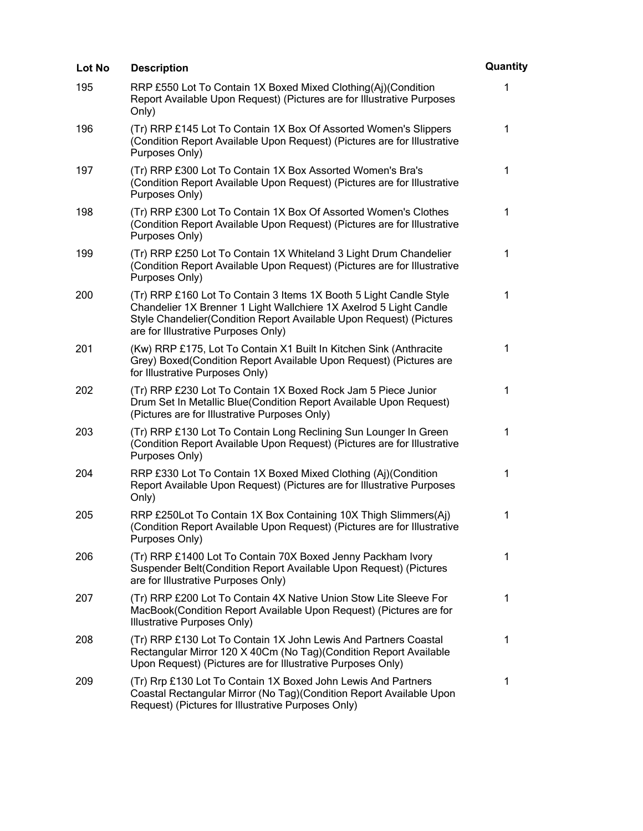| Lot No | <b>Description</b>                                                                                                                                                                                                                                      | Quantity    |
|--------|---------------------------------------------------------------------------------------------------------------------------------------------------------------------------------------------------------------------------------------------------------|-------------|
| 195    | RRP £550 Lot To Contain 1X Boxed Mixed Clothing(Aj)(Condition<br>Report Available Upon Request) (Pictures are for Illustrative Purposes<br>Only)                                                                                                        | 1           |
| 196    | (Tr) RRP £145 Lot To Contain 1X Box Of Assorted Women's Slippers<br>(Condition Report Available Upon Request) (Pictures are for Illustrative<br>Purposes Only)                                                                                          | $\mathbf 1$ |
| 197    | (Tr) RRP £300 Lot To Contain 1X Box Assorted Women's Bra's<br>(Condition Report Available Upon Request) (Pictures are for Illustrative<br>Purposes Only)                                                                                                | $\mathbf 1$ |
| 198    | (Tr) RRP £300 Lot To Contain 1X Box Of Assorted Women's Clothes<br>(Condition Report Available Upon Request) (Pictures are for Illustrative<br>Purposes Only)                                                                                           | 1           |
| 199    | (Tr) RRP £250 Lot To Contain 1X Whiteland 3 Light Drum Chandelier<br>(Condition Report Available Upon Request) (Pictures are for Illustrative<br>Purposes Only)                                                                                         | 1           |
| 200    | (Tr) RRP £160 Lot To Contain 3 Items 1X Booth 5 Light Candle Style<br>Chandelier 1X Brenner 1 Light Wallchiere 1X Axelrod 5 Light Candle<br>Style Chandelier (Condition Report Available Upon Request) (Pictures<br>are for Illustrative Purposes Only) | 1           |
| 201    | (Kw) RRP £175, Lot To Contain X1 Built In Kitchen Sink (Anthracite<br>Grey) Boxed(Condition Report Available Upon Request) (Pictures are<br>for Illustrative Purposes Only)                                                                             | 1           |
| 202    | (Tr) RRP £230 Lot To Contain 1X Boxed Rock Jam 5 Piece Junior<br>Drum Set In Metallic Blue(Condition Report Available Upon Request)<br>(Pictures are for Illustrative Purposes Only)                                                                    | 1           |
| 203    | (Tr) RRP £130 Lot To Contain Long Reclining Sun Lounger In Green<br>(Condition Report Available Upon Request) (Pictures are for Illustrative<br>Purposes Only)                                                                                          | 1           |
| 204    | RRP £330 Lot To Contain 1X Boxed Mixed Clothing (Aj)(Condition<br>Report Available Upon Request) (Pictures are for Illustrative Purposes<br>Only)                                                                                                       | 1           |
| 205    | RRP £250Lot To Contain 1X Box Containing 10X Thigh Slimmers(Aj)<br>(Condition Report Available Upon Request) (Pictures are for Illustrative<br>Purposes Only)                                                                                           | 1           |
| 206    | (Tr) RRP £1400 Lot To Contain 70X Boxed Jenny Packham Ivory<br>Suspender Belt(Condition Report Available Upon Request) (Pictures<br>are for Illustrative Purposes Only)                                                                                 | 1           |
| 207    | (Tr) RRP £200 Lot To Contain 4X Native Union Stow Lite Sleeve For<br>MacBook(Condition Report Available Upon Request) (Pictures are for<br>Illustrative Purposes Only)                                                                                  | 1           |
| 208    | (Tr) RRP £130 Lot To Contain 1X John Lewis And Partners Coastal<br>Rectangular Mirror 120 X 40Cm (No Tag) (Condition Report Available<br>Upon Request) (Pictures are for Illustrative Purposes Only)                                                    | 1           |
| 209    | (Tr) Rrp £130 Lot To Contain 1X Boxed John Lewis And Partners<br>Coastal Rectangular Mirror (No Tag) (Condition Report Available Upon<br>Request) (Pictures for Illustrative Purposes Only)                                                             | 1           |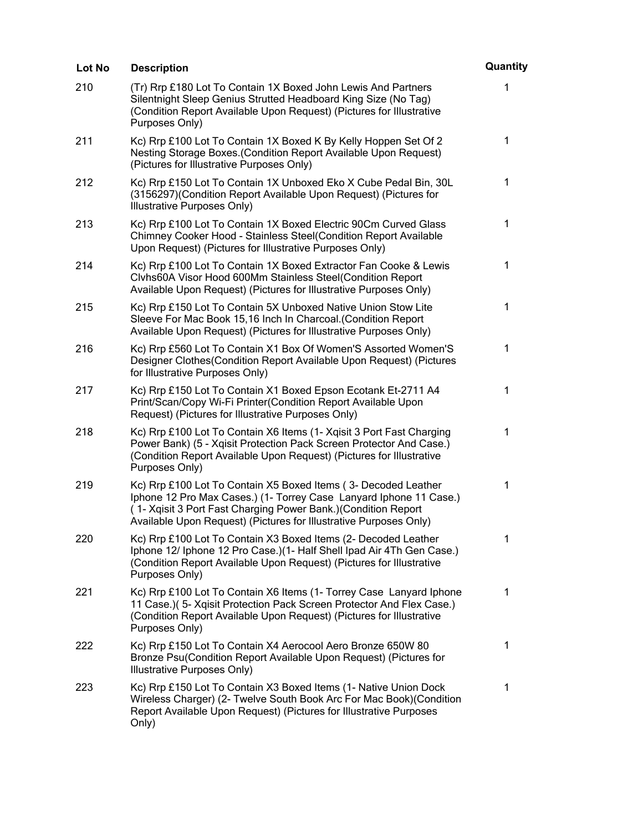| Lot No | <b>Description</b>                                                                                                                                                                                                                                                          | Quantity     |
|--------|-----------------------------------------------------------------------------------------------------------------------------------------------------------------------------------------------------------------------------------------------------------------------------|--------------|
| 210    | (Tr) Rrp £180 Lot To Contain 1X Boxed John Lewis And Partners<br>Silentnight Sleep Genius Strutted Headboard King Size (No Tag)<br>(Condition Report Available Upon Request) (Pictures for Illustrative<br>Purposes Only)                                                   | 1            |
| 211    | Kc) Rrp £100 Lot To Contain 1X Boxed K By Kelly Hoppen Set Of 2<br>Nesting Storage Boxes. (Condition Report Available Upon Request)<br>(Pictures for Illustrative Purposes Only)                                                                                            | $\mathbf 1$  |
| 212    | Kc) Rrp £150 Lot To Contain 1X Unboxed Eko X Cube Pedal Bin, 30L<br>(3156297) (Condition Report Available Upon Request) (Pictures for<br>Illustrative Purposes Only)                                                                                                        | 1            |
| 213    | Kc) Rrp £100 Lot To Contain 1X Boxed Electric 90Cm Curved Glass<br>Chimney Cooker Hood - Stainless Steel(Condition Report Available<br>Upon Request) (Pictures for Illustrative Purposes Only)                                                                              | 1            |
| 214    | Kc) Rrp £100 Lot To Contain 1X Boxed Extractor Fan Cooke & Lewis<br>Clvhs60A Visor Hood 600Mm Stainless Steel(Condition Report<br>Available Upon Request) (Pictures for Illustrative Purposes Only)                                                                         | 1            |
| 215    | Kc) Rrp £150 Lot To Contain 5X Unboxed Native Union Stow Lite<br>Sleeve For Mac Book 15,16 Inch In Charcoal. (Condition Report<br>Available Upon Request) (Pictures for Illustrative Purposes Only)                                                                         | 1            |
| 216    | Kc) Rrp £560 Lot To Contain X1 Box Of Women'S Assorted Women'S<br>Designer Clothes (Condition Report Available Upon Request) (Pictures<br>for Illustrative Purposes Only)                                                                                                   | 1            |
| 217    | Kc) Rrp £150 Lot To Contain X1 Boxed Epson Ecotank Et-2711 A4<br>Print/Scan/Copy Wi-Fi Printer(Condition Report Available Upon<br>Request) (Pictures for Illustrative Purposes Only)                                                                                        | 1            |
| 218    | Kc) Rrp £100 Lot To Contain X6 Items (1- Xqisit 3 Port Fast Charging<br>Power Bank) (5 - Xqisit Protection Pack Screen Protector And Case.)<br>(Condition Report Available Upon Request) (Pictures for Illustrative<br>Purposes Only)                                       | $\mathbf{1}$ |
| 219    | Kc) Rrp £100 Lot To Contain X5 Boxed Items (3- Decoded Leather<br>Iphone 12 Pro Max Cases.) (1- Torrey Case Lanyard Iphone 11 Case.)<br>(1- Xqisit 3 Port Fast Charging Power Bank.) (Condition Report<br>Available Upon Request) (Pictures for Illustrative Purposes Only) | 1            |
| 220    | Kc) Rrp £100 Lot To Contain X3 Boxed Items (2- Decoded Leather<br>Iphone 12/ Iphone 12 Pro Case.)(1- Half Shell Ipad Air 4Th Gen Case.)<br>(Condition Report Available Upon Request) (Pictures for Illustrative<br>Purposes Only)                                           | 1            |
| 221    | Kc) Rrp £100 Lot To Contain X6 Items (1- Torrey Case Lanyard Iphone<br>11 Case.)( 5- Xqisit Protection Pack Screen Protector And Flex Case.)<br>(Condition Report Available Upon Request) (Pictures for Illustrative<br>Purposes Only)                                      | 1            |
| 222    | Kc) Rrp £150 Lot To Contain X4 Aerocool Aero Bronze 650W 80<br>Bronze Psu(Condition Report Available Upon Request) (Pictures for<br>Illustrative Purposes Only)                                                                                                             | 1            |
| 223    | Kc) Rrp £150 Lot To Contain X3 Boxed Items (1- Native Union Dock<br>Wireless Charger) (2- Twelve South Book Arc For Mac Book) (Condition<br>Report Available Upon Request) (Pictures for Illustrative Purposes<br>Only)                                                     | 1            |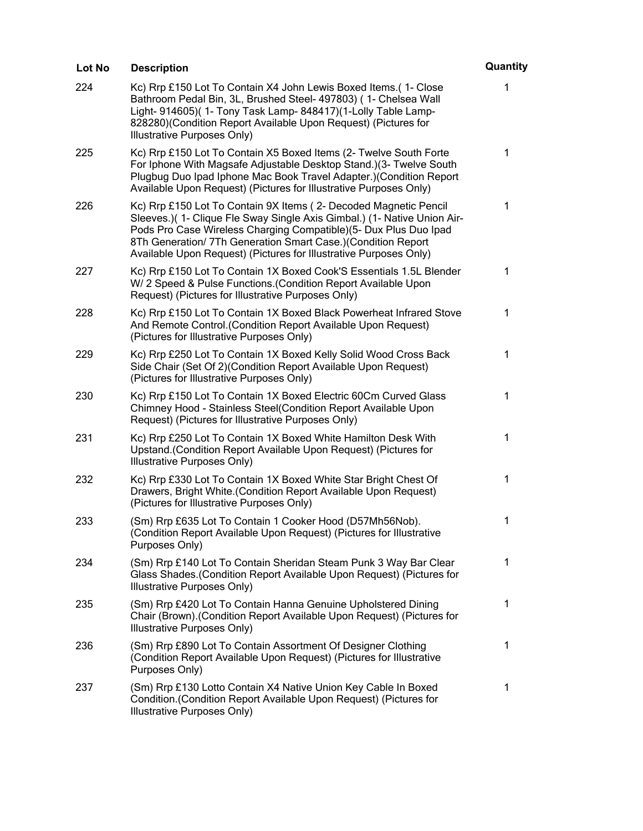| Lot No | <b>Description</b>                                                                                                                                                                                                                                                                                                                                    | Quantity    |
|--------|-------------------------------------------------------------------------------------------------------------------------------------------------------------------------------------------------------------------------------------------------------------------------------------------------------------------------------------------------------|-------------|
| 224    | Kc) Rrp £150 Lot To Contain X4 John Lewis Boxed Items. (1- Close<br>Bathroom Pedal Bin, 3L, Brushed Steel- 497803) (1- Chelsea Wall<br>Light- 914605)( 1- Tony Task Lamp- 848417)(1-Lolly Table Lamp-<br>828280)(Condition Report Available Upon Request) (Pictures for<br>Illustrative Purposes Only)                                                | 1           |
| 225    | Kc) Rrp £150 Lot To Contain X5 Boxed Items (2- Twelve South Forte<br>For Iphone With Magsafe Adjustable Desktop Stand.) (3- Twelve South<br>Plugbug Duo Ipad Iphone Mac Book Travel Adapter.) (Condition Report<br>Available Upon Request) (Pictures for Illustrative Purposes Only)                                                                  | 1           |
| 226    | Kc) Rrp £150 Lot To Contain 9X Items (2- Decoded Magnetic Pencil<br>Sleeves.)( 1- Clique Fle Sway Single Axis Gimbal.) (1- Native Union Air-<br>Pods Pro Case Wireless Charging Compatible)(5- Dux Plus Duo Ipad<br>8Th Generation/ 7Th Generation Smart Case.)(Condition Report<br>Available Upon Request) (Pictures for Illustrative Purposes Only) | 1           |
| 227    | Kc) Rrp £150 Lot To Contain 1X Boxed Cook'S Essentials 1.5L Blender<br>W/ 2 Speed & Pulse Functions. (Condition Report Available Upon<br>Request) (Pictures for Illustrative Purposes Only)                                                                                                                                                           | 1           |
| 228    | Kc) Rrp £150 Lot To Contain 1X Boxed Black Powerheat Infrared Stove<br>And Remote Control. (Condition Report Available Upon Request)<br>(Pictures for Illustrative Purposes Only)                                                                                                                                                                     | 1           |
| 229    | Kc) Rrp £250 Lot To Contain 1X Boxed Kelly Solid Wood Cross Back<br>Side Chair (Set Of 2) (Condition Report Available Upon Request)<br>(Pictures for Illustrative Purposes Only)                                                                                                                                                                      | 1           |
| 230    | Kc) Rrp £150 Lot To Contain 1X Boxed Electric 60Cm Curved Glass<br>Chimney Hood - Stainless Steel(Condition Report Available Upon<br>Request) (Pictures for Illustrative Purposes Only)                                                                                                                                                               | 1           |
| 231    | Kc) Rrp £250 Lot To Contain 1X Boxed White Hamilton Desk With<br>Upstand. (Condition Report Available Upon Request) (Pictures for<br>Illustrative Purposes Only)                                                                                                                                                                                      | 1           |
| 232    | Kc) Rrp £330 Lot To Contain 1X Boxed White Star Bright Chest Of<br>Drawers, Bright White.(Condition Report Available Upon Request)<br>(Pictures for Illustrative Purposes Only)                                                                                                                                                                       | 1           |
| 233    | (Sm) Rrp £635 Lot To Contain 1 Cooker Hood (D57Mh56Nob).<br>(Condition Report Available Upon Request) (Pictures for Illustrative<br>Purposes Only)                                                                                                                                                                                                    | $\mathbf 1$ |
| 234    | (Sm) Rrp £140 Lot To Contain Sheridan Steam Punk 3 Way Bar Clear<br>Glass Shades. (Condition Report Available Upon Request) (Pictures for<br>Illustrative Purposes Only)                                                                                                                                                                              | 1           |
| 235    | (Sm) Rrp £420 Lot To Contain Hanna Genuine Upholstered Dining<br>Chair (Brown). (Condition Report Available Upon Request) (Pictures for<br>Illustrative Purposes Only)                                                                                                                                                                                | 1           |
| 236    | (Sm) Rrp £890 Lot To Contain Assortment Of Designer Clothing<br>(Condition Report Available Upon Request) (Pictures for Illustrative<br>Purposes Only)                                                                                                                                                                                                | 1           |
| 237    | (Sm) Rrp £130 Lotto Contain X4 Native Union Key Cable In Boxed<br>Condition. (Condition Report Available Upon Request) (Pictures for<br><b>Illustrative Purposes Only)</b>                                                                                                                                                                            | 1           |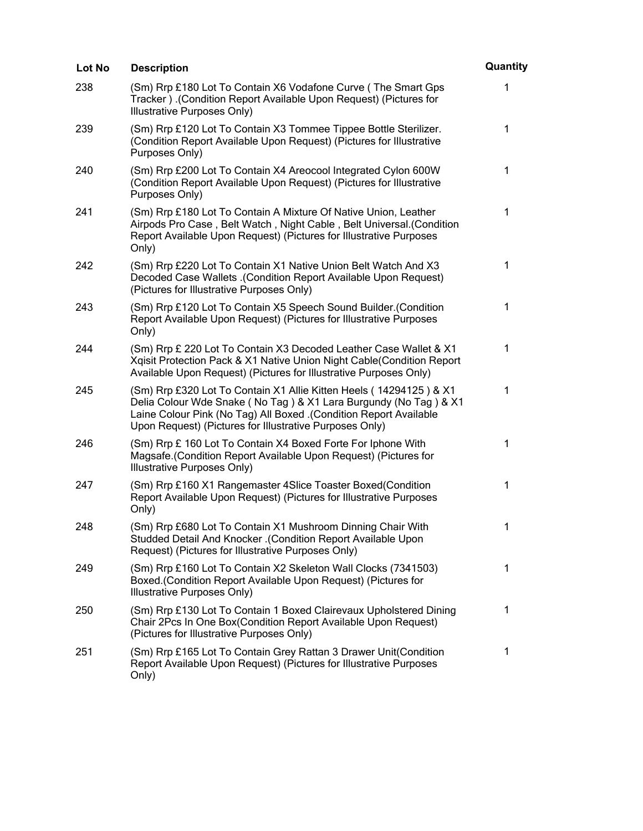| Lot No | <b>Description</b>                                                                                                                                                                                                                                                      | Quantity    |
|--------|-------------------------------------------------------------------------------------------------------------------------------------------------------------------------------------------------------------------------------------------------------------------------|-------------|
| 238    | (Sm) Rrp £180 Lot To Contain X6 Vodafone Curve (The Smart Gps<br>Tracker). (Condition Report Available Upon Request) (Pictures for<br>Illustrative Purposes Only)                                                                                                       | 1           |
| 239    | (Sm) Rrp £120 Lot To Contain X3 Tommee Tippee Bottle Sterilizer.<br>(Condition Report Available Upon Request) (Pictures for Illustrative<br>Purposes Only)                                                                                                              | $\mathbf 1$ |
| 240    | (Sm) Rrp £200 Lot To Contain X4 Areocool Integrated Cylon 600W<br>(Condition Report Available Upon Request) (Pictures for Illustrative<br>Purposes Only)                                                                                                                | 1           |
| 241    | (Sm) Rrp £180 Lot To Contain A Mixture Of Native Union, Leather<br>Airpods Pro Case, Belt Watch, Night Cable, Belt Universal. (Condition<br>Report Available Upon Request) (Pictures for Illustrative Purposes<br>Only)                                                 | 1           |
| 242    | (Sm) Rrp £220 Lot To Contain X1 Native Union Belt Watch And X3<br>Decoded Case Wallets .(Condition Report Available Upon Request)<br>(Pictures for Illustrative Purposes Only)                                                                                          | 1           |
| 243    | (Sm) Rrp £120 Lot To Contain X5 Speech Sound Builder. (Condition<br>Report Available Upon Request) (Pictures for Illustrative Purposes<br>Only)                                                                                                                         | $\mathbf 1$ |
| 244    | (Sm) Rrp £ 220 Lot To Contain X3 Decoded Leather Case Wallet & X1<br>Xqisit Protection Pack & X1 Native Union Night Cable(Condition Report<br>Available Upon Request) (Pictures for Illustrative Purposes Only)                                                         | 1           |
| 245    | (Sm) Rrp £320 Lot To Contain X1 Allie Kitten Heels (14294125) & X1<br>Delia Colour Wde Snake (No Tag) & X1 Lara Burgundy (No Tag) & X1<br>Laine Colour Pink (No Tag) All Boxed . (Condition Report Available<br>Upon Request) (Pictures for Illustrative Purposes Only) | 1           |
| 246    | (Sm) Rrp £ 160 Lot To Contain X4 Boxed Forte For Iphone With<br>Magsafe. (Condition Report Available Upon Request) (Pictures for<br>Illustrative Purposes Only)                                                                                                         | 1           |
| 247    | (Sm) Rrp £160 X1 Rangemaster 4Slice Toaster Boxed(Condition<br>Report Available Upon Request) (Pictures for Illustrative Purposes<br>Only)                                                                                                                              | 1           |
| 248    | (Sm) Rrp £680 Lot To Contain X1 Mushroom Dinning Chair With<br>Studded Detail And Knocker .(Condition Report Available Upon<br>Request) (Pictures for Illustrative Purposes Only)                                                                                       | 1           |
| 249    | (Sm) Rrp £160 Lot To Contain X2 Skeleton Wall Clocks (7341503)<br>Boxed.(Condition Report Available Upon Request) (Pictures for<br>Illustrative Purposes Only)                                                                                                          | 1           |
| 250    | (Sm) Rrp £130 Lot To Contain 1 Boxed Clairevaux Upholstered Dining<br>Chair 2Pcs In One Box(Condition Report Available Upon Request)<br>(Pictures for Illustrative Purposes Only)                                                                                       | 1           |
| 251    | (Sm) Rrp £165 Lot To Contain Grey Rattan 3 Drawer Unit(Condition<br>Report Available Upon Request) (Pictures for Illustrative Purposes<br>Only)                                                                                                                         | 1           |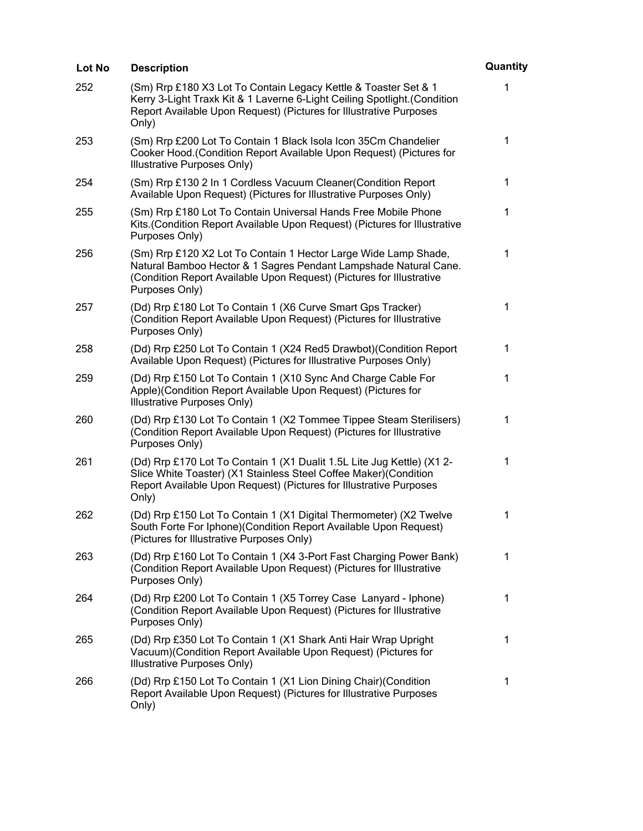| Lot No | <b>Description</b>                                                                                                                                                                                                            | Quantity    |
|--------|-------------------------------------------------------------------------------------------------------------------------------------------------------------------------------------------------------------------------------|-------------|
| 252    | (Sm) Rrp £180 X3 Lot To Contain Legacy Kettle & Toaster Set & 1<br>Kerry 3-Light Traxk Kit & 1 Laverne 6-Light Ceiling Spotlight. (Condition<br>Report Available Upon Request) (Pictures for Illustrative Purposes<br>Only)   | 1           |
| 253    | (Sm) Rrp £200 Lot To Contain 1 Black Isola Icon 35Cm Chandelier<br>Cooker Hood. (Condition Report Available Upon Request) (Pictures for<br>Illustrative Purposes Only)                                                        | 1           |
| 254    | (Sm) Rrp £130 2 In 1 Cordless Vacuum Cleaner (Condition Report<br>Available Upon Request) (Pictures for Illustrative Purposes Only)                                                                                           | $\mathbf 1$ |
| 255    | (Sm) Rrp £180 Lot To Contain Universal Hands Free Mobile Phone<br>Kits. (Condition Report Available Upon Request) (Pictures for Illustrative<br>Purposes Only)                                                                | 1           |
| 256    | (Sm) Rrp £120 X2 Lot To Contain 1 Hector Large Wide Lamp Shade,<br>Natural Bamboo Hector & 1 Sagres Pendant Lampshade Natural Cane.<br>(Condition Report Available Upon Request) (Pictures for Illustrative<br>Purposes Only) | 1           |
| 257    | (Dd) Rrp £180 Lot To Contain 1 (X6 Curve Smart Gps Tracker)<br>(Condition Report Available Upon Request) (Pictures for Illustrative<br>Purposes Only)                                                                         | $\mathbf 1$ |
| 258    | (Dd) Rrp £250 Lot To Contain 1 (X24 Red5 Drawbot) (Condition Report<br>Available Upon Request) (Pictures for Illustrative Purposes Only)                                                                                      | 1           |
| 259    | (Dd) Rrp £150 Lot To Contain 1 (X10 Sync And Charge Cable For<br>Apple)(Condition Report Available Upon Request) (Pictures for<br>Illustrative Purposes Only)                                                                 | 1           |
| 260    | (Dd) Rrp £130 Lot To Contain 1 (X2 Tommee Tippee Steam Sterilisers)<br>(Condition Report Available Upon Request) (Pictures for Illustrative<br>Purposes Only)                                                                 | 1           |
| 261    | (Dd) Rrp £170 Lot To Contain 1 (X1 Dualit 1.5L Lite Jug Kettle) (X1 2-<br>Slice White Toaster) (X1 Stainless Steel Coffee Maker) (Condition<br>Report Available Upon Request) (Pictures for Illustrative Purposes<br>Only)    | 1           |
| 262    | (Dd) Rrp £150 Lot To Contain 1 (X1 Digital Thermometer) (X2 Twelve<br>South Forte For Iphone) (Condition Report Available Upon Request)<br>(Pictures for Illustrative Purposes Only)                                          | 1           |
| 263    | (Dd) Rrp £160 Lot To Contain 1 (X4 3-Port Fast Charging Power Bank)<br>(Condition Report Available Upon Request) (Pictures for Illustrative<br>Purposes Only)                                                                 | $\mathbf 1$ |
| 264    | (Dd) Rrp £200 Lot To Contain 1 (X5 Torrey Case Lanyard - Iphone)<br>(Condition Report Available Upon Request) (Pictures for Illustrative<br>Purposes Only)                                                                    | 1           |
| 265    | (Dd) Rrp £350 Lot To Contain 1 (X1 Shark Anti Hair Wrap Upright<br>Vacuum) (Condition Report Available Upon Request) (Pictures for<br>Illustrative Purposes Only)                                                             | 1           |
| 266    | (Dd) Rrp £150 Lot To Contain 1 (X1 Lion Dining Chair) (Condition<br>Report Available Upon Request) (Pictures for Illustrative Purposes<br>Only)                                                                               | 1           |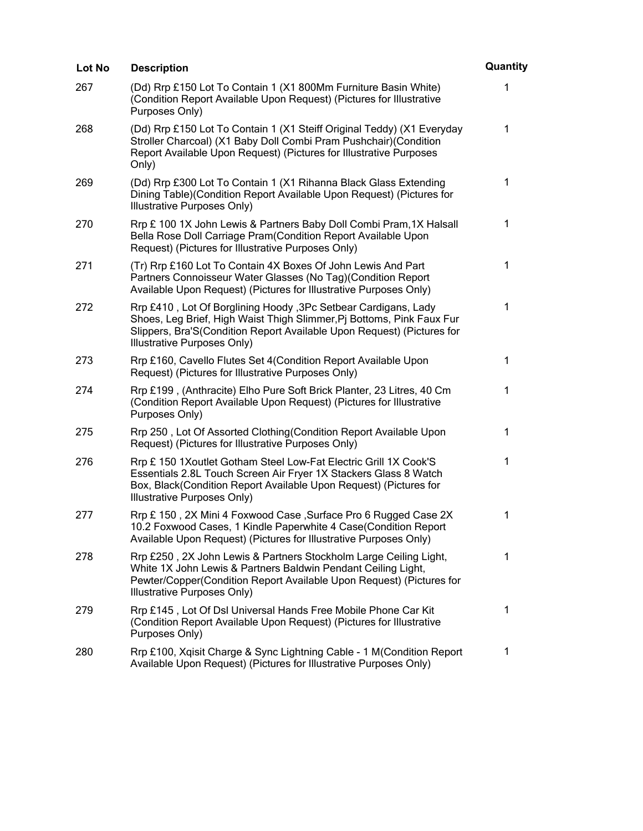| Lot No | <b>Description</b>                                                                                                                                                                                                                               | Quantity     |
|--------|--------------------------------------------------------------------------------------------------------------------------------------------------------------------------------------------------------------------------------------------------|--------------|
| 267    | (Dd) Rrp £150 Lot To Contain 1 (X1 800Mm Furniture Basin White)<br>(Condition Report Available Upon Request) (Pictures for Illustrative<br>Purposes Only)                                                                                        | 1            |
| 268    | (Dd) Rrp £150 Lot To Contain 1 (X1 Steiff Original Teddy) (X1 Everyday<br>Stroller Charcoal) (X1 Baby Doll Combi Pram Pushchair) (Condition<br>Report Available Upon Request) (Pictures for Illustrative Purposes<br>Only)                       | 1            |
| 269    | (Dd) Rrp £300 Lot To Contain 1 (X1 Rihanna Black Glass Extending<br>Dining Table) (Condition Report Available Upon Request) (Pictures for<br>Illustrative Purposes Only)                                                                         | 1            |
| 270    | Rrp £ 100 1X John Lewis & Partners Baby Doll Combi Pram, 1X Halsall<br>Bella Rose Doll Carriage Pram (Condition Report Available Upon<br>Request) (Pictures for Illustrative Purposes Only)                                                      | 1            |
| 271    | (Tr) Rrp £160 Lot To Contain 4X Boxes Of John Lewis And Part<br>Partners Connoisseur Water Glasses (No Tag) (Condition Report<br>Available Upon Request) (Pictures for Illustrative Purposes Only)                                               | 1            |
| 272    | Rrp £410, Lot Of Borglining Hoody, 3Pc Setbear Cardigans, Lady<br>Shoes, Leg Brief, High Waist Thigh Slimmer, Pj Bottoms, Pink Faux Fur<br>Slippers, Bra'S(Condition Report Available Upon Request) (Pictures for<br>Illustrative Purposes Only) | 1            |
| 273    | Rrp £160, Cavello Flutes Set 4(Condition Report Available Upon<br>Request) (Pictures for Illustrative Purposes Only)                                                                                                                             | 1            |
| 274    | Rrp £199, (Anthracite) Elho Pure Soft Brick Planter, 23 Litres, 40 Cm<br>(Condition Report Available Upon Request) (Pictures for Illustrative<br>Purposes Only)                                                                                  | 1            |
| 275    | Rrp 250, Lot Of Assorted Clothing (Condition Report Available Upon<br>Request) (Pictures for Illustrative Purposes Only)                                                                                                                         | $\mathbf{1}$ |
| 276    | Rrp £ 150 1Xoutlet Gotham Steel Low-Fat Electric Grill 1X Cook'S<br>Essentials 2.8L Touch Screen Air Fryer 1X Stackers Glass 8 Watch<br>Box, Black(Condition Report Available Upon Request) (Pictures for<br>Illustrative Purposes Only)         | 1            |
| 277    | Rrp £150, 2X Mini 4 Foxwood Case, Surface Pro 6 Rugged Case 2X<br>10.2 Foxwood Cases, 1 Kindle Paperwhite 4 Case(Condition Report<br>Available Upon Request) (Pictures for Illustrative Purposes Only)                                           | 1            |
| 278    | Rrp £250, 2X John Lewis & Partners Stockholm Large Ceiling Light,<br>White 1X John Lewis & Partners Baldwin Pendant Ceiling Light,<br>Pewter/Copper(Condition Report Available Upon Request) (Pictures for<br>Illustrative Purposes Only)        | 1            |
| 279    | Rrp £145, Lot Of DsI Universal Hands Free Mobile Phone Car Kit<br>(Condition Report Available Upon Request) (Pictures for Illustrative<br>Purposes Only)                                                                                         | 1            |
| 280    | Rrp £100, Xqisit Charge & Sync Lightning Cable - 1 M(Condition Report<br>Available Upon Request) (Pictures for Illustrative Purposes Only)                                                                                                       | 1            |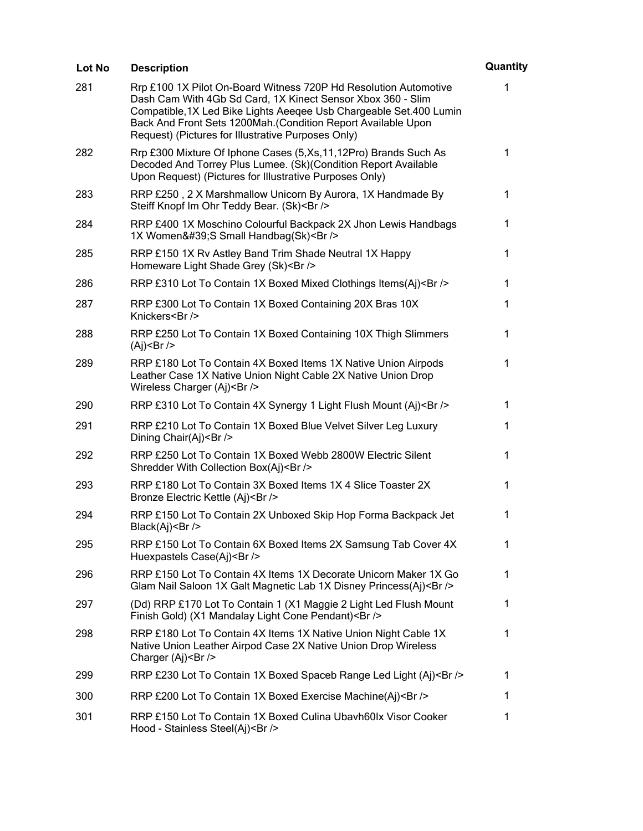| <b>Lot No</b> | <b>Description</b>                                                                                                                                                                                                                                                                                                            | Quantity     |
|---------------|-------------------------------------------------------------------------------------------------------------------------------------------------------------------------------------------------------------------------------------------------------------------------------------------------------------------------------|--------------|
| 281           | Rrp £100 1X Pilot On-Board Witness 720P Hd Resolution Automotive<br>Dash Cam With 4Gb Sd Card, 1X Kinect Sensor Xbox 360 - Slim<br>Compatible, 1X Led Bike Lights Aeeqee Usb Chargeable Set. 400 Lumin<br>Back And Front Sets 1200Mah. (Condition Report Available Upon<br>Request) (Pictures for Illustrative Purposes Only) | 1            |
| 282           | Rrp £300 Mixture Of Iphone Cases (5, Xs, 11, 12Pro) Brands Such As<br>Decoded And Torrey Plus Lumee. (Sk)(Condition Report Available<br>Upon Request) (Pictures for Illustrative Purposes Only)                                                                                                                               | $\mathbf 1$  |
| 283           | RRP £250, 2 X Marshmallow Unicorn By Aurora, 1X Handmade By<br>Steiff Knopf Im Ohr Teddy Bear. (Sk)<br>                                                                                                                                                                                                                       | $\mathbf{1}$ |
| 284           | RRP £400 1X Moschino Colourful Backpack 2X Jhon Lewis Handbags<br>1X Women'S Small Handbag(Sk)<br>                                                                                                                                                                                                                            | $\mathbf 1$  |
| 285           | RRP £150 1X Rv Astley Band Trim Shade Neutral 1X Happy<br>Homeware Light Shade Grey (Sk)<br>                                                                                                                                                                                                                                  | 1            |
| 286           | RRP £310 Lot To Contain 1X Boxed Mixed Clothings Items(Aj)<br>                                                                                                                                                                                                                                                                | $\mathbf 1$  |
| 287           | RRP £300 Lot To Contain 1X Boxed Containing 20X Bras 10X<br>Knickers<br>                                                                                                                                                                                                                                                      | 1            |
| 288           | RRP £250 Lot To Contain 1X Boxed Containing 10X Thigh Slimmers<br>$(Ai)$ < Br />                                                                                                                                                                                                                                              | $\mathbf{1}$ |
| 289           | RRP £180 Lot To Contain 4X Boxed Items 1X Native Union Airpods<br>Leather Case 1X Native Union Night Cable 2X Native Union Drop<br>Wireless Charger (Aj)<br>                                                                                                                                                                  | $\mathbf 1$  |
| 290           | RRP £310 Lot To Contain 4X Synergy 1 Light Flush Mount (Aj)<br>                                                                                                                                                                                                                                                               | 1            |
| 291           | RRP £210 Lot To Contain 1X Boxed Blue Velvet Silver Leg Luxury<br>Dining Chair(Aj)<br>                                                                                                                                                                                                                                        | 1            |
| 292           | RRP £250 Lot To Contain 1X Boxed Webb 2800W Electric Silent<br>Shredder With Collection Box(Aj)<br>                                                                                                                                                                                                                           | 1            |
| 293           | RRP £180 Lot To Contain 3X Boxed Items 1X 4 Slice Toaster 2X<br>Bronze Electric Kettle (Aj)<br>                                                                                                                                                                                                                               | $\mathbf 1$  |
| 294           | RRP £150 Lot To Contain 2X Unboxed Skip Hop Forma Backpack Jet<br>Black(Aj)<br>                                                                                                                                                                                                                                               | 1            |
| 295           | RRP £150 Lot To Contain 6X Boxed Items 2X Samsung Tab Cover 4X<br>Huexpastels Case(Aj)<br>                                                                                                                                                                                                                                    | 1            |
| 296           | RRP £150 Lot To Contain 4X Items 1X Decorate Unicorn Maker 1X Go<br>Glam Nail Saloon 1X Galt Magnetic Lab 1X Disney Princess(Aj)<br>                                                                                                                                                                                          | 1            |
| 297           | (Dd) RRP £170 Lot To Contain 1 (X1 Maggie 2 Light Led Flush Mount<br>Finish Gold) (X1 Mandalay Light Cone Pendant)<br>                                                                                                                                                                                                        | 1            |
| 298           | RRP £180 Lot To Contain 4X Items 1X Native Union Night Cable 1X<br>Native Union Leather Airpod Case 2X Native Union Drop Wireless<br>Charger (Aj)<br>                                                                                                                                                                         | 1            |
| 299           | RRP £230 Lot To Contain 1X Boxed Spaceb Range Led Light (Aj)<br>                                                                                                                                                                                                                                                              | 1            |
| 300           | RRP £200 Lot To Contain 1X Boxed Exercise Machine(Aj)<br>                                                                                                                                                                                                                                                                     | 1            |
| 301           | RRP £150 Lot To Contain 1X Boxed Culina Ubavh60lx Visor Cooker<br>Hood - Stainless Steel(Aj)<br>                                                                                                                                                                                                                              | $\mathbf 1$  |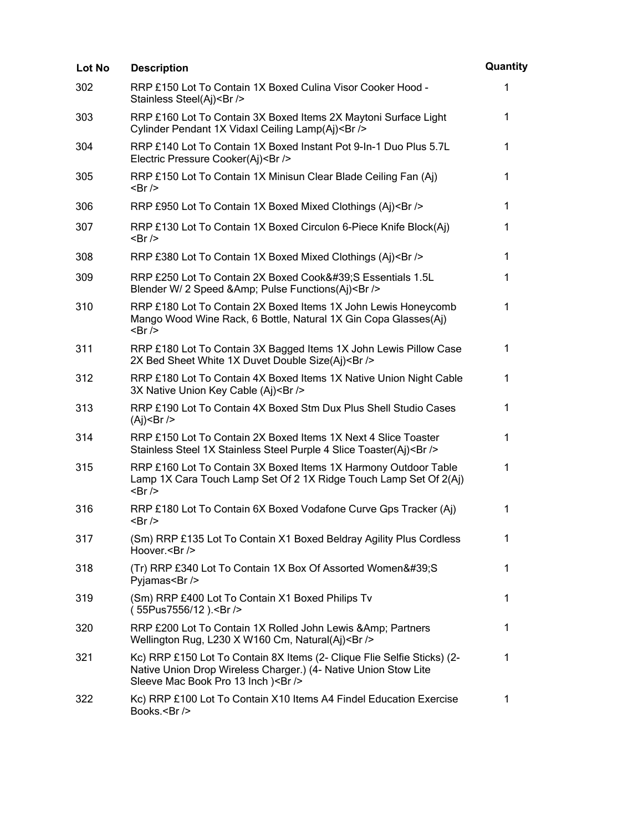| Lot No | <b>Description</b>                                                                                                                                                              | Quantity     |
|--------|---------------------------------------------------------------------------------------------------------------------------------------------------------------------------------|--------------|
| 302    | RRP £150 Lot To Contain 1X Boxed Culina Visor Cooker Hood -<br>Stainless Steel(Aj)<br>                                                                                          | 1            |
| 303    | RRP £160 Lot To Contain 3X Boxed Items 2X Maytoni Surface Light<br>Cylinder Pendant 1X Vidaxl Ceiling Lamp(Aj)<br>                                                              | $\mathbf 1$  |
| 304    | RRP £140 Lot To Contain 1X Boxed Instant Pot 9-In-1 Duo Plus 5.7L<br>Electric Pressure Cooker(Aj)<br>                                                                           | 1            |
| 305    | RRP £150 Lot To Contain 1X Minisun Clear Blade Ceiling Fan (Aj)<br><br>                                                                                                         | 1            |
| 306    | RRP £950 Lot To Contain 1X Boxed Mixed Clothings (Aj)<br>                                                                                                                       | $\mathbf{1}$ |
| 307    | RRP £130 Lot To Contain 1X Boxed Circulon 6-Piece Knife Block(Aj)<br>$\langle$ Br/>                                                                                             | 1            |
| 308    | RRP £380 Lot To Contain 1X Boxed Mixed Clothings (Aj)<br>                                                                                                                       | $\mathbf{1}$ |
| 309    | RRP £250 Lot To Contain 2X Boxed Cook'S Essentials 1.5L<br>Blender W/ 2 Speed & Amp; Pulse Functions(Aj)<br>                                                                    | 1            |
| 310    | RRP £180 Lot To Contain 2X Boxed Items 1X John Lewis Honeycomb<br>Mango Wood Wine Rack, 6 Bottle, Natural 1X Gin Copa Glasses(Aj)<br>$\langle$ Br/>                             | $\mathbf{1}$ |
| 311    | RRP £180 Lot To Contain 3X Bagged Items 1X John Lewis Pillow Case<br>2X Bed Sheet White 1X Duvet Double Size(Aj)<br>                                                            | $\mathbf 1$  |
| 312    | RRP £180 Lot To Contain 4X Boxed Items 1X Native Union Night Cable<br>3X Native Union Key Cable (Aj)<br>                                                                        | 1            |
| 313    | RRP £190 Lot To Contain 4X Boxed Stm Dux Plus Shell Studio Cases<br>$(Aj)$ < Br />                                                                                              | $\mathbf{1}$ |
| 314    | RRP £150 Lot To Contain 2X Boxed Items 1X Next 4 Slice Toaster<br>Stainless Steel 1X Stainless Steel Purple 4 Slice Toaster(Aj)<br>                                             | 1            |
| 315    | RRP £160 Lot To Contain 3X Boxed Items 1X Harmony Outdoor Table<br>Lamp 1X Cara Touch Lamp Set Of 2 1X Ridge Touch Lamp Set Of 2(Aj)<br>$-Br$ />                                | 1            |
| 316    | RRP £180 Lot To Contain 6X Boxed Vodafone Curve Gps Tracker (Aj)<br><br>                                                                                                        | 1            |
| 317    | (Sm) RRP £135 Lot To Contain X1 Boxed Beldray Agility Plus Cordless<br>Hoover.<br>                                                                                              | 1            |
| 318    | (Tr) RRP £340 Lot To Contain 1X Box Of Assorted Women'S<br>Pyjamas<br>Sr                                                                                                        | 1            |
| 319    | (Sm) RRP £400 Lot To Contain X1 Boxed Philips Tv<br>(55Pus7556/12).<br>                                                                                                         | 1            |
| 320    | RRP £200 Lot To Contain 1X Rolled John Lewis & Amp; Partners<br>Wellington Rug, L230 X W160 Cm, Natural(Aj)<br>                                                                 | $\mathbf 1$  |
| 321    | Kc) RRP £150 Lot To Contain 8X Items (2- Clique Flie Selfie Sticks) (2-<br>Native Union Drop Wireless Charger.) (4- Native Union Stow Lite<br>Sleeve Mac Book Pro 13 Inch )<br> | 1            |
| 322    | Kc) RRP £100 Lot To Contain X10 Items A4 Findel Education Exercise<br>Books.<br>                                                                                                | 1            |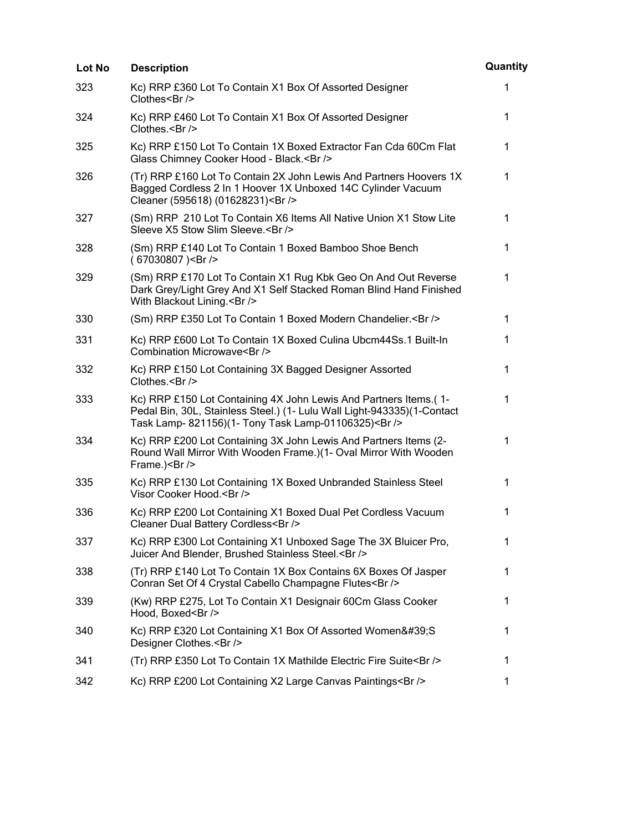| Lot No | <b>Description</b>                                                                                                                                                                                | Quantity     |
|--------|---------------------------------------------------------------------------------------------------------------------------------------------------------------------------------------------------|--------------|
| 323    | Kc) RRP £360 Lot To Contain X1 Box Of Assorted Designer<br>Clothes<br>/>                                                                                                                          | 1            |
| 324    | Kc) RRP £460 Lot To Contain X1 Box Of Assorted Designer<br>Clothes.<br>                                                                                                                           | $\mathbf{1}$ |
| 325    | Kc) RRP £150 Lot To Contain 1X Boxed Extractor Fan Cda 60Cm Flat<br>Glass Chimney Cooker Hood - Black.<br>>                                                                                       | 1            |
| 326    | (Tr) RRP £160 Lot To Contain 2X John Lewis And Partners Hoovers 1X<br>Bagged Cordless 2 In 1 Hoover 1X Unboxed 14C Cylinder Vacuum<br>Cleaner (595618) (01628231)<br>                             | 1            |
| 327    | (Sm) RRP 210 Lot To Contain X6 Items All Native Union X1 Stow Lite<br>Sleeve X5 Stow Slim Sleeve.<br>                                                                                             | $\mathbf{1}$ |
| 328    | (Sm) RRP £140 Lot To Contain 1 Boxed Bamboo Shoe Bench<br>(67030807)<br>                                                                                                                          | 1            |
| 329    | (Sm) RRP £170 Lot To Contain X1 Rug Kbk Geo On And Out Reverse<br>Dark Grey/Light Grey And X1 Self Stacked Roman Blind Hand Finished<br>With Blackout Lining.<br>                                 | 1            |
| 330    | (Sm) RRP £350 Lot To Contain 1 Boxed Modern Chandelier.<br>                                                                                                                                       | $\mathbf 1$  |
| 331    | Kc) RRP £600 Lot To Contain 1X Boxed Culina Ubcm44Ss.1 Built-In<br>Combination Microwave<br>                                                                                                      | 1            |
| 332    | Kc) RRP £150 Lot Containing 3X Bagged Designer Assorted<br>Clothes.<br>                                                                                                                           | $\mathbf{1}$ |
| 333    | Kc) RRP £150 Lot Containing 4X John Lewis And Partners Items.(1-<br>Pedal Bin, 30L, Stainless Steel.) (1- Lulu Wall Light-943335)(1-Contact<br>Task Lamp- 821156)(1- Tony Task Lamp-01106325)<br> | 1            |
| 334    | Kc) RRP £200 Lot Containing 3X John Lewis And Partners Items (2-<br>Round Wall Mirror With Wooden Frame.)(1- Oval Mirror With Wooden<br>Frame.)<br>                                               | 1            |
| 335    | Kc) RRP £130 Lot Containing 1X Boxed Unbranded Stainless Steel<br>Visor Cooker Hood.<br>                                                                                                          | 1            |
| 336    | Kc) RRP £200 Lot Containing X1 Boxed Dual Pet Cordless Vacuum<br>Cleaner Dual Battery Cordless<br>                                                                                                | 1            |
| 337    | Kc) RRP £300 Lot Containing X1 Unboxed Sage The 3X Bluicer Pro,<br>Juicer And Blender, Brushed Stainless Steel.<br>>                                                                              | 1            |
| 338    | (Tr) RRP £140 Lot To Contain 1X Box Contains 6X Boxes Of Jasper<br>Conran Set Of 4 Crystal Cabello Champagne Flutes<br>>/>                                                                        | 1            |
| 339    | (Kw) RRP £275, Lot To Contain X1 Designair 60Cm Glass Cooker<br>Hood, Boxed<br>                                                                                                                   | $\mathbf 1$  |
| 340    | Kc) RRP £320 Lot Containing X1 Box Of Assorted Women'S<br>Designer Clothes.<br>                                                                                                                   | 1            |
| 341    | (Tr) RRP £350 Lot To Contain 1X Mathilde Electric Fire Suite<br>>/>                                                                                                                               | 1            |
| 342    | Kc) RRP £200 Lot Containing X2 Large Canvas Paintings<br>>                                                                                                                                        | 1            |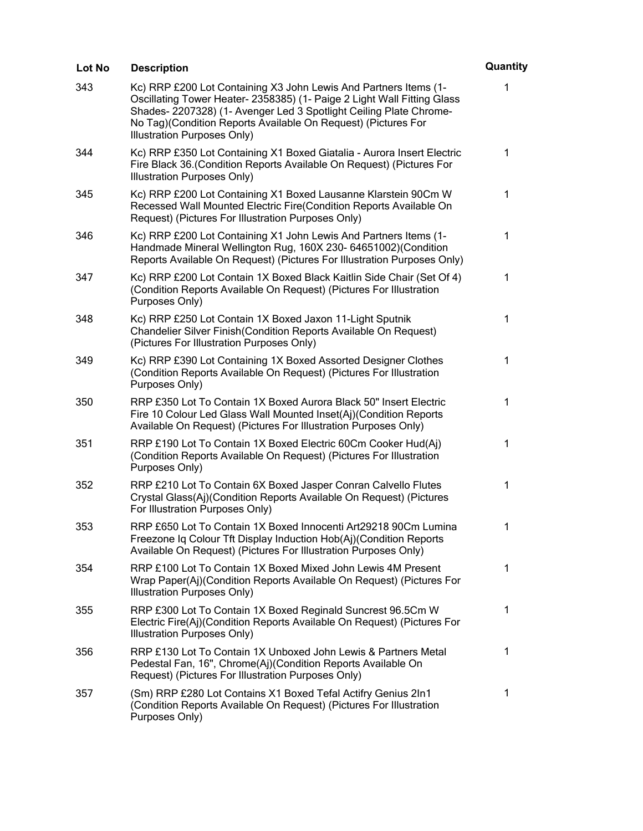| Lot No | <b>Description</b>                                                                                                                                                                                                                                                                                                | Quantity    |
|--------|-------------------------------------------------------------------------------------------------------------------------------------------------------------------------------------------------------------------------------------------------------------------------------------------------------------------|-------------|
| 343    | Kc) RRP £200 Lot Containing X3 John Lewis And Partners Items (1-<br>Oscillating Tower Heater- 2358385) (1- Paige 2 Light Wall Fitting Glass<br>Shades- 2207328) (1- Avenger Led 3 Spotlight Ceiling Plate Chrome-<br>No Tag)(Condition Reports Available On Request) (Pictures For<br>Illustration Purposes Only) | 1           |
| 344    | Kc) RRP £350 Lot Containing X1 Boxed Giatalia - Aurora Insert Electric<br>Fire Black 36.(Condition Reports Available On Request) (Pictures For<br><b>Illustration Purposes Only)</b>                                                                                                                              | 1           |
| 345    | Kc) RRP £200 Lot Containing X1 Boxed Lausanne Klarstein 90Cm W<br>Recessed Wall Mounted Electric Fire(Condition Reports Available On<br>Request) (Pictures For Illustration Purposes Only)                                                                                                                        | 1           |
| 346    | Kc) RRP £200 Lot Containing X1 John Lewis And Partners Items (1-<br>Handmade Mineral Wellington Rug, 160X 230- 64651002)(Condition<br>Reports Available On Request) (Pictures For Illustration Purposes Only)                                                                                                     | 1           |
| 347    | Kc) RRP £200 Lot Contain 1X Boxed Black Kaitlin Side Chair (Set Of 4)<br>(Condition Reports Available On Request) (Pictures For Illustration<br>Purposes Only)                                                                                                                                                    | 1           |
| 348    | Kc) RRP £250 Lot Contain 1X Boxed Jaxon 11-Light Sputnik<br>Chandelier Silver Finish (Condition Reports Available On Request)<br>(Pictures For Illustration Purposes Only)                                                                                                                                        | $\mathbf 1$ |
| 349    | Kc) RRP £390 Lot Containing 1X Boxed Assorted Designer Clothes<br>(Condition Reports Available On Request) (Pictures For Illustration<br>Purposes Only)                                                                                                                                                           | 1           |
| 350    | RRP £350 Lot To Contain 1X Boxed Aurora Black 50" Insert Electric<br>Fire 10 Colour Led Glass Wall Mounted Inset(Aj)(Condition Reports<br>Available On Request) (Pictures For Illustration Purposes Only)                                                                                                         | 1           |
| 351    | RRP £190 Lot To Contain 1X Boxed Electric 60Cm Cooker Hud(Aj)<br>(Condition Reports Available On Request) (Pictures For Illustration<br>Purposes Only)                                                                                                                                                            | 1           |
| 352    | RRP £210 Lot To Contain 6X Boxed Jasper Conran Calvello Flutes<br>Crystal Glass(Aj)(Condition Reports Available On Request) (Pictures<br>For Illustration Purposes Only)                                                                                                                                          | 1           |
| 353    | RRP £650 Lot To Contain 1X Boxed Innocenti Art29218 90Cm Lumina<br>Freezone Iq Colour Tft Display Induction Hob(Aj)(Condition Reports<br>Available On Request) (Pictures For Illustration Purposes Only)                                                                                                          | 1           |
| 354    | RRP £100 Lot To Contain 1X Boxed Mixed John Lewis 4M Present<br>Wrap Paper(Aj)(Condition Reports Available On Request) (Pictures For<br>Illustration Purposes Only)                                                                                                                                               | 1           |
| 355    | RRP £300 Lot To Contain 1X Boxed Reginald Suncrest 96.5Cm W<br>Electric Fire(Aj)(Condition Reports Available On Request) (Pictures For<br>Illustration Purposes Only)                                                                                                                                             | 1           |
| 356    | RRP £130 Lot To Contain 1X Unboxed John Lewis & Partners Metal<br>Pedestal Fan, 16", Chrome(Aj)(Condition Reports Available On<br>Request) (Pictures For Illustration Purposes Only)                                                                                                                              | 1           |
| 357    | (Sm) RRP £280 Lot Contains X1 Boxed Tefal Actifry Genius 2In1<br>(Condition Reports Available On Request) (Pictures For Illustration<br>Purposes Only)                                                                                                                                                            | $\mathbf 1$ |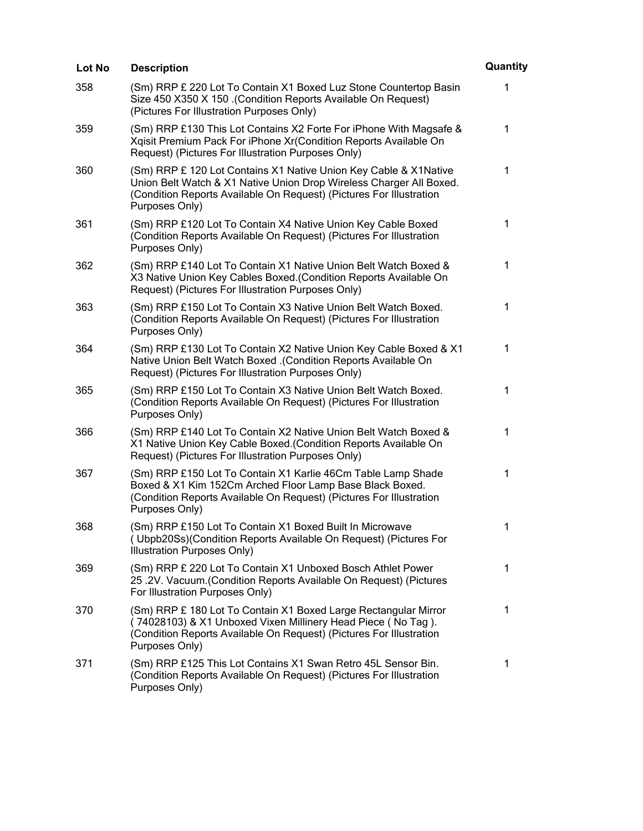| Lot No | <b>Description</b>                                                                                                                                                                                                               | Quantity    |
|--------|----------------------------------------------------------------------------------------------------------------------------------------------------------------------------------------------------------------------------------|-------------|
| 358    | (Sm) RRP £ 220 Lot To Contain X1 Boxed Luz Stone Countertop Basin<br>Size 450 X350 X 150 .(Condition Reports Available On Request)<br>(Pictures For Illustration Purposes Only)                                                  | 1           |
| 359    | (Sm) RRP £130 This Lot Contains X2 Forte For iPhone With Magsafe &<br>Xgisit Premium Pack For iPhone Xr(Condition Reports Available On<br>Request) (Pictures For Illustration Purposes Only)                                     | 1           |
| 360    | (Sm) RRP £ 120 Lot Contains X1 Native Union Key Cable & X1Native<br>Union Belt Watch & X1 Native Union Drop Wireless Charger All Boxed.<br>(Condition Reports Available On Request) (Pictures For Illustration<br>Purposes Only) | $\mathbf 1$ |
| 361    | (Sm) RRP £120 Lot To Contain X4 Native Union Key Cable Boxed<br>(Condition Reports Available On Request) (Pictures For Illustration<br>Purposes Only)                                                                            | 1           |
| 362    | (Sm) RRP £140 Lot To Contain X1 Native Union Belt Watch Boxed &<br>X3 Native Union Key Cables Boxed. (Condition Reports Available On<br>Request) (Pictures For Illustration Purposes Only)                                       | 1           |
| 363    | (Sm) RRP £150 Lot To Contain X3 Native Union Belt Watch Boxed.<br>(Condition Reports Available On Request) (Pictures For Illustration<br>Purposes Only)                                                                          | $\mathbf 1$ |
| 364    | (Sm) RRP £130 Lot To Contain X2 Native Union Key Cable Boxed & X1<br>Native Union Belt Watch Boxed .(Condition Reports Available On<br>Request) (Pictures For Illustration Purposes Only)                                        | 1           |
| 365    | (Sm) RRP £150 Lot To Contain X3 Native Union Belt Watch Boxed.<br>(Condition Reports Available On Request) (Pictures For Illustration<br>Purposes Only)                                                                          | 1           |
| 366    | (Sm) RRP £140 Lot To Contain X2 Native Union Belt Watch Boxed &<br>X1 Native Union Key Cable Boxed. (Condition Reports Available On<br>Request) (Pictures For Illustration Purposes Only)                                        | 1           |
| 367    | (Sm) RRP £150 Lot To Contain X1 Karlie 46Cm Table Lamp Shade<br>Boxed & X1 Kim 152Cm Arched Floor Lamp Base Black Boxed.<br>(Condition Reports Available On Request) (Pictures For Illustration<br>Purposes Only)                | 1           |
| 368    | (Sm) RRP £150 Lot To Contain X1 Boxed Built In Microwave<br>(Ubpb20Ss)(Condition Reports Available On Request) (Pictures For<br>Illustration Purposes Only)                                                                      | 1           |
| 369    | (Sm) RRP £ 220 Lot To Contain X1 Unboxed Bosch Athlet Power<br>25 .2V. Vacuum.(Condition Reports Available On Request) (Pictures<br>For Illustration Purposes Only)                                                              | 1           |
| 370    | (Sm) RRP £ 180 Lot To Contain X1 Boxed Large Rectangular Mirror<br>(74028103) & X1 Unboxed Vixen Millinery Head Piece (No Tag).<br>(Condition Reports Available On Request) (Pictures For Illustration<br>Purposes Only)         | 1           |
| 371    | (Sm) RRP £125 This Lot Contains X1 Swan Retro 45L Sensor Bin.<br>(Condition Reports Available On Request) (Pictures For Illustration<br>Purposes Only)                                                                           | 1           |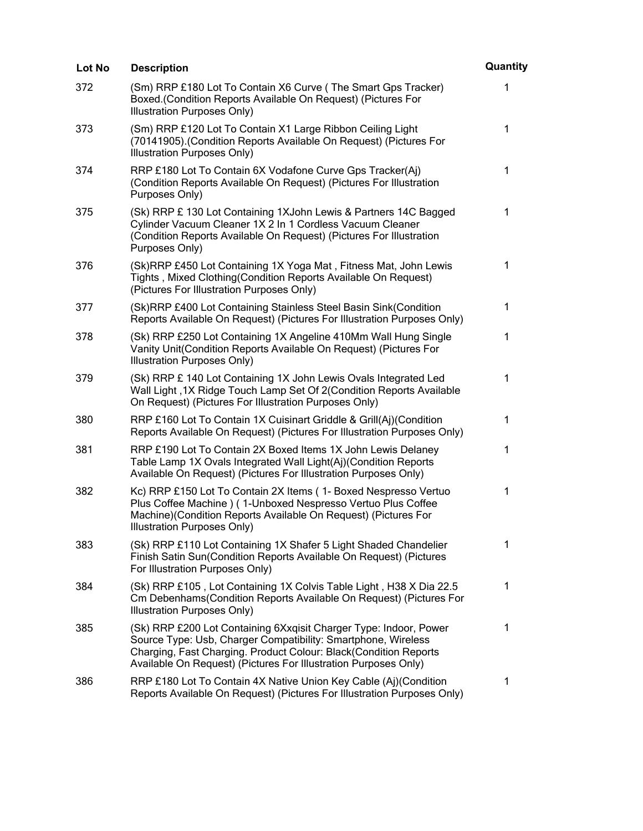| Lot No | <b>Description</b>                                                                                                                                                                                                                                                        | Quantity     |
|--------|---------------------------------------------------------------------------------------------------------------------------------------------------------------------------------------------------------------------------------------------------------------------------|--------------|
| 372    | (Sm) RRP £180 Lot To Contain X6 Curve (The Smart Gps Tracker)<br>Boxed.(Condition Reports Available On Request) (Pictures For<br>Illustration Purposes Only)                                                                                                              | 1            |
| 373    | (Sm) RRP £120 Lot To Contain X1 Large Ribbon Ceiling Light<br>(70141905). (Condition Reports Available On Request) (Pictures For<br>Illustration Purposes Only)                                                                                                           | 1            |
| 374    | RRP £180 Lot To Contain 6X Vodafone Curve Gps Tracker(Aj)<br>(Condition Reports Available On Request) (Pictures For Illustration<br>Purposes Only)                                                                                                                        | $\mathbf 1$  |
| 375    | (Sk) RRP £130 Lot Containing 1XJohn Lewis & Partners 14C Bagged<br>Cylinder Vacuum Cleaner 1X 2 In 1 Cordless Vacuum Cleaner<br>(Condition Reports Available On Request) (Pictures For Illustration<br>Purposes Only)                                                     | $\mathbf 1$  |
| 376    | (Sk)RRP £450 Lot Containing 1X Yoga Mat, Fitness Mat, John Lewis<br>Tights, Mixed Clothing (Condition Reports Available On Request)<br>(Pictures For Illustration Purposes Only)                                                                                          | 1            |
| 377    | (Sk)RRP £400 Lot Containing Stainless Steel Basin Sink(Condition<br>Reports Available On Request) (Pictures For Illustration Purposes Only)                                                                                                                               | 1            |
| 378    | (Sk) RRP £250 Lot Containing 1X Angeline 410Mm Wall Hung Single<br>Vanity Unit(Condition Reports Available On Request) (Pictures For<br>Illustration Purposes Only)                                                                                                       | 1            |
| 379    | (Sk) RRP £ 140 Lot Containing 1X John Lewis Ovals Integrated Led<br>Wall Light, 1X Ridge Touch Lamp Set Of 2(Condition Reports Available<br>On Request) (Pictures For Illustration Purposes Only)                                                                         | 1            |
| 380    | RRP £160 Lot To Contain 1X Cuisinart Griddle & Grill(Aj)(Condition<br>Reports Available On Request) (Pictures For Illustration Purposes Only)                                                                                                                             | $\mathbf{1}$ |
| 381    | RRP £190 Lot To Contain 2X Boxed Items 1X John Lewis Delaney<br>Table Lamp 1X Ovals Integrated Wall Light(Aj)(Condition Reports<br>Available On Request) (Pictures For Illustration Purposes Only)                                                                        | $\mathbf 1$  |
| 382    | Kc) RRP £150 Lot To Contain 2X Items (1- Boxed Nespresso Vertuo<br>Plus Coffee Machine ) (1-Unboxed Nespresso Vertuo Plus Coffee<br>Machine) (Condition Reports Available On Request) (Pictures For<br>Illustration Purposes Only)                                        | 1            |
| 383    | (Sk) RRP £110 Lot Containing 1X Shafer 5 Light Shaded Chandelier<br>Finish Satin Sun(Condition Reports Available On Request) (Pictures<br>For Illustration Purposes Only)                                                                                                 | 1            |
| 384    | (Sk) RRP £105, Lot Containing 1X Colvis Table Light, H38 X Dia 22.5<br>Cm Debenhams(Condition Reports Available On Request) (Pictures For<br>Illustration Purposes Only)                                                                                                  | 1            |
| 385    | (Sk) RRP £200 Lot Containing 6Xxqisit Charger Type: Indoor, Power<br>Source Type: Usb, Charger Compatibility: Smartphone, Wireless<br>Charging, Fast Charging. Product Colour: Black(Condition Reports<br>Available On Request) (Pictures For Illustration Purposes Only) | 1            |
| 386    | RRP £180 Lot To Contain 4X Native Union Key Cable (Aj)(Condition<br>Reports Available On Request) (Pictures For Illustration Purposes Only)                                                                                                                               | 1            |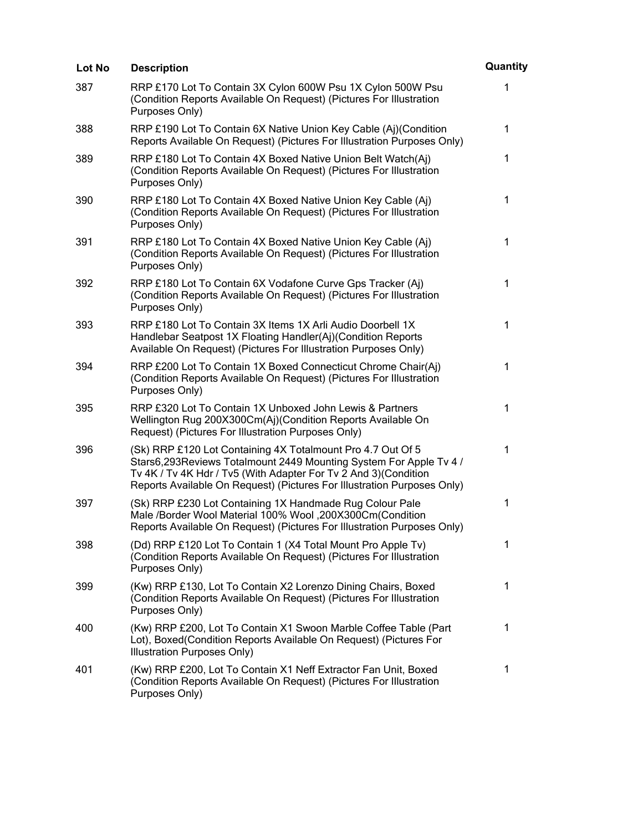| Lot No | <b>Description</b>                                                                                                                                                                                                                                                               | Quantity    |
|--------|----------------------------------------------------------------------------------------------------------------------------------------------------------------------------------------------------------------------------------------------------------------------------------|-------------|
| 387    | RRP £170 Lot To Contain 3X Cylon 600W Psu 1X Cylon 500W Psu<br>(Condition Reports Available On Request) (Pictures For Illustration<br>Purposes Only)                                                                                                                             | 1           |
| 388    | RRP £190 Lot To Contain 6X Native Union Key Cable (Aj)(Condition<br>Reports Available On Request) (Pictures For Illustration Purposes Only)                                                                                                                                      | 1           |
| 389    | RRP £180 Lot To Contain 4X Boxed Native Union Belt Watch(Aj)<br>(Condition Reports Available On Request) (Pictures For Illustration<br>Purposes Only)                                                                                                                            | 1           |
| 390    | RRP £180 Lot To Contain 4X Boxed Native Union Key Cable (Aj)<br>(Condition Reports Available On Request) (Pictures For Illustration<br>Purposes Only)                                                                                                                            | $\mathbf 1$ |
| 391    | RRP £180 Lot To Contain 4X Boxed Native Union Key Cable (Aj)<br>(Condition Reports Available On Request) (Pictures For Illustration<br>Purposes Only)                                                                                                                            | 1           |
| 392    | RRP £180 Lot To Contain 6X Vodafone Curve Gps Tracker (Aj)<br>(Condition Reports Available On Request) (Pictures For Illustration<br>Purposes Only)                                                                                                                              | 1           |
| 393    | RRP £180 Lot To Contain 3X Items 1X Arli Audio Doorbell 1X<br>Handlebar Seatpost 1X Floating Handler(Aj)(Condition Reports<br>Available On Request) (Pictures For Illustration Purposes Only)                                                                                    | 1           |
| 394    | RRP £200 Lot To Contain 1X Boxed Connecticut Chrome Chair(Aj)<br>(Condition Reports Available On Request) (Pictures For Illustration<br>Purposes Only)                                                                                                                           | 1           |
| 395    | RRP £320 Lot To Contain 1X Unboxed John Lewis & Partners<br>Wellington Rug 200X300Cm(Aj)(Condition Reports Available On<br>Request) (Pictures For Illustration Purposes Only)                                                                                                    | $\mathbf 1$ |
| 396    | (Sk) RRP £120 Lot Containing 4X Totalmount Pro 4.7 Out Of 5<br>Stars6,293Reviews Totalmount 2449 Mounting System For Apple Tv 4 /<br>Tv 4K / Tv 4K Hdr / Tv5 (With Adapter For Tv 2 And 3) (Condition<br>Reports Available On Request) (Pictures For Illustration Purposes Only) | 1           |
| 397    | (Sk) RRP £230 Lot Containing 1X Handmade Rug Colour Pale<br>Male /Border Wool Material 100% Wool, 200X300Cm(Condition<br>Reports Available On Request) (Pictures For Illustration Purposes Only)                                                                                 | 1           |
| 398    | (Dd) RRP £120 Lot To Contain 1 (X4 Total Mount Pro Apple Tv)<br>(Condition Reports Available On Request) (Pictures For Illustration<br>Purposes Only)                                                                                                                            | 1           |
| 399    | (Kw) RRP £130, Lot To Contain X2 Lorenzo Dining Chairs, Boxed<br>(Condition Reports Available On Request) (Pictures For Illustration<br>Purposes Only)                                                                                                                           | 1           |
| 400    | (Kw) RRP £200, Lot To Contain X1 Swoon Marble Coffee Table (Part<br>Lot), Boxed(Condition Reports Available On Request) (Pictures For<br>Illustration Purposes Only)                                                                                                             | 1           |
| 401    | (Kw) RRP £200, Lot To Contain X1 Neff Extractor Fan Unit, Boxed<br>(Condition Reports Available On Request) (Pictures For Illustration<br>Purposes Only)                                                                                                                         | 1           |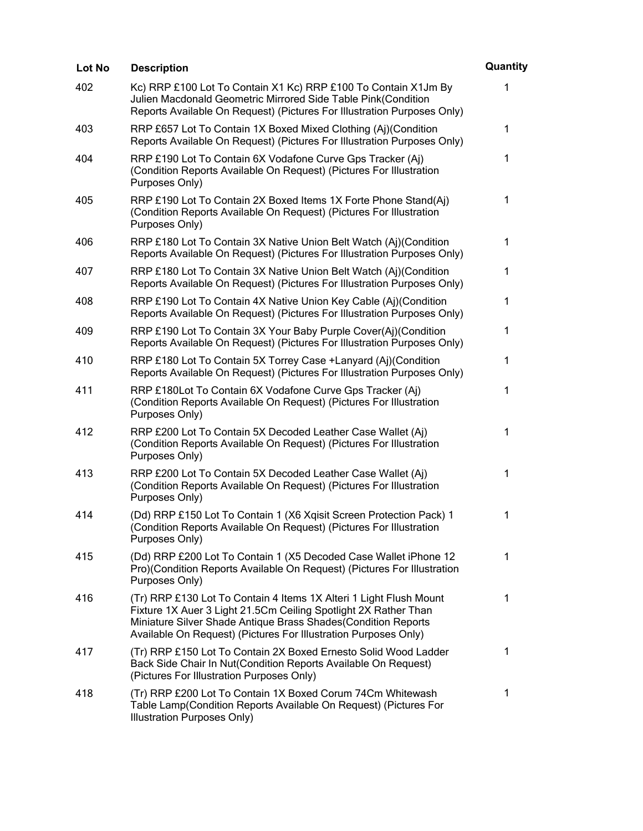| Lot No | <b>Description</b>                                                                                                                                                                                                                                                        | Quantity     |
|--------|---------------------------------------------------------------------------------------------------------------------------------------------------------------------------------------------------------------------------------------------------------------------------|--------------|
| 402    | Kc) RRP £100 Lot To Contain X1 Kc) RRP £100 To Contain X1Jm By<br>Julien Macdonald Geometric Mirrored Side Table Pink(Condition<br>Reports Available On Request) (Pictures For Illustration Purposes Only)                                                                | $\mathbf{1}$ |
| 403    | RRP £657 Lot To Contain 1X Boxed Mixed Clothing (Aj)(Condition<br>Reports Available On Request) (Pictures For Illustration Purposes Only)                                                                                                                                 | $\mathbf 1$  |
| 404    | RRP £190 Lot To Contain 6X Vodafone Curve Gps Tracker (Aj)<br>(Condition Reports Available On Request) (Pictures For Illustration<br>Purposes Only)                                                                                                                       | $\mathbf{1}$ |
| 405    | RRP £190 Lot To Contain 2X Boxed Items 1X Forte Phone Stand(Aj)<br>(Condition Reports Available On Request) (Pictures For Illustration<br>Purposes Only)                                                                                                                  | $\mathbf 1$  |
| 406    | RRP £180 Lot To Contain 3X Native Union Belt Watch (Aj)(Condition<br>Reports Available On Request) (Pictures For Illustration Purposes Only)                                                                                                                              | 1            |
| 407    | RRP £180 Lot To Contain 3X Native Union Belt Watch (Aj)(Condition<br>Reports Available On Request) (Pictures For Illustration Purposes Only)                                                                                                                              | 1            |
| 408    | RRP £190 Lot To Contain 4X Native Union Key Cable (Aj)(Condition<br>Reports Available On Request) (Pictures For Illustration Purposes Only)                                                                                                                               | $\mathbf{1}$ |
| 409    | RRP £190 Lot To Contain 3X Your Baby Purple Cover(Aj)(Condition<br>Reports Available On Request) (Pictures For Illustration Purposes Only)                                                                                                                                | 1            |
| 410    | RRP £180 Lot To Contain 5X Torrey Case + Lanyard (Aj)(Condition<br>Reports Available On Request) (Pictures For Illustration Purposes Only)                                                                                                                                | $\mathbf 1$  |
| 411    | RRP £180Lot To Contain 6X Vodafone Curve Gps Tracker (Aj)<br>(Condition Reports Available On Request) (Pictures For Illustration<br>Purposes Only)                                                                                                                        | 1            |
| 412    | RRP £200 Lot To Contain 5X Decoded Leather Case Wallet (Aj)<br>(Condition Reports Available On Request) (Pictures For Illustration<br>Purposes Only)                                                                                                                      | 1            |
| 413    | RRP £200 Lot To Contain 5X Decoded Leather Case Wallet (Aj)<br>(Condition Reports Available On Request) (Pictures For Illustration<br>Purposes Only)                                                                                                                      | 1            |
| 414    | (Dd) RRP £150 Lot To Contain 1 (X6 Xgisit Screen Protection Pack) 1<br>(Condition Reports Available On Request) (Pictures For Illustration<br>Purposes Only)                                                                                                              | 1            |
| 415    | (Dd) RRP £200 Lot To Contain 1 (X5 Decoded Case Wallet iPhone 12<br>Pro)(Condition Reports Available On Request) (Pictures For Illustration<br>Purposes Only)                                                                                                             | 1            |
| 416    | (Tr) RRP £130 Lot To Contain 4 Items 1X Alteri 1 Light Flush Mount<br>Fixture 1X Auer 3 Light 21.5Cm Ceiling Spotlight 2X Rather Than<br>Miniature Silver Shade Antique Brass Shades(Condition Reports<br>Available On Request) (Pictures For Illustration Purposes Only) | $\mathbf 1$  |
| 417    | (Tr) RRP £150 Lot To Contain 2X Boxed Ernesto Solid Wood Ladder<br>Back Side Chair In Nut(Condition Reports Available On Request)<br>(Pictures For Illustration Purposes Only)                                                                                            | 1            |
| 418    | (Tr) RRP £200 Lot To Contain 1X Boxed Corum 74Cm Whitewash<br>Table Lamp(Condition Reports Available On Request) (Pictures For<br>Illustration Purposes Only)                                                                                                             | 1            |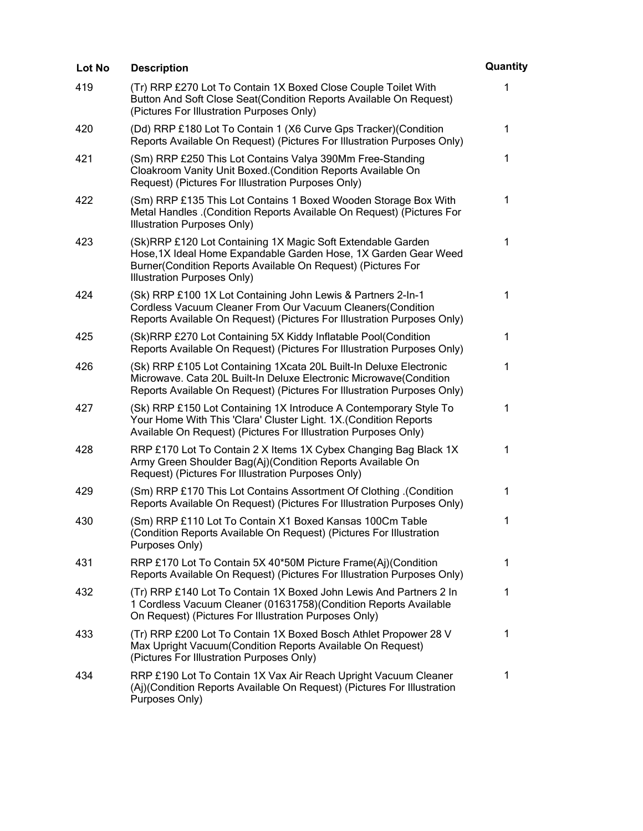| Lot No | <b>Description</b>                                                                                                                                                                                                            | Quantity     |
|--------|-------------------------------------------------------------------------------------------------------------------------------------------------------------------------------------------------------------------------------|--------------|
| 419    | (Tr) RRP £270 Lot To Contain 1X Boxed Close Couple Toilet With<br>Button And Soft Close Seat(Condition Reports Available On Request)<br>(Pictures For Illustration Purposes Only)                                             | 1            |
| 420    | (Dd) RRP £180 Lot To Contain 1 (X6 Curve Gps Tracker) (Condition<br>Reports Available On Request) (Pictures For Illustration Purposes Only)                                                                                   | 1            |
| 421    | (Sm) RRP £250 This Lot Contains Valya 390Mm Free-Standing<br>Cloakroom Vanity Unit Boxed. (Condition Reports Available On<br>Request) (Pictures For Illustration Purposes Only)                                               | 1            |
| 422    | (Sm) RRP £135 This Lot Contains 1 Boxed Wooden Storage Box With<br>Metal Handles .(Condition Reports Available On Request) (Pictures For<br>Illustration Purposes Only)                                                       | 1            |
| 423    | (Sk)RRP £120 Lot Containing 1X Magic Soft Extendable Garden<br>Hose, 1X Ideal Home Expandable Garden Hose, 1X Garden Gear Weed<br>Burner(Condition Reports Available On Request) (Pictures For<br>Illustration Purposes Only) | 1            |
| 424    | (Sk) RRP £100 1X Lot Containing John Lewis & Partners 2-In-1<br>Cordless Vacuum Cleaner From Our Vacuum Cleaners (Condition<br>Reports Available On Request) (Pictures For Illustration Purposes Only)                        | $\mathbf{1}$ |
| 425    | (Sk)RRP £270 Lot Containing 5X Kiddy Inflatable Pool(Condition<br>Reports Available On Request) (Pictures For Illustration Purposes Only)                                                                                     | 1            |
| 426    | (Sk) RRP £105 Lot Containing 1Xcata 20L Built-In Deluxe Electronic<br>Microwave. Cata 20L Built-In Deluxe Electronic Microwave(Condition<br>Reports Available On Request) (Pictures For Illustration Purposes Only)           | 1            |
| 427    | (Sk) RRP £150 Lot Containing 1X Introduce A Contemporary Style To<br>Your Home With This 'Clara' Cluster Light. 1X. (Condition Reports<br>Available On Request) (Pictures For Illustration Purposes Only)                     | 1            |
| 428    | RRP £170 Lot To Contain 2 X Items 1X Cybex Changing Bag Black 1X<br>Army Green Shoulder Bag(Aj)(Condition Reports Available On<br>Request) (Pictures For Illustration Purposes Only)                                          | 1            |
| 429    | (Condition) (Sm) RRP £170 This Lot Contains Assortment Of Clothing.<br>Reports Available On Request) (Pictures For Illustration Purposes Only)                                                                                | 1            |
| 430    | (Sm) RRP £110 Lot To Contain X1 Boxed Kansas 100Cm Table<br>(Condition Reports Available On Request) (Pictures For Illustration<br>Purposes Only)                                                                             | $\mathbf 1$  |
| 431    | RRP £170 Lot To Contain 5X 40*50M Picture Frame(Aj)(Condition<br>Reports Available On Request) (Pictures For Illustration Purposes Only)                                                                                      | 1            |
| 432    | (Tr) RRP £140 Lot To Contain 1X Boxed John Lewis And Partners 2 In<br>1 Cordless Vacuum Cleaner (01631758) (Condition Reports Available<br>On Request) (Pictures For Illustration Purposes Only)                              | 1            |
| 433    | (Tr) RRP £200 Lot To Contain 1X Boxed Bosch Athlet Propower 28 V<br>Max Upright Vacuum (Condition Reports Available On Request)<br>(Pictures For Illustration Purposes Only)                                                  | 1            |
| 434    | RRP £190 Lot To Contain 1X Vax Air Reach Upright Vacuum Cleaner<br>(Aj)(Condition Reports Available On Request) (Pictures For Illustration<br>Purposes Only)                                                                  | 1            |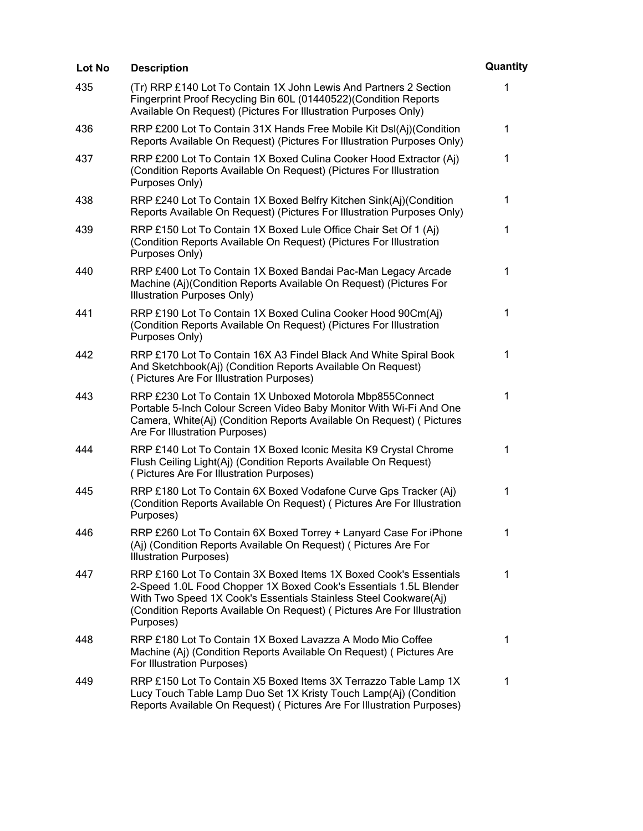| <b>Description</b>                                                                                                                                                                                                                                                                                 | Quantity     |
|----------------------------------------------------------------------------------------------------------------------------------------------------------------------------------------------------------------------------------------------------------------------------------------------------|--------------|
| (Tr) RRP £140 Lot To Contain 1X John Lewis And Partners 2 Section<br>Fingerprint Proof Recycling Bin 60L (01440522)(Condition Reports<br>Available On Request) (Pictures For Illustration Purposes Only)                                                                                           | 1            |
| RRP £200 Lot To Contain 31X Hands Free Mobile Kit DsI(Aj)(Condition<br>Reports Available On Request) (Pictures For Illustration Purposes Only)                                                                                                                                                     | $\mathbf 1$  |
| RRP £200 Lot To Contain 1X Boxed Culina Cooker Hood Extractor (Aj)<br>(Condition Reports Available On Request) (Pictures For Illustration<br>Purposes Only)                                                                                                                                        | $\mathbf{1}$ |
| RRP £240 Lot To Contain 1X Boxed Belfry Kitchen Sink(Aj)(Condition<br>Reports Available On Request) (Pictures For Illustration Purposes Only)                                                                                                                                                      | 1            |
| RRP £150 Lot To Contain 1X Boxed Lule Office Chair Set Of 1 (Aj)<br>(Condition Reports Available On Request) (Pictures For Illustration<br>Purposes Only)                                                                                                                                          | 1            |
| RRP £400 Lot To Contain 1X Boxed Bandai Pac-Man Legacy Arcade<br>Machine (Aj)(Condition Reports Available On Request) (Pictures For<br>Illustration Purposes Only)                                                                                                                                 | 1            |
| RRP £190 Lot To Contain 1X Boxed Culina Cooker Hood 90Cm(Aj)<br>(Condition Reports Available On Request) (Pictures For Illustration<br>Purposes Only)                                                                                                                                              | 1            |
| RRP £170 Lot To Contain 16X A3 Findel Black And White Spiral Book<br>And Sketchbook(Aj) (Condition Reports Available On Request)<br>(Pictures Are For Illustration Purposes)                                                                                                                       | 1            |
| RRP £230 Lot To Contain 1X Unboxed Motorola Mbp855Connect<br>Portable 5-Inch Colour Screen Video Baby Monitor With Wi-Fi And One<br>Camera, White(Aj) (Condition Reports Available On Request) ( Pictures<br>Are For Illustration Purposes)                                                        | 1            |
| RRP £140 Lot To Contain 1X Boxed Iconic Mesita K9 Crystal Chrome<br>Flush Ceiling Light(Aj) (Condition Reports Available On Request)<br>(Pictures Are For Illustration Purposes)                                                                                                                   | 1            |
| RRP £180 Lot To Contain 6X Boxed Vodafone Curve Gps Tracker (Aj)<br>(Condition Reports Available On Request) ( Pictures Are For Illustration<br>Purposes)                                                                                                                                          | 1            |
| RRP £260 Lot To Contain 6X Boxed Torrey + Lanyard Case For iPhone<br>(Aj) (Condition Reports Available On Request) (Pictures Are For<br><b>Illustration Purposes)</b>                                                                                                                              | 1            |
| RRP £160 Lot To Contain 3X Boxed Items 1X Boxed Cook's Essentials<br>2-Speed 1.0L Food Chopper 1X Boxed Cook's Essentials 1.5L Blender<br>With Two Speed 1X Cook's Essentials Stainless Steel Cookware(Aj)<br>(Condition Reports Available On Request) (Pictures Are For Illustration<br>Purposes) | 1            |
| RRP £180 Lot To Contain 1X Boxed Lavazza A Modo Mio Coffee<br>Machine (Aj) (Condition Reports Available On Request) (Pictures Are<br>For Illustration Purposes)                                                                                                                                    | 1            |
| RRP £150 Lot To Contain X5 Boxed Items 3X Terrazzo Table Lamp 1X<br>Lucy Touch Table Lamp Duo Set 1X Kristy Touch Lamp(Aj) (Condition<br>Reports Available On Request) (Pictures Are For Illustration Purposes)                                                                                    | 1            |
|                                                                                                                                                                                                                                                                                                    |              |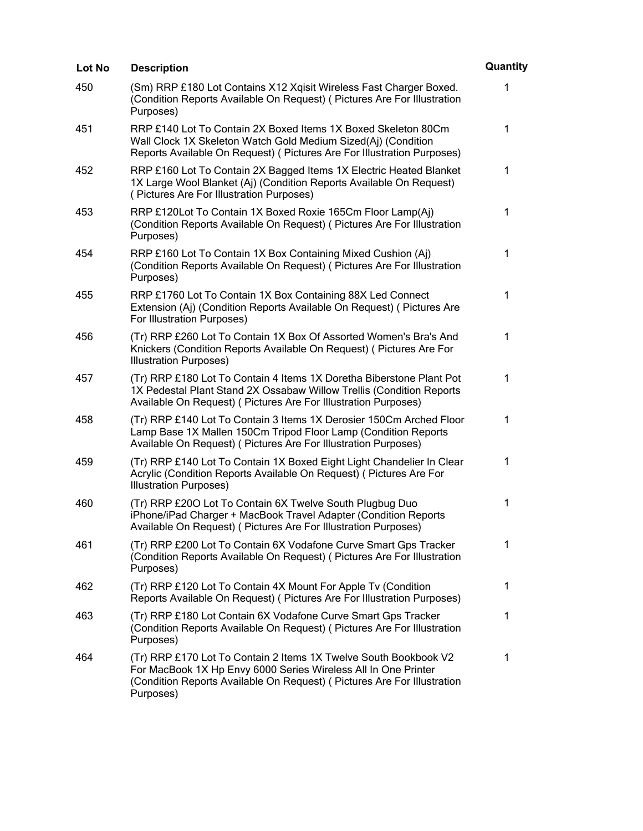| Lot No | <b>Description</b>                                                                                                                                                                                                         | Quantity    |
|--------|----------------------------------------------------------------------------------------------------------------------------------------------------------------------------------------------------------------------------|-------------|
| 450    | (Sm) RRP £180 Lot Contains X12 Xgisit Wireless Fast Charger Boxed.<br>(Condition Reports Available On Request) ( Pictures Are For Illustration<br>Purposes)                                                                | 1           |
| 451    | RRP £140 Lot To Contain 2X Boxed Items 1X Boxed Skeleton 80Cm<br>Wall Clock 1X Skeleton Watch Gold Medium Sized(Aj) (Condition<br>Reports Available On Request) ( Pictures Are For Illustration Purposes)                  | 1           |
| 452    | RRP £160 Lot To Contain 2X Bagged Items 1X Electric Heated Blanket<br>1X Large Wool Blanket (Aj) (Condition Reports Available On Request)<br>(Pictures Are For Illustration Purposes)                                      | $\mathbf 1$ |
| 453    | RRP £120Lot To Contain 1X Boxed Roxie 165Cm Floor Lamp(Aj)<br>(Condition Reports Available On Request) (Pictures Are For Illustration<br>Purposes)                                                                         | 1           |
| 454    | RRP £160 Lot To Contain 1X Box Containing Mixed Cushion (Aj)<br>(Condition Reports Available On Request) (Pictures Are For Illustration<br>Purposes)                                                                       | 1           |
| 455    | RRP £1760 Lot To Contain 1X Box Containing 88X Led Connect<br>Extension (Aj) (Condition Reports Available On Request) ( Pictures Are<br>For Illustration Purposes)                                                         | $\mathbf 1$ |
| 456    | (Tr) RRP £260 Lot To Contain 1X Box Of Assorted Women's Bra's And<br>Knickers (Condition Reports Available On Request) (Pictures Are For<br><b>Illustration Purposes)</b>                                                  | 1           |
| 457    | (Tr) RRP £180 Lot To Contain 4 Items 1X Doretha Biberstone Plant Pot<br>1X Pedestal Plant Stand 2X Ossabaw Willow Trellis (Condition Reports<br>Available On Request) ( Pictures Are For Illustration Purposes)            | 1           |
| 458    | (Tr) RRP £140 Lot To Contain 3 Items 1X Derosier 150Cm Arched Floor<br>Lamp Base 1X Mallen 150Cm Tripod Floor Lamp (Condition Reports<br>Available On Request) ( Pictures Are For Illustration Purposes)                   | 1           |
| 459    | (Tr) RRP £140 Lot To Contain 1X Boxed Eight Light Chandelier In Clear<br>Acrylic (Condition Reports Available On Request) (Pictures Are For<br><b>Illustration Purposes)</b>                                               | 1           |
| 460    | (Tr) RRP £200 Lot To Contain 6X Twelve South Plugbug Duo<br>iPhone/iPad Charger + MacBook Travel Adapter (Condition Reports<br>Available On Request) ( Pictures Are For Illustration Purposes)                             | 1           |
| 461    | (Tr) RRP £200 Lot To Contain 6X Vodafone Curve Smart Gps Tracker<br>(Condition Reports Available On Request) (Pictures Are For Illustration<br>Purposes)                                                                   | 1           |
| 462    | (Tr) RRP £120 Lot To Contain 4X Mount For Apple Tv (Condition<br>Reports Available On Request) (Pictures Are For Illustration Purposes)                                                                                    | 1           |
| 463    | (Tr) RRP £180 Lot Contain 6X Vodafone Curve Smart Gps Tracker<br>(Condition Reports Available On Request) (Pictures Are For Illustration<br>Purposes)                                                                      | 1           |
| 464    | (Tr) RRP £170 Lot To Contain 2 Items 1X Twelve South Bookbook V2<br>For MacBook 1X Hp Envy 6000 Series Wireless All In One Printer<br>(Condition Reports Available On Request) (Pictures Are For Illustration<br>Purposes) | 1           |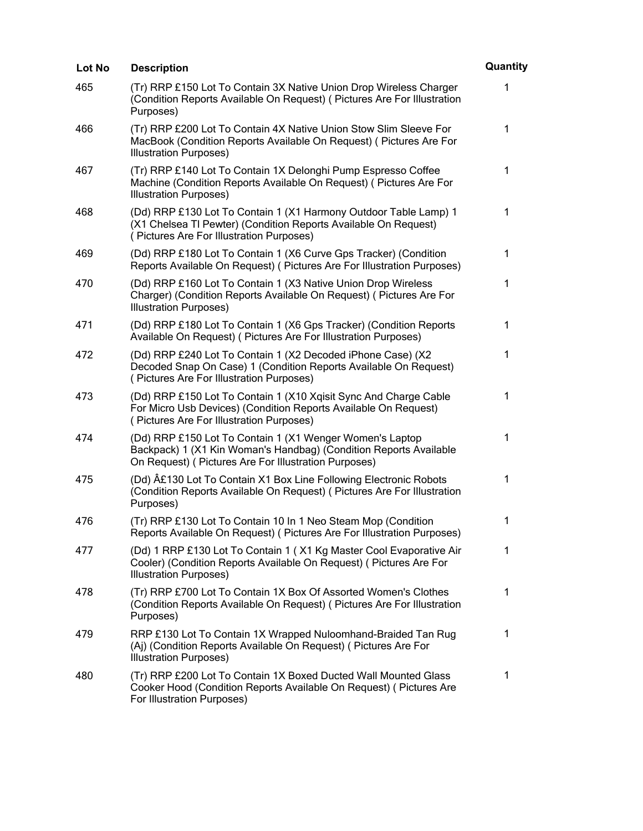| Lot No | <b>Description</b>                                                                                                                                                                     | Quantity    |
|--------|----------------------------------------------------------------------------------------------------------------------------------------------------------------------------------------|-------------|
| 465    | (Tr) RRP £150 Lot To Contain 3X Native Union Drop Wireless Charger<br>(Condition Reports Available On Request) (Pictures Are For Illustration<br>Purposes)                             | 1           |
| 466    | (Tr) RRP £200 Lot To Contain 4X Native Union Stow Slim Sleeve For<br>MacBook (Condition Reports Available On Request) (Pictures Are For<br><b>Illustration Purposes)</b>               | 1           |
| 467    | (Tr) RRP £140 Lot To Contain 1X Delonghi Pump Espresso Coffee<br>Machine (Condition Reports Available On Request) ( Pictures Are For<br><b>Illustration Purposes)</b>                  | 1           |
| 468    | (Dd) RRP £130 Lot To Contain 1 (X1 Harmony Outdoor Table Lamp) 1<br>(X1 Chelsea TI Pewter) (Condition Reports Available On Request)<br>(Pictures Are For Illustration Purposes)        | 1           |
| 469    | (Dd) RRP £180 Lot To Contain 1 (X6 Curve Gps Tracker) (Condition<br>Reports Available On Request) (Pictures Are For Illustration Purposes)                                             | 1           |
| 470    | (Dd) RRP £160 Lot To Contain 1 (X3 Native Union Drop Wireless<br>Charger) (Condition Reports Available On Request) ( Pictures Are For<br><b>Illustration Purposes)</b>                 | 1           |
| 471    | (Dd) RRP £180 Lot To Contain 1 (X6 Gps Tracker) (Condition Reports<br>Available On Request) ( Pictures Are For Illustration Purposes)                                                  | 1           |
| 472    | (Dd) RRP £240 Lot To Contain 1 (X2 Decoded iPhone Case) (X2<br>Decoded Snap On Case) 1 (Condition Reports Available On Request)<br>(Pictures Are For Illustration Purposes)            | 1           |
| 473    | (Dd) RRP £150 Lot To Contain 1 (X10 Xqisit Sync And Charge Cable<br>For Micro Usb Devices) (Condition Reports Available On Request)<br>(Pictures Are For Illustration Purposes)        | 1           |
| 474    | (Dd) RRP £150 Lot To Contain 1 (X1 Wenger Women's Laptop<br>Backpack) 1 (X1 Kin Woman's Handbag) (Condition Reports Available<br>On Request) ( Pictures Are For Illustration Purposes) | 1           |
| 475    | (Dd) £130 Lot To Contain X1 Box Line Following Electronic Robots<br>(Condition Reports Available On Request) (Pictures Are For Illustration<br>Purposes)                               | 1           |
| 476    | (Tr) RRP £130 Lot To Contain 10 In 1 Neo Steam Mop (Condition<br>Reports Available On Request) ( Pictures Are For Illustration Purposes)                                               | $\mathbf 1$ |
| 477    | (Dd) 1 RRP £130 Lot To Contain 1 (X1 Kg Master Cool Evaporative Air<br>Cooler) (Condition Reports Available On Request) (Pictures Are For<br><b>Illustration Purposes)</b>             | 1           |
| 478    | (Tr) RRP £700 Lot To Contain 1X Box Of Assorted Women's Clothes<br>(Condition Reports Available On Request) (Pictures Are For Illustration<br>Purposes)                                | $\mathbf 1$ |
| 479    | RRP £130 Lot To Contain 1X Wrapped Nuloomhand-Braided Tan Rug<br>(Aj) (Condition Reports Available On Request) (Pictures Are For<br><b>Illustration Purposes)</b>                      | $\mathbf 1$ |
| 480    | (Tr) RRP £200 Lot To Contain 1X Boxed Ducted Wall Mounted Glass<br>Cooker Hood (Condition Reports Available On Request) ( Pictures Are<br>For Illustration Purposes)                   | 1           |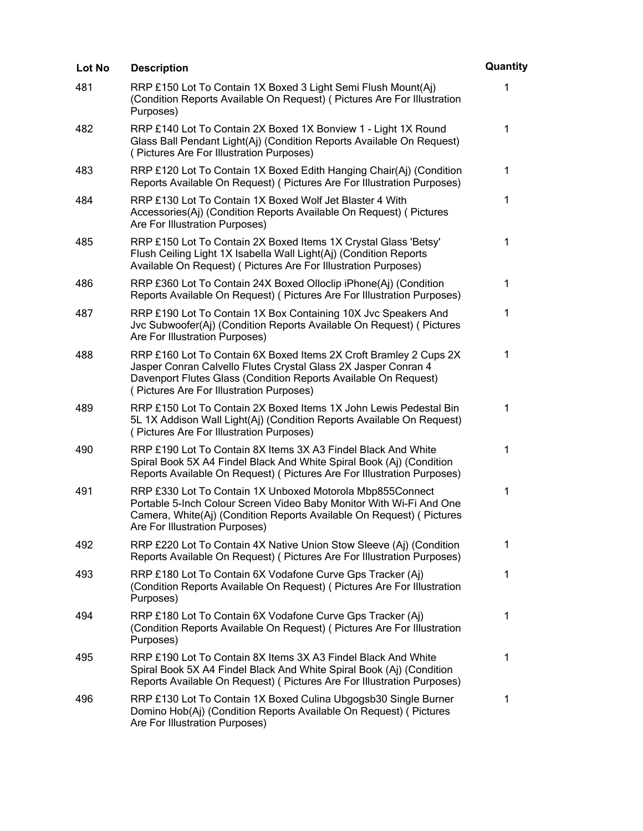| Lot No | <b>Description</b>                                                                                                                                                                                                                                 | Quantity     |
|--------|----------------------------------------------------------------------------------------------------------------------------------------------------------------------------------------------------------------------------------------------------|--------------|
| 481    | RRP £150 Lot To Contain 1X Boxed 3 Light Semi Flush Mount(Aj)<br>(Condition Reports Available On Request) (Pictures Are For Illustration<br>Purposes)                                                                                              | 1            |
| 482    | RRP £140 Lot To Contain 2X Boxed 1X Bonview 1 - Light 1X Round<br>Glass Ball Pendant Light(Aj) (Condition Reports Available On Request)<br>(Pictures Are For Illustration Purposes)                                                                | $\mathbf 1$  |
| 483    | RRP £120 Lot To Contain 1X Boxed Edith Hanging Chair(Aj) (Condition<br>Reports Available On Request) (Pictures Are For Illustration Purposes)                                                                                                      | $\mathbf 1$  |
| 484    | RRP £130 Lot To Contain 1X Boxed Wolf Jet Blaster 4 With<br>Accessories(Aj) (Condition Reports Available On Request) ( Pictures<br>Are For Illustration Purposes)                                                                                  | $\mathbf{1}$ |
| 485    | RRP £150 Lot To Contain 2X Boxed Items 1X Crystal Glass 'Betsy'<br>Flush Ceiling Light 1X Isabella Wall Light(Aj) (Condition Reports<br>Available On Request) ( Pictures Are For Illustration Purposes)                                            | 1            |
| 486    | RRP £360 Lot To Contain 24X Boxed Olloclip iPhone(Aj) (Condition<br>Reports Available On Request) (Pictures Are For Illustration Purposes)                                                                                                         | 1            |
| 487    | RRP £190 Lot To Contain 1X Box Containing 10X Jvc Speakers And<br>Jvc Subwoofer(Aj) (Condition Reports Available On Request) ( Pictures<br>Are For Illustration Purposes)                                                                          | 1            |
| 488    | RRP £160 Lot To Contain 6X Boxed Items 2X Croft Bramley 2 Cups 2X<br>Jasper Conran Calvello Flutes Crystal Glass 2X Jasper Conran 4<br>Davenport Flutes Glass (Condition Reports Available On Request)<br>(Pictures Are For Illustration Purposes) | 1            |
| 489    | RRP £150 Lot To Contain 2X Boxed Items 1X John Lewis Pedestal Bin<br>5L 1X Addison Wall Light(Aj) (Condition Reports Available On Request)<br>(Pictures Are For Illustration Purposes)                                                             | $\mathbf{1}$ |
| 490    | RRP £190 Lot To Contain 8X Items 3X A3 Findel Black And White<br>Spiral Book 5X A4 Findel Black And White Spiral Book (Aj) (Condition<br>Reports Available On Request) (Pictures Are For Illustration Purposes)                                    | 1            |
| 491    | RRP £330 Lot To Contain 1X Unboxed Motorola Mbp855Connect<br>Portable 5-Inch Colour Screen Video Baby Monitor With Wi-Fi And One<br>Camera, White(Aj) (Condition Reports Available On Request) ( Pictures<br>Are For Illustration Purposes)        | 1            |
| 492    | RRP £220 Lot To Contain 4X Native Union Stow Sleeve (Aj) (Condition<br>Reports Available On Request) (Pictures Are For Illustration Purposes)                                                                                                      | 1            |
| 493    | RRP £180 Lot To Contain 6X Vodafone Curve Gps Tracker (Aj)<br>(Condition Reports Available On Request) (Pictures Are For Illustration<br>Purposes)                                                                                                 | 1            |
| 494    | RRP £180 Lot To Contain 6X Vodafone Curve Gps Tracker (Aj)<br>(Condition Reports Available On Request) (Pictures Are For Illustration<br>Purposes)                                                                                                 | 1            |
| 495    | RRP £190 Lot To Contain 8X Items 3X A3 Findel Black And White<br>Spiral Book 5X A4 Findel Black And White Spiral Book (Aj) (Condition<br>Reports Available On Request) (Pictures Are For Illustration Purposes)                                    | $\mathbf 1$  |
| 496    | RRP £130 Lot To Contain 1X Boxed Culina Ubgogsb30 Single Burner<br>Domino Hob(Aj) (Condition Reports Available On Request) ( Pictures<br>Are For Illustration Purposes)                                                                            | 1            |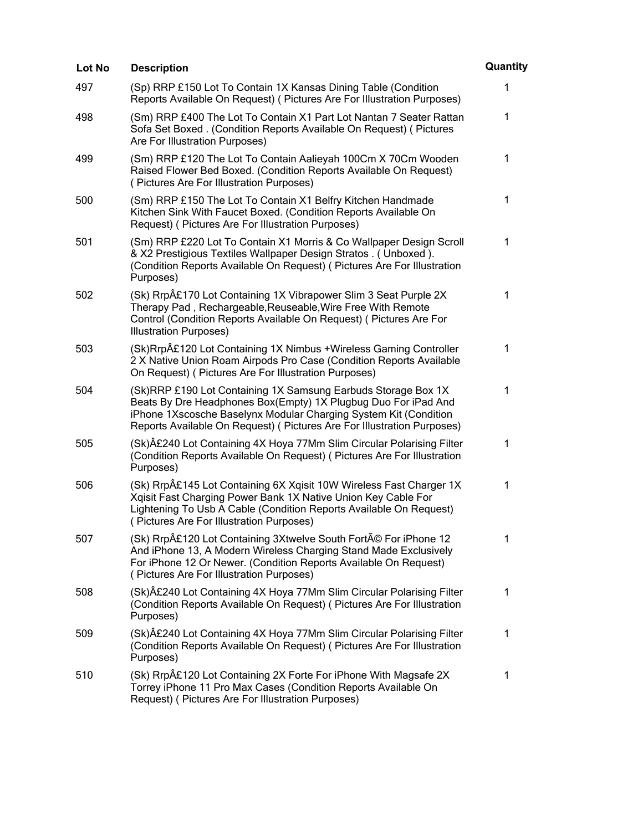| Lot No | <b>Description</b>                                                                                                                                                                                                                                                             | Quantity     |
|--------|--------------------------------------------------------------------------------------------------------------------------------------------------------------------------------------------------------------------------------------------------------------------------------|--------------|
| 497    | (Sp) RRP £150 Lot To Contain 1X Kansas Dining Table (Condition<br>Reports Available On Request) (Pictures Are For Illustration Purposes)                                                                                                                                       | 1            |
| 498    | (Sm) RRP £400 The Lot To Contain X1 Part Lot Nantan 7 Seater Rattan<br>Sofa Set Boxed . (Condition Reports Available On Request) ( Pictures<br>Are For Illustration Purposes)                                                                                                  | 1            |
| 499    | (Sm) RRP £120 The Lot To Contain Aalieyah 100Cm X 70Cm Wooden<br>Raised Flower Bed Boxed. (Condition Reports Available On Request)<br>(Pictures Are For Illustration Purposes)                                                                                                 | $\mathbf{1}$ |
| 500    | (Sm) RRP £150 The Lot To Contain X1 Belfry Kitchen Handmade<br>Kitchen Sink With Faucet Boxed. (Condition Reports Available On<br>Request) (Pictures Are For Illustration Purposes)                                                                                            | $\mathbf{1}$ |
| 501    | (Sm) RRP £220 Lot To Contain X1 Morris & Co Wallpaper Design Scroll<br>& X2 Prestigious Textiles Wallpaper Design Stratos. (Unboxed).<br>(Condition Reports Available On Request) (Pictures Are For Illustration<br>Purposes)                                                  | 1            |
| 502    | (Sk) Rrp£170 Lot Containing 1X Vibrapower Slim 3 Seat Purple 2X<br>Therapy Pad, Rechargeable, Reuseable, Wire Free With Remote<br>Control (Condition Reports Available On Request) (Pictures Are For<br><b>Illustration Purposes)</b>                                          | $\mathbf{1}$ |
| 503    | (Sk)Rrp£120 Lot Containing 1X Nimbus +Wireless Gaming Controller<br>2 X Native Union Roam Airpods Pro Case (Condition Reports Available<br>On Request) ( Pictures Are For Illustration Purposes)                                                                               | 1            |
| 504    | (Sk)RRP £190 Lot Containing 1X Samsung Earbuds Storage Box 1X<br>Beats By Dre Headphones Box(Empty) 1X Plugbug Duo For iPad And<br>iPhone 1Xscosche Baselynx Modular Charging System Kit (Condition<br>Reports Available On Request) ( Pictures Are For Illustration Purposes) | 1            |
| 505    | (Sk)£240 Lot Containing 4X Hoya 77Mm Slim Circular Polarising Filter<br>(Condition Reports Available On Request) (Pictures Are For Illustration<br>Purposes)                                                                                                                   | 1            |
| 506    | (Sk) Rrp£145 Lot Containing 6X Xqisit 10W Wireless Fast Charger 1X<br>Xqisit Fast Charging Power Bank 1X Native Union Key Cable For<br>Lightening To Usb A Cable (Condition Reports Available On Request)<br>(Pictures Are For Illustration Purposes)                          | 1            |
| 507    | (Sk) Rrp£120 Lot Containing 3Xtwelve South Forté For iPhone 12<br>And iPhone 13, A Modern Wireless Charging Stand Made Exclusively<br>For iPhone 12 Or Newer. (Condition Reports Available On Request)<br>(Pictures Are For Illustration Purposes)                             | 1            |
| 508    | (Sk)£240 Lot Containing 4X Hoya 77Mm Slim Circular Polarising Filter<br>(Condition Reports Available On Request) (Pictures Are For Illustration<br>Purposes)                                                                                                                   | 1            |
| 509    | (Sk)£240 Lot Containing 4X Hoya 77Mm Slim Circular Polarising Filter<br>(Condition Reports Available On Request) (Pictures Are For Illustration<br>Purposes)                                                                                                                   | 1            |
| 510    | (Sk) Rrp£120 Lot Containing 2X Forte For iPhone With Magsafe 2X<br>Torrey iPhone 11 Pro Max Cases (Condition Reports Available On<br>Request) (Pictures Are For Illustration Purposes)                                                                                         | 1            |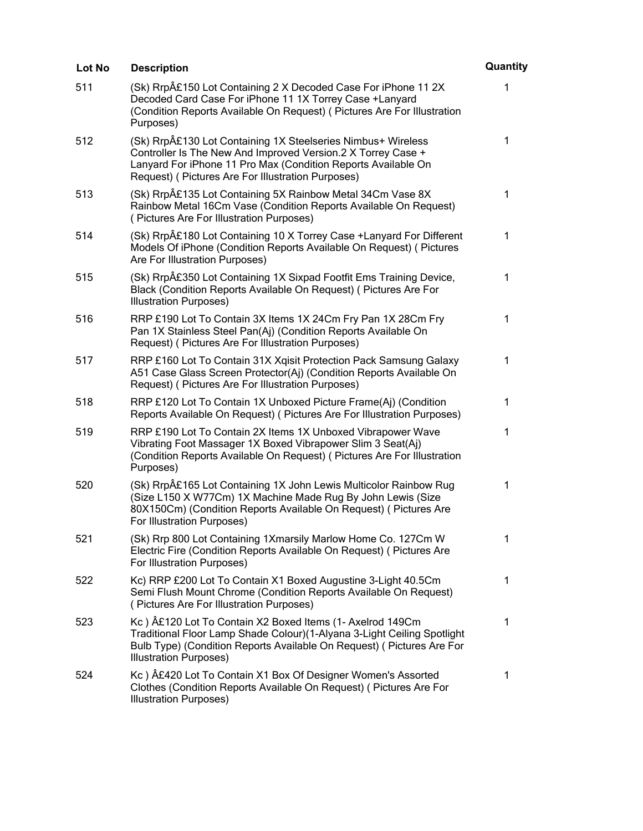| Lot No | <b>Description</b>                                                                                                                                                                                                                                 | Quantity     |
|--------|----------------------------------------------------------------------------------------------------------------------------------------------------------------------------------------------------------------------------------------------------|--------------|
| 511    | (Sk) Rrp£150 Lot Containing 2 X Decoded Case For iPhone 11 2X<br>Decoded Card Case For iPhone 11 1X Torrey Case +Lanyard<br>(Condition Reports Available On Request) ( Pictures Are For Illustration<br>Purposes)                                  | 1            |
| 512    | (Sk) Rrp£130 Lot Containing 1X Steelseries Nimbus+ Wireless<br>Controller Is The New And Improved Version.2 X Torrey Case +<br>Lanyard For iPhone 11 Pro Max (Condition Reports Available On<br>Request) ( Pictures Are For Illustration Purposes) | $\mathbf 1$  |
| 513    | (Sk) Rrp£135 Lot Containing 5X Rainbow Metal 34Cm Vase 8X<br>Rainbow Metal 16Cm Vase (Condition Reports Available On Request)<br>(Pictures Are For Illustration Purposes)                                                                          | 1            |
| 514    | (Sk) Rrp£180 Lot Containing 10 X Torrey Case + Lanyard For Different<br>Models Of iPhone (Condition Reports Available On Request) ( Pictures<br>Are For Illustration Purposes)                                                                     | $\mathbf 1$  |
| 515    | (Sk) Rrp£350 Lot Containing 1X Sixpad Footfit Ems Training Device,<br>Black (Condition Reports Available On Request) (Pictures Are For<br><b>Illustration Purposes)</b>                                                                            | 1            |
| 516    | RRP £190 Lot To Contain 3X Items 1X 24Cm Fry Pan 1X 28Cm Fry<br>Pan 1X Stainless Steel Pan(Aj) (Condition Reports Available On<br>Request) (Pictures Are For Illustration Purposes)                                                                | $\mathbf 1$  |
| 517    | RRP £160 Lot To Contain 31X Xgisit Protection Pack Samsung Galaxy<br>A51 Case Glass Screen Protector(Aj) (Condition Reports Available On<br>Request) (Pictures Are For Illustration Purposes)                                                      | 1            |
| 518    | RRP £120 Lot To Contain 1X Unboxed Picture Frame(Aj) (Condition<br>Reports Available On Request) ( Pictures Are For Illustration Purposes)                                                                                                         | 1            |
| 519    | RRP £190 Lot To Contain 2X Items 1X Unboxed Vibrapower Wave<br>Vibrating Foot Massager 1X Boxed Vibrapower Slim 3 Seat(Aj)<br>(Condition Reports Available On Request) ( Pictures Are For Illustration<br>Purposes)                                | $\mathbf{1}$ |
| 520    | (Sk) Rrp£165 Lot Containing 1X John Lewis Multicolor Rainbow Rug<br>(Size L150 X W77Cm) 1X Machine Made Rug By John Lewis (Size<br>80X150Cm) (Condition Reports Available On Request) ( Pictures Are<br>For Illustration Purposes)                 | 1            |
| 521    | (Sk) Rrp 800 Lot Containing 1Xmarsily Marlow Home Co. 127Cm W<br>Electric Fire (Condition Reports Available On Request) (Pictures Are<br>For Illustration Purposes)                                                                                | 1            |
| 522    | Kc) RRP £200 Lot To Contain X1 Boxed Augustine 3-Light 40.5Cm<br>Semi Flush Mount Chrome (Condition Reports Available On Request)<br>(Pictures Are For Illustration Purposes)                                                                      | 1            |
| 523    | Kc) A£120 Lot To Contain X2 Boxed Items (1- Axelrod 149Cm<br>Traditional Floor Lamp Shade Colour)(1-Alyana 3-Light Ceiling Spotlight<br>Bulb Type) (Condition Reports Available On Request) ( Pictures Are For<br><b>Illustration Purposes)</b>    | 1            |
| 524    | Kc) £420 Lot To Contain X1 Box Of Designer Women's Assorted<br>Clothes (Condition Reports Available On Request) (Pictures Are For<br><b>Illustration Purposes)</b>                                                                                 | 1            |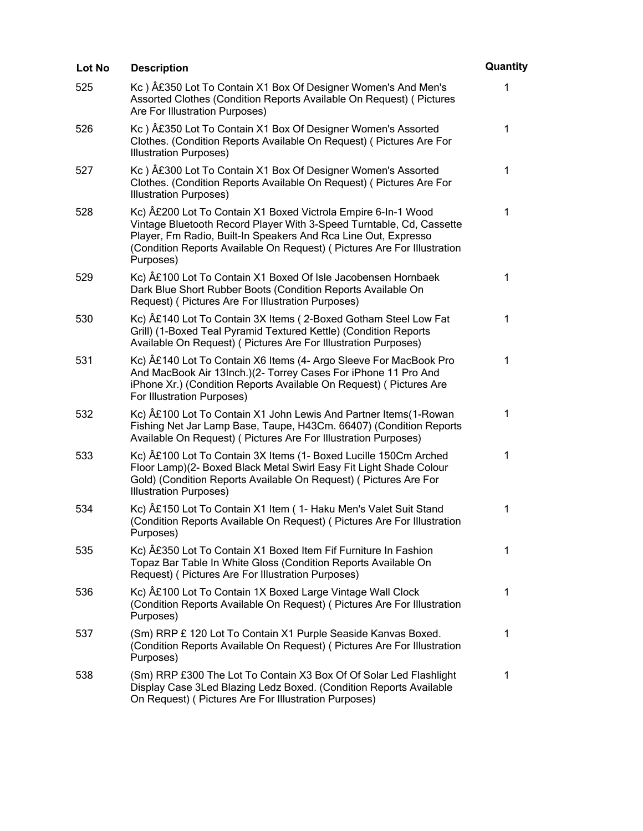| Lot No | <b>Description</b>                                                                                                                                                                                                                                                                             | Quantity    |
|--------|------------------------------------------------------------------------------------------------------------------------------------------------------------------------------------------------------------------------------------------------------------------------------------------------|-------------|
| 525    | Kc) A£350 Lot To Contain X1 Box Of Designer Women's And Men's<br>Assorted Clothes (Condition Reports Available On Request) ( Pictures<br>Are For Illustration Purposes)                                                                                                                        | 1           |
| 526    | Kc) £350 Lot To Contain X1 Box Of Designer Women's Assorted<br>Clothes. (Condition Reports Available On Request) ( Pictures Are For<br><b>Illustration Purposes)</b>                                                                                                                           | 1           |
| 527    | Kc) £300 Lot To Contain X1 Box Of Designer Women's Assorted<br>Clothes. (Condition Reports Available On Request) ( Pictures Are For<br><b>Illustration Purposes)</b>                                                                                                                           | 1           |
| 528    | Kc) £200 Lot To Contain X1 Boxed Victrola Empire 6-In-1 Wood<br>Vintage Bluetooth Record Player With 3-Speed Turntable, Cd, Cassette<br>Player, Fm Radio, Built-In Speakers And Rca Line Out, Expresso<br>(Condition Reports Available On Request) (Pictures Are For Illustration<br>Purposes) | 1           |
| 529    | Kc) £100 Lot To Contain X1 Boxed Of Isle Jacobensen Hornbaek<br>Dark Blue Short Rubber Boots (Condition Reports Available On<br>Request) (Pictures Are For Illustration Purposes)                                                                                                              | 1           |
| 530    | Kc) A£140 Lot To Contain 3X Items (2-Boxed Gotham Steel Low Fat<br>Grill) (1-Boxed Teal Pyramid Textured Kettle) (Condition Reports<br>Available On Request) ( Pictures Are For Illustration Purposes)                                                                                         | 1           |
| 531    | Kc) £140 Lot To Contain X6 Items (4- Argo Sleeve For MacBook Pro<br>And MacBook Air 13Inch.)(2- Torrey Cases For iPhone 11 Pro And<br>iPhone Xr.) (Condition Reports Available On Request) ( Pictures Are<br>For Illustration Purposes)                                                        | 1           |
| 532    | Kc) A£100 Lot To Contain X1 John Lewis And Partner Items (1-Rowan<br>Fishing Net Jar Lamp Base, Taupe, H43Cm. 66407) (Condition Reports<br>Available On Request) ( Pictures Are For Illustration Purposes)                                                                                     | 1           |
| 533    | Kc) £100 Lot To Contain 3X Items (1- Boxed Lucille 150Cm Arched<br>Floor Lamp)(2- Boxed Black Metal Swirl Easy Fit Light Shade Colour<br>Gold) (Condition Reports Available On Request) (Pictures Are For<br><b>Illustration Purposes)</b>                                                     | 1           |
| 534    | Kc) £150 Lot To Contain X1 Item (1- Haku Men's Valet Suit Stand<br>(Condition Reports Available On Request) (Pictures Are For Illustration<br>Purposes)                                                                                                                                        | 1           |
| 535    | Kc) A£350 Lot To Contain X1 Boxed Item Fif Furniture In Fashion<br>Topaz Bar Table In White Gloss (Condition Reports Available On<br>Request) (Pictures Are For Illustration Purposes)                                                                                                         | 1           |
| 536    | Kc) A£100 Lot To Contain 1X Boxed Large Vintage Wall Clock<br>(Condition Reports Available On Request) (Pictures Are For Illustration<br>Purposes)                                                                                                                                             | $\mathbf 1$ |
| 537    | (Sm) RRP £ 120 Lot To Contain X1 Purple Seaside Kanvas Boxed.<br>(Condition Reports Available On Request) (Pictures Are For Illustration<br>Purposes)                                                                                                                                          | 1           |
| 538    | (Sm) RRP £300 The Lot To Contain X3 Box Of Of Solar Led Flashlight<br>Display Case 3Led Blazing Ledz Boxed. (Condition Reports Available<br>On Request) ( Pictures Are For Illustration Purposes)                                                                                              | 1           |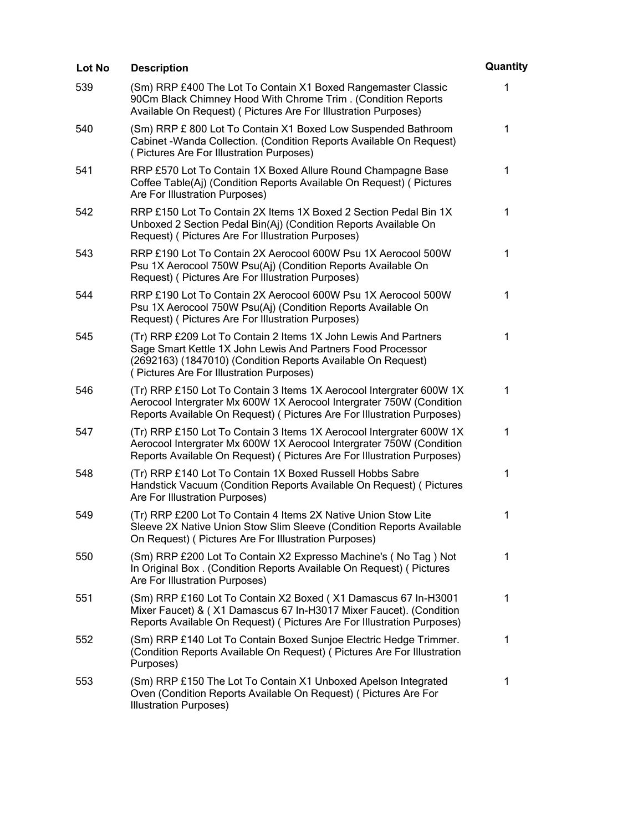| Lot No | <b>Description</b>                                                                                                                                                                                                                         | Quantity |
|--------|--------------------------------------------------------------------------------------------------------------------------------------------------------------------------------------------------------------------------------------------|----------|
| 539    | (Sm) RRP £400 The Lot To Contain X1 Boxed Rangemaster Classic<br>90Cm Black Chimney Hood With Chrome Trim. (Condition Reports<br>Available On Request) ( Pictures Are For Illustration Purposes)                                           | 1        |
| 540    | (Sm) RRP £ 800 Lot To Contain X1 Boxed Low Suspended Bathroom<br>Cabinet - Wanda Collection. (Condition Reports Available On Request)<br>(Pictures Are For Illustration Purposes)                                                          | 1        |
| 541    | RRP £570 Lot To Contain 1X Boxed Allure Round Champagne Base<br>Coffee Table(Aj) (Condition Reports Available On Request) ( Pictures<br>Are For Illustration Purposes)                                                                     | 1        |
| 542    | RRP £150 Lot To Contain 2X Items 1X Boxed 2 Section Pedal Bin 1X<br>Unboxed 2 Section Pedal Bin(Aj) (Condition Reports Available On<br>Request) (Pictures Are For Illustration Purposes)                                                   | 1        |
| 543    | RRP £190 Lot To Contain 2X Aerocool 600W Psu 1X Aerocool 500W<br>Psu 1X Aerocool 750W Psu(Aj) (Condition Reports Available On<br>Request) (Pictures Are For Illustration Purposes)                                                         | 1        |
| 544    | RRP £190 Lot To Contain 2X Aerocool 600W Psu 1X Aerocool 500W<br>Psu 1X Aerocool 750W Psu(Aj) (Condition Reports Available On<br>Request) (Pictures Are For Illustration Purposes)                                                         | 1        |
| 545    | (Tr) RRP £209 Lot To Contain 2 Items 1X John Lewis And Partners<br>Sage Smart Kettle 1X John Lewis And Partners Food Processor<br>(2692163) (1847010) (Condition Reports Available On Request)<br>(Pictures Are For Illustration Purposes) | 1        |
| 546    | (Tr) RRP £150 Lot To Contain 3 Items 1X Aerocool Intergrater 600W 1X<br>Aerocool Intergrater Mx 600W 1X Aerocool Intergrater 750W (Condition<br>Reports Available On Request) (Pictures Are For Illustration Purposes)                     | 1        |
| 547    | (Tr) RRP £150 Lot To Contain 3 Items 1X Aerocool Intergrater 600W 1X<br>Aerocool Intergrater Mx 600W 1X Aerocool Intergrater 750W (Condition<br>Reports Available On Request) (Pictures Are For Illustration Purposes)                     | 1        |
| 548    | (Tr) RRP £140 Lot To Contain 1X Boxed Russell Hobbs Sabre<br>Handstick Vacuum (Condition Reports Available On Request) ( Pictures<br>Are For Illustration Purposes)                                                                        | 1        |
| 549    | (Tr) RRP £200 Lot To Contain 4 Items 2X Native Union Stow Lite<br>Sleeve 2X Native Union Stow Slim Sleeve (Condition Reports Available<br>On Request) ( Pictures Are For Illustration Purposes)                                            | 1        |
| 550    | (Sm) RRP £200 Lot To Contain X2 Expresso Machine's (No Tag) Not<br>In Original Box. (Condition Reports Available On Request) ( Pictures<br>Are For Illustration Purposes)                                                                  | 1        |
| 551    | (Sm) RRP £160 Lot To Contain X2 Boxed (X1 Damascus 67 In-H3001<br>Mixer Faucet) & (X1 Damascus 67 In-H3017 Mixer Faucet). (Condition<br>Reports Available On Request) (Pictures Are For Illustration Purposes)                             | 1        |
| 552    | (Sm) RRP £140 Lot To Contain Boxed Sunjoe Electric Hedge Trimmer.<br>(Condition Reports Available On Request) (Pictures Are For Illustration<br>Purposes)                                                                                  | 1        |
| 553    | (Sm) RRP £150 The Lot To Contain X1 Unboxed Apelson Integrated<br>Oven (Condition Reports Available On Request) ( Pictures Are For<br><b>Illustration Purposes)</b>                                                                        | 1        |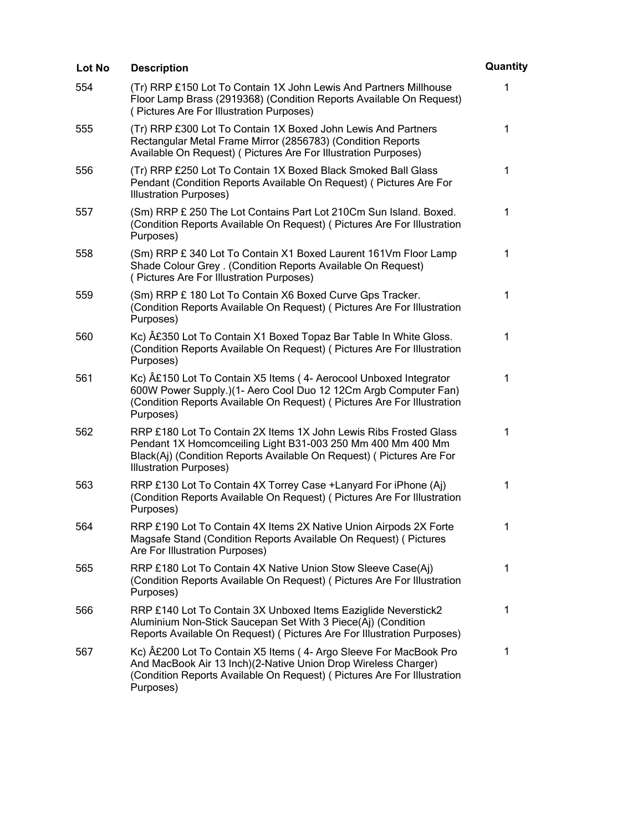| Lot No | <b>Description</b>                                                                                                                                                                                                                        | Quantity     |
|--------|-------------------------------------------------------------------------------------------------------------------------------------------------------------------------------------------------------------------------------------------|--------------|
| 554    | (Tr) RRP £150 Lot To Contain 1X John Lewis And Partners Millhouse<br>Floor Lamp Brass (2919368) (Condition Reports Available On Request)<br>(Pictures Are For Illustration Purposes)                                                      | 1            |
| 555    | (Tr) RRP £300 Lot To Contain 1X Boxed John Lewis And Partners<br>Rectangular Metal Frame Mirror (2856783) (Condition Reports<br>Available On Request) ( Pictures Are For Illustration Purposes)                                           | 1            |
| 556    | (Tr) RRP £250 Lot To Contain 1X Boxed Black Smoked Ball Glass<br>Pendant (Condition Reports Available On Request) (Pictures Are For<br><b>Illustration Purposes)</b>                                                                      | $\mathbf 1$  |
| 557    | (Sm) RRP £ 250 The Lot Contains Part Lot 210Cm Sun Island. Boxed.<br>(Condition Reports Available On Request) (Pictures Are For Illustration<br>Purposes)                                                                                 | 1            |
| 558    | (Sm) RRP £ 340 Lot To Contain X1 Boxed Laurent 161Vm Floor Lamp<br>Shade Colour Grey . (Condition Reports Available On Request)<br>(Pictures Are For Illustration Purposes)                                                               | 1            |
| 559    | (Sm) RRP £ 180 Lot To Contain X6 Boxed Curve Gps Tracker.<br>(Condition Reports Available On Request) (Pictures Are For Illustration<br>Purposes)                                                                                         | $\mathbf{1}$ |
| 560    | Kc) £350 Lot To Contain X1 Boxed Topaz Bar Table In White Gloss.<br>(Condition Reports Available On Request) ( Pictures Are For Illustration<br>Purposes)                                                                                 | 1            |
| 561    | Kc) £150 Lot To Contain X5 Items (4- Aerocool Unboxed Integrator<br>600W Power Supply.)(1- Aero Cool Duo 12 12Cm Argb Computer Fan)<br>(Condition Reports Available On Request) (Pictures Are For Illustration<br>Purposes)               | 1            |
| 562    | RRP £180 Lot To Contain 2X Items 1X John Lewis Ribs Frosted Glass<br>Pendant 1X Homcomceiling Light B31-003 250 Mm 400 Mm 400 Mm<br>Black(Aj) (Condition Reports Available On Request) (Pictures Are For<br><b>Illustration Purposes)</b> | $\mathbf 1$  |
| 563    | RRP £130 Lot To Contain 4X Torrey Case + Lanyard For iPhone (Aj)<br>(Condition Reports Available On Request) (Pictures Are For Illustration<br>Purposes)                                                                                  | 1            |
| 564    | RRP £190 Lot To Contain 4X Items 2X Native Union Airpods 2X Forte<br>Magsafe Stand (Condition Reports Available On Request) ( Pictures<br>Are For Illustration Purposes)                                                                  | 1            |
| 565    | RRP £180 Lot To Contain 4X Native Union Stow Sleeve Case(Aj)<br>(Condition Reports Available On Request) (Pictures Are For Illustration<br>Purposes)                                                                                      | 1            |
| 566    | RRP £140 Lot To Contain 3X Unboxed Items Eaziglide Neverstick2<br>Aluminium Non-Stick Saucepan Set With 3 Piece(Aj) (Condition<br>Reports Available On Request) (Pictures Are For Illustration Purposes)                                  | $\mathbf 1$  |
| 567    | Kc) £200 Lot To Contain X5 Items (4- Argo Sleeve For MacBook Pro<br>And MacBook Air 13 Inch)(2-Native Union Drop Wireless Charger)<br>(Condition Reports Available On Request) (Pictures Are For Illustration<br>Purposes)                | 1            |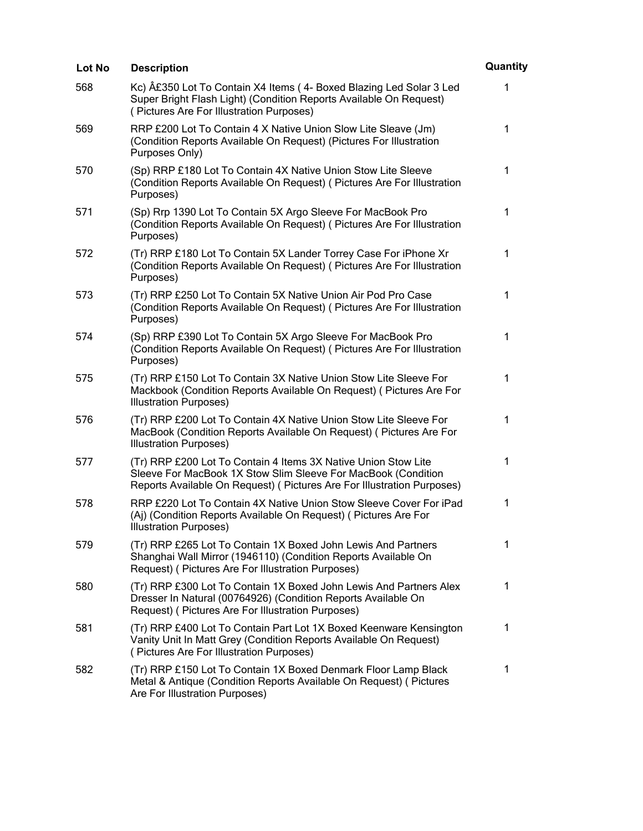| Lot No | <b>Description</b>                                                                                                                                                                                        | Quantity     |
|--------|-----------------------------------------------------------------------------------------------------------------------------------------------------------------------------------------------------------|--------------|
| 568    | Kc) £350 Lot To Contain X4 Items (4- Boxed Blazing Led Solar 3 Led<br>Super Bright Flash Light) (Condition Reports Available On Request)<br>(Pictures Are For Illustration Purposes)                      | 1            |
| 569    | RRP £200 Lot To Contain 4 X Native Union Slow Lite Sleave (Jm)<br>(Condition Reports Available On Request) (Pictures For Illustration<br>Purposes Only)                                                   | $\mathbf 1$  |
| 570    | (Sp) RRP £180 Lot To Contain 4X Native Union Stow Lite Sleeve<br>(Condition Reports Available On Request) ( Pictures Are For Illustration<br>Purposes)                                                    | 1            |
| 571    | (Sp) Rrp 1390 Lot To Contain 5X Argo Sleeve For MacBook Pro<br>(Condition Reports Available On Request) ( Pictures Are For Illustration<br>Purposes)                                                      | $\mathbf 1$  |
| 572    | (Tr) RRP £180 Lot To Contain 5X Lander Torrey Case For iPhone Xr<br>(Condition Reports Available On Request) (Pictures Are For Illustration<br>Purposes)                                                  | $\mathbf 1$  |
| 573    | (Tr) RRP £250 Lot To Contain 5X Native Union Air Pod Pro Case<br>(Condition Reports Available On Request) (Pictures Are For Illustration<br>Purposes)                                                     | 1            |
| 574    | (Sp) RRP £390 Lot To Contain 5X Argo Sleeve For MacBook Pro<br>(Condition Reports Available On Request) ( Pictures Are For Illustration<br>Purposes)                                                      | $\mathbf 1$  |
| 575    | (Tr) RRP £150 Lot To Contain 3X Native Union Stow Lite Sleeve For<br>Mackbook (Condition Reports Available On Request) (Pictures Are For<br><b>Illustration Purposes)</b>                                 | 1            |
| 576    | (Tr) RRP £200 Lot To Contain 4X Native Union Stow Lite Sleeve For<br>MacBook (Condition Reports Available On Request) ( Pictures Are For<br><b>Illustration Purposes)</b>                                 | $\mathbf{1}$ |
| 577    | (Tr) RRP £200 Lot To Contain 4 Items 3X Native Union Stow Lite<br>Sleeve For MacBook 1X Stow Slim Sleeve For MacBook (Condition<br>Reports Available On Request) (Pictures Are For Illustration Purposes) | 1            |
| 578    | RRP £220 Lot To Contain 4X Native Union Stow Sleeve Cover For iPad<br>(Aj) (Condition Reports Available On Request) (Pictures Are For<br><b>Illustration Purposes)</b>                                    | 1            |
| 579    | (Tr) RRP £265 Lot To Contain 1X Boxed John Lewis And Partners<br>Shanghai Wall Mirror (1946110) (Condition Reports Available On<br>Request) (Pictures Are For Illustration Purposes)                      | 1            |
| 580    | (Tr) RRP £300 Lot To Contain 1X Boxed John Lewis And Partners Alex<br>Dresser In Natural (00764926) (Condition Reports Available On<br>Request) (Pictures Are For Illustration Purposes)                  | 1            |
| 581    | (Tr) RRP £400 Lot To Contain Part Lot 1X Boxed Keenware Kensington<br>Vanity Unit In Matt Grey (Condition Reports Available On Request)<br>(Pictures Are For Illustration Purposes)                       | $\mathbf 1$  |
| 582    | (Tr) RRP £150 Lot To Contain 1X Boxed Denmark Floor Lamp Black<br>Metal & Antique (Condition Reports Available On Request) ( Pictures<br>Are For Illustration Purposes)                                   | 1            |
|        |                                                                                                                                                                                                           |              |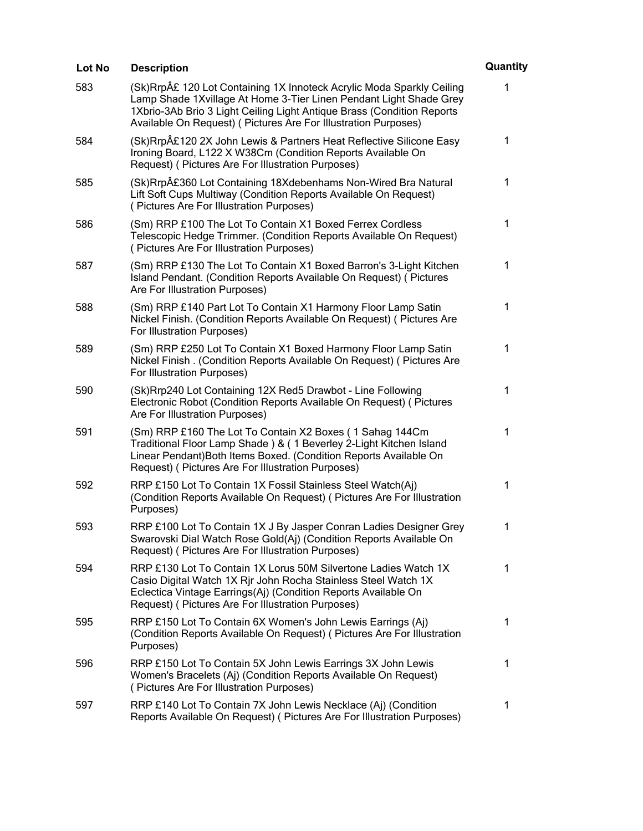| Lot No | <b>Description</b>                                                                                                                                                                                                                                                                      | Quantity     |
|--------|-----------------------------------------------------------------------------------------------------------------------------------------------------------------------------------------------------------------------------------------------------------------------------------------|--------------|
| 583    | (Sk)Rrp£ 120 Lot Containing 1X Innoteck Acrylic Moda Sparkly Ceiling<br>Lamp Shade 1Xvillage At Home 3-Tier Linen Pendant Light Shade Grey<br>1Xbrio-3Ab Brio 3 Light Ceiling Light Antique Brass (Condition Reports<br>Available On Request) ( Pictures Are For Illustration Purposes) | 1            |
| 584    | (Sk)Rrp£120 2X John Lewis & Partners Heat Reflective Silicone Easy<br>Ironing Board, L122 X W38Cm (Condition Reports Available On<br>Request) (Pictures Are For Illustration Purposes)                                                                                                  | 1            |
| 585    | (Sk)Rrp£360 Lot Containing 18Xdebenhams Non-Wired Bra Natural<br>Lift Soft Cups Multiway (Condition Reports Available On Request)<br>(Pictures Are For Illustration Purposes)                                                                                                           | 1            |
| 586    | (Sm) RRP £100 The Lot To Contain X1 Boxed Ferrex Cordless<br>Telescopic Hedge Trimmer. (Condition Reports Available On Request)<br>(Pictures Are For Illustration Purposes)                                                                                                             | 1            |
| 587    | (Sm) RRP £130 The Lot To Contain X1 Boxed Barron's 3-Light Kitchen<br>Island Pendant. (Condition Reports Available On Request) ( Pictures<br>Are For Illustration Purposes)                                                                                                             | 1            |
| 588    | (Sm) RRP £140 Part Lot To Contain X1 Harmony Floor Lamp Satin<br>Nickel Finish. (Condition Reports Available On Request) ( Pictures Are<br>For Illustration Purposes)                                                                                                                   | $\mathbf{1}$ |
| 589    | (Sm) RRP £250 Lot To Contain X1 Boxed Harmony Floor Lamp Satin<br>Nickel Finish. (Condition Reports Available On Request) ( Pictures Are<br>For Illustration Purposes)                                                                                                                  | 1            |
| 590    | (Sk)Rrp240 Lot Containing 12X Red5 Drawbot - Line Following<br>Electronic Robot (Condition Reports Available On Request) ( Pictures<br>Are For Illustration Purposes)                                                                                                                   | 1            |
| 591    | (Sm) RRP £160 The Lot To Contain X2 Boxes (1 Sahag 144Cm<br>Traditional Floor Lamp Shade ) & ( 1 Beverley 2-Light Kitchen Island<br>Linear Pendant) Both Items Boxed. (Condition Reports Available On<br>Request) (Pictures Are For Illustration Purposes)                              | 1            |
| 592    | RRP £150 Lot To Contain 1X Fossil Stainless Steel Watch(Aj)<br>(Condition Reports Available On Request) (Pictures Are For Illustration<br>Purposes)                                                                                                                                     | 1            |
| 593    | RRP £100 Lot To Contain 1X J By Jasper Conran Ladies Designer Grey<br>Swarovski Dial Watch Rose Gold(Aj) (Condition Reports Available On<br>Request) (Pictures Are For Illustration Purposes)                                                                                           | 1            |
| 594    | RRP £130 Lot To Contain 1X Lorus 50M Silvertone Ladies Watch 1X<br>Casio Digital Watch 1X Rir John Rocha Stainless Steel Watch 1X<br>Eclectica Vintage Earrings(Aj) (Condition Reports Available On<br>Request) (Pictures Are For Illustration Purposes)                                | $\mathbf 1$  |
| 595    | RRP £150 Lot To Contain 6X Women's John Lewis Earrings (Aj)<br>(Condition Reports Available On Request) (Pictures Are For Illustration<br>Purposes)                                                                                                                                     | $\mathbf 1$  |
| 596    | RRP £150 Lot To Contain 5X John Lewis Earrings 3X John Lewis<br>Women's Bracelets (Aj) (Condition Reports Available On Request)<br>(Pictures Are For Illustration Purposes)                                                                                                             | 1            |
| 597    | RRP £140 Lot To Contain 7X John Lewis Necklace (Aj) (Condition<br>Reports Available On Request) (Pictures Are For Illustration Purposes)                                                                                                                                                | 1            |